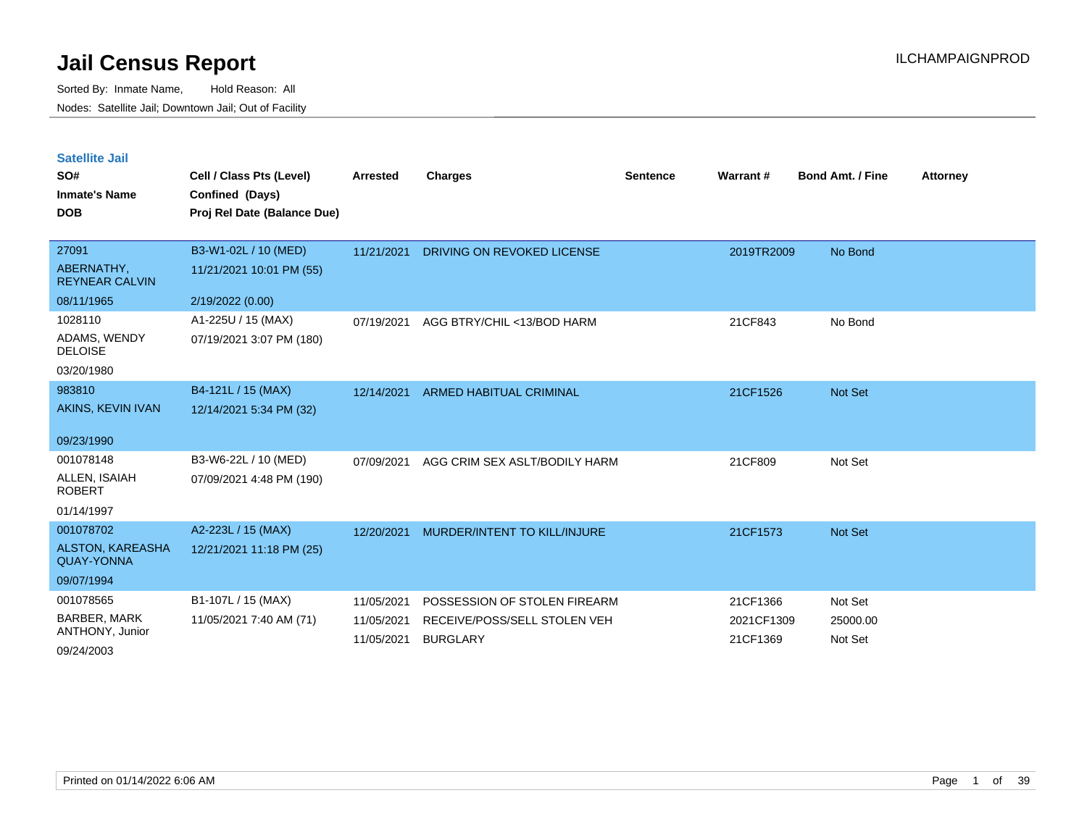| <b>Satellite Jail</b> |  |
|-----------------------|--|
|                       |  |

| SO#<br><b>Inmate's Name</b><br><b>DOB</b>                               | Cell / Class Pts (Level)<br>Confined (Days)<br>Proj Rel Date (Balance Due) | Arrested                               | <b>Charges</b>                                                                  | <b>Sentence</b> | Warrant #                          | <b>Bond Amt. / Fine</b>        | <b>Attorney</b> |
|-------------------------------------------------------------------------|----------------------------------------------------------------------------|----------------------------------------|---------------------------------------------------------------------------------|-----------------|------------------------------------|--------------------------------|-----------------|
| 27091<br>ABERNATHY,<br><b>REYNEAR CALVIN</b><br>08/11/1965              | B3-W1-02L / 10 (MED)<br>11/21/2021 10:01 PM (55)<br>2/19/2022 (0.00)       | 11/21/2021                             | DRIVING ON REVOKED LICENSE                                                      |                 | 2019TR2009                         | No Bond                        |                 |
| 1028110<br>ADAMS, WENDY<br><b>DELOISE</b><br>03/20/1980                 | A1-225U / 15 (MAX)<br>07/19/2021 3:07 PM (180)                             | 07/19/2021                             | AGG BTRY/CHIL <13/BOD HARM                                                      |                 | 21CF843                            | No Bond                        |                 |
| 983810<br>AKINS, KEVIN IVAN<br>09/23/1990                               | B4-121L / 15 (MAX)<br>12/14/2021 5:34 PM (32)                              | 12/14/2021                             | ARMED HABITUAL CRIMINAL                                                         |                 | 21CF1526                           | Not Set                        |                 |
| 001078148<br>ALLEN, ISAIAH<br><b>ROBERT</b><br>01/14/1997               | B3-W6-22L / 10 (MED)<br>07/09/2021 4:48 PM (190)                           | 07/09/2021                             | AGG CRIM SEX ASLT/BODILY HARM                                                   |                 | 21CF809                            | Not Set                        |                 |
| 001078702<br><b>ALSTON, KAREASHA</b><br><b>QUAY-YONNA</b><br>09/07/1994 | A2-223L / 15 (MAX)<br>12/21/2021 11:18 PM (25)                             | 12/20/2021                             | MURDER/INTENT TO KILL/INJURE                                                    |                 | 21CF1573                           | Not Set                        |                 |
| 001078565<br><b>BARBER, MARK</b><br>ANTHONY, Junior<br>09/24/2003       | B1-107L / 15 (MAX)<br>11/05/2021 7:40 AM (71)                              | 11/05/2021<br>11/05/2021<br>11/05/2021 | POSSESSION OF STOLEN FIREARM<br>RECEIVE/POSS/SELL STOLEN VEH<br><b>BURGLARY</b> |                 | 21CF1366<br>2021CF1309<br>21CF1369 | Not Set<br>25000.00<br>Not Set |                 |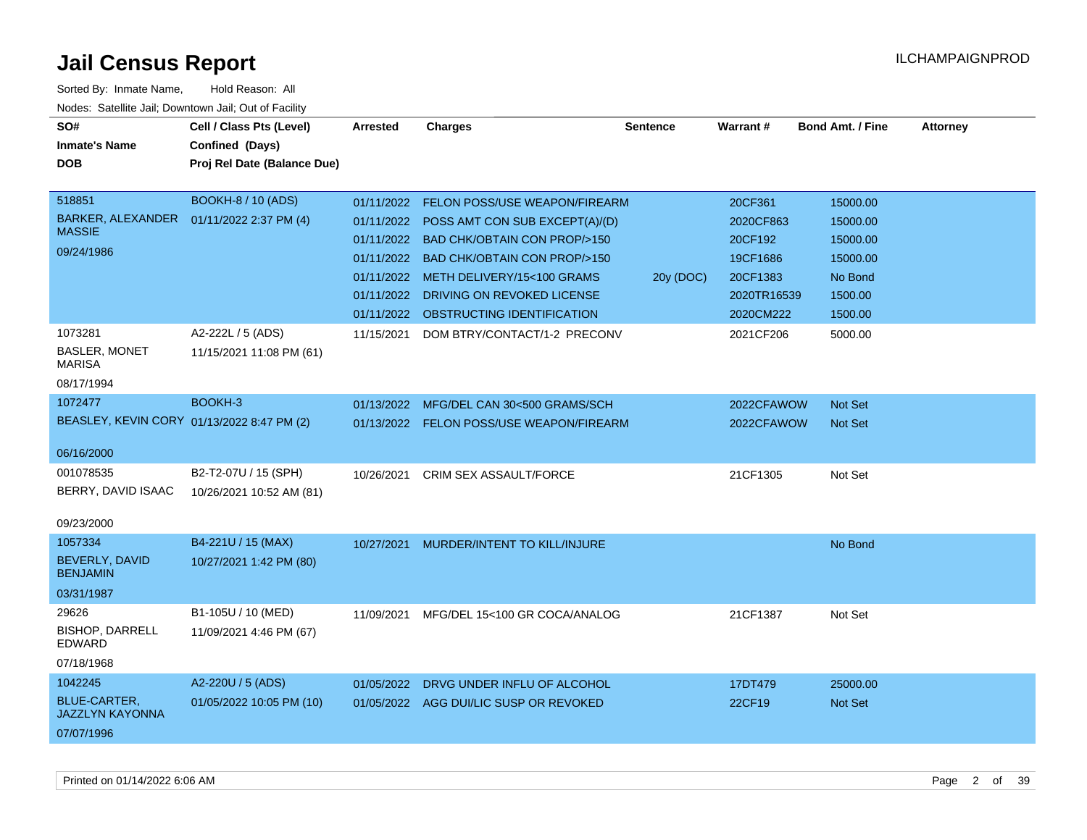| SO#<br><b>Inmate's Name</b>                   | Cell / Class Pts (Level)<br>Confined (Days) | <b>Arrested</b> | <b>Charges</b>                         | <b>Sentence</b> | Warrant#    | <b>Bond Amt. / Fine</b> | <b>Attorney</b> |
|-----------------------------------------------|---------------------------------------------|-----------------|----------------------------------------|-----------------|-------------|-------------------------|-----------------|
| <b>DOB</b>                                    | Proj Rel Date (Balance Due)                 |                 |                                        |                 |             |                         |                 |
|                                               |                                             |                 |                                        |                 |             |                         |                 |
| 518851                                        | <b>BOOKH-8 / 10 (ADS)</b>                   | 01/11/2022      | FELON POSS/USE WEAPON/FIREARM          |                 | 20CF361     | 15000.00                |                 |
| BARKER, ALEXANDER<br><b>MASSIE</b>            | 01/11/2022 2:37 PM (4)                      | 01/11/2022      | POSS AMT CON SUB EXCEPT(A)/(D)         |                 | 2020CF863   | 15000.00                |                 |
| 09/24/1986                                    |                                             | 01/11/2022      | <b>BAD CHK/OBTAIN CON PROP/&gt;150</b> |                 | 20CF192     | 15000.00                |                 |
|                                               |                                             | 01/11/2022      | BAD CHK/OBTAIN CON PROP/>150           |                 | 19CF1686    | 15000.00                |                 |
|                                               |                                             | 01/11/2022      | METH DELIVERY/15<100 GRAMS             | 20y (DOC)       | 20CF1383    | No Bond                 |                 |
|                                               |                                             | 01/11/2022      | DRIVING ON REVOKED LICENSE             |                 | 2020TR16539 | 1500.00                 |                 |
|                                               |                                             | 01/11/2022      | OBSTRUCTING IDENTIFICATION             |                 | 2020CM222   | 1500.00                 |                 |
| 1073281                                       | A2-222L / 5 (ADS)                           | 11/15/2021      | DOM BTRY/CONTACT/1-2 PRECONV           |                 | 2021CF206   | 5000.00                 |                 |
| <b>BASLER, MONET</b><br><b>MARISA</b>         | 11/15/2021 11:08 PM (61)                    |                 |                                        |                 |             |                         |                 |
| 08/17/1994                                    |                                             |                 |                                        |                 |             |                         |                 |
| 1072477                                       | BOOKH-3                                     | 01/13/2022      | MFG/DEL CAN 30<500 GRAMS/SCH           |                 | 2022CFAWOW  | Not Set                 |                 |
| BEASLEY, KEVIN CORY 01/13/2022 8:47 PM (2)    |                                             | 01/13/2022      | FELON POSS/USE WEAPON/FIREARM          |                 | 2022CFAWOW  | <b>Not Set</b>          |                 |
| 06/16/2000                                    |                                             |                 |                                        |                 |             |                         |                 |
| 001078535                                     | B2-T2-07U / 15 (SPH)                        | 10/26/2021      | CRIM SEX ASSAULT/FORCE                 |                 | 21CF1305    | Not Set                 |                 |
| BERRY, DAVID ISAAC                            | 10/26/2021 10:52 AM (81)                    |                 |                                        |                 |             |                         |                 |
| 09/23/2000                                    |                                             |                 |                                        |                 |             |                         |                 |
| 1057334                                       | B4-221U / 15 (MAX)                          | 10/27/2021      | MURDER/INTENT TO KILL/INJURE           |                 |             | No Bond                 |                 |
| BEVERLY, DAVID<br><b>BENJAMIN</b>             | 10/27/2021 1:42 PM (80)                     |                 |                                        |                 |             |                         |                 |
| 03/31/1987                                    |                                             |                 |                                        |                 |             |                         |                 |
| 29626                                         | B1-105U / 10 (MED)                          | 11/09/2021      | MFG/DEL 15<100 GR COCA/ANALOG          |                 | 21CF1387    | Not Set                 |                 |
| <b>BISHOP, DARRELL</b><br>EDWARD              | 11/09/2021 4:46 PM (67)                     |                 |                                        |                 |             |                         |                 |
| 07/18/1968                                    |                                             |                 |                                        |                 |             |                         |                 |
| 1042245                                       | A2-220U / 5 (ADS)                           | 01/05/2022      | DRVG UNDER INFLU OF ALCOHOL            |                 | 17DT479     | 25000.00                |                 |
| <b>BLUE-CARTER,</b><br><b>JAZZLYN KAYONNA</b> | 01/05/2022 10:05 PM (10)                    |                 | 01/05/2022 AGG DUI/LIC SUSP OR REVOKED |                 | 22CF19      | Not Set                 |                 |
| 07/07/1996                                    |                                             |                 |                                        |                 |             |                         |                 |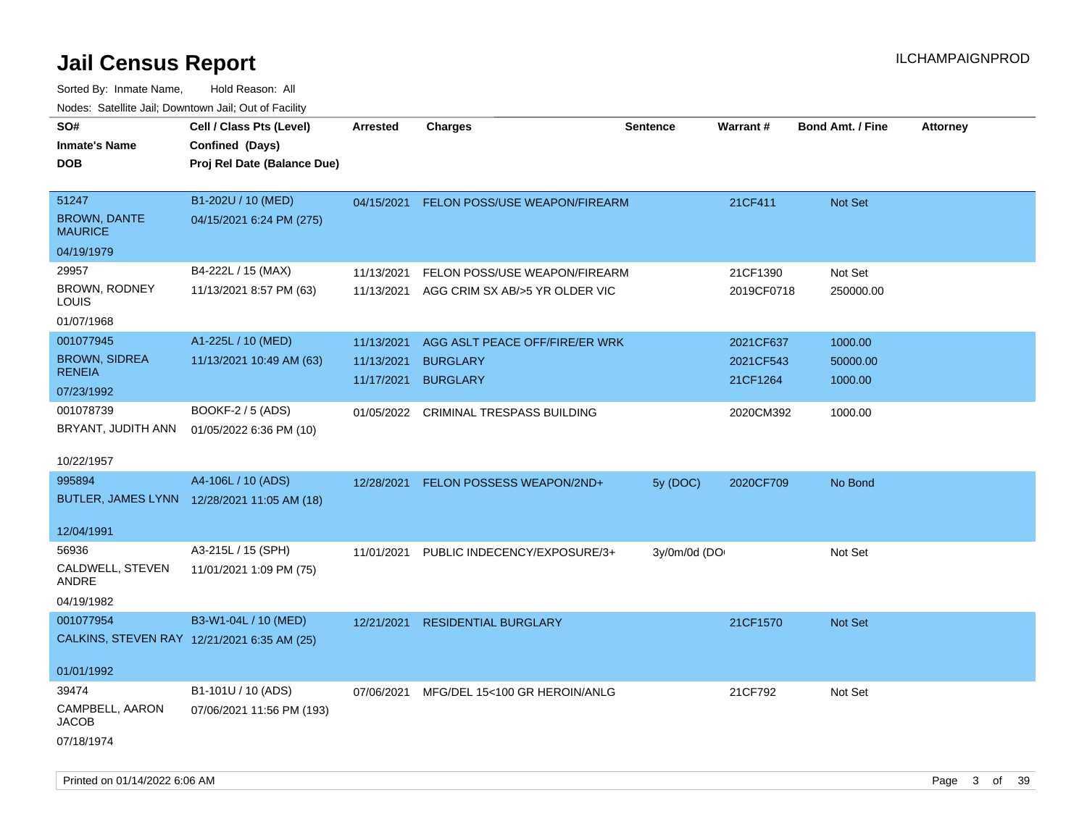| ivuutos. Saltiilit Jali, Duwilluwii Jali, Oul of Facility |                                             |                 |                                   |                 |            |                         |                 |
|-----------------------------------------------------------|---------------------------------------------|-----------------|-----------------------------------|-----------------|------------|-------------------------|-----------------|
| SO#                                                       | Cell / Class Pts (Level)                    | <b>Arrested</b> | <b>Charges</b>                    | <b>Sentence</b> | Warrant#   | <b>Bond Amt. / Fine</b> | <b>Attorney</b> |
| <b>Inmate's Name</b>                                      | Confined (Days)                             |                 |                                   |                 |            |                         |                 |
| DOB                                                       | Proj Rel Date (Balance Due)                 |                 |                                   |                 |            |                         |                 |
|                                                           |                                             |                 |                                   |                 |            |                         |                 |
| 51247                                                     | B1-202U / 10 (MED)                          | 04/15/2021      | FELON POSS/USE WEAPON/FIREARM     |                 | 21CF411    | Not Set                 |                 |
| <b>BROWN, DANTE</b><br><b>MAURICE</b>                     | 04/15/2021 6:24 PM (275)                    |                 |                                   |                 |            |                         |                 |
| 04/19/1979                                                |                                             |                 |                                   |                 |            |                         |                 |
| 29957                                                     | B4-222L / 15 (MAX)                          | 11/13/2021      | FELON POSS/USE WEAPON/FIREARM     |                 | 21CF1390   | Not Set                 |                 |
| BROWN, RODNEY<br>LOUIS                                    | 11/13/2021 8:57 PM (63)                     | 11/13/2021      | AGG CRIM SX AB/>5 YR OLDER VIC    |                 | 2019CF0718 | 250000.00               |                 |
| 01/07/1968                                                |                                             |                 |                                   |                 |            |                         |                 |
| 001077945                                                 | A1-225L / 10 (MED)                          | 11/13/2021      | AGG ASLT PEACE OFF/FIRE/ER WRK    |                 | 2021CF637  | 1000.00                 |                 |
| <b>BROWN, SIDREA</b>                                      | 11/13/2021 10:49 AM (63)                    | 11/13/2021      | <b>BURGLARY</b>                   |                 | 2021CF543  | 50000.00                |                 |
| <b>RENEIA</b>                                             |                                             | 11/17/2021      | <b>BURGLARY</b>                   |                 | 21CF1264   | 1000.00                 |                 |
| 07/23/1992                                                |                                             |                 |                                   |                 |            |                         |                 |
| 001078739                                                 | BOOKF-2 / 5 (ADS)                           | 01/05/2022      | <b>CRIMINAL TRESPASS BUILDING</b> |                 | 2020CM392  | 1000.00                 |                 |
| BRYANT, JUDITH ANN                                        | 01/05/2022 6:36 PM (10)                     |                 |                                   |                 |            |                         |                 |
| 10/22/1957                                                |                                             |                 |                                   |                 |            |                         |                 |
| 995894                                                    | A4-106L / 10 (ADS)                          | 12/28/2021      | FELON POSSESS WEAPON/2ND+         | 5y (DOC)        | 2020CF709  | No Bond                 |                 |
|                                                           | BUTLER, JAMES LYNN 12/28/2021 11:05 AM (18) |                 |                                   |                 |            |                         |                 |
| 12/04/1991                                                |                                             |                 |                                   |                 |            |                         |                 |
| 56936                                                     | A3-215L / 15 (SPH)                          | 11/01/2021      | PUBLIC INDECENCY/EXPOSURE/3+      | 3y/0m/0d (DO    |            | Not Set                 |                 |
| CALDWELL, STEVEN<br>ANDRE                                 | 11/01/2021 1:09 PM (75)                     |                 |                                   |                 |            |                         |                 |
| 04/19/1982                                                |                                             |                 |                                   |                 |            |                         |                 |
| 001077954                                                 | B3-W1-04L / 10 (MED)                        | 12/21/2021      | <b>RESIDENTIAL BURGLARY</b>       |                 | 21CF1570   | Not Set                 |                 |
|                                                           | CALKINS, STEVEN RAY 12/21/2021 6:35 AM (25) |                 |                                   |                 |            |                         |                 |
|                                                           |                                             |                 |                                   |                 |            |                         |                 |
| 01/01/1992                                                |                                             |                 |                                   |                 |            |                         |                 |
| 39474                                                     | B1-101U / 10 (ADS)                          | 07/06/2021      | MFG/DEL 15<100 GR HEROIN/ANLG     |                 | 21CF792    | Not Set                 |                 |
| CAMPBELL, AARON<br>JACOB                                  | 07/06/2021 11:56 PM (193)                   |                 |                                   |                 |            |                         |                 |
| 07/18/1974                                                |                                             |                 |                                   |                 |            |                         |                 |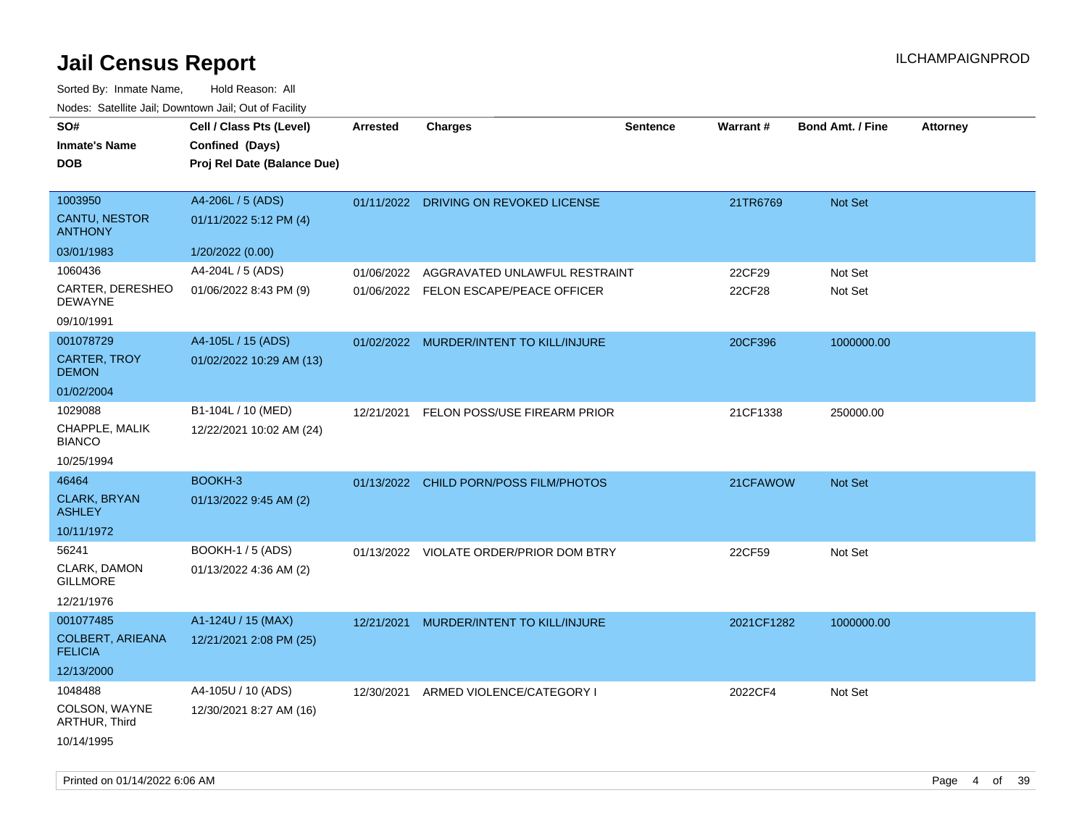Sorted By: Inmate Name, Hold Reason: All Nodes: Satellite Jail; Downtown Jail; Out of Facility

| SO#<br><b>Inmate's Name</b><br><b>DOB</b>                             | Cell / Class Pts (Level)<br>Confined (Days)<br>Proj Rel Date (Balance Due) | <b>Arrested</b> | <b>Charges</b>                                                         | <b>Sentence</b> | Warrant#         | <b>Bond Amt. / Fine</b> | <b>Attorney</b> |
|-----------------------------------------------------------------------|----------------------------------------------------------------------------|-----------------|------------------------------------------------------------------------|-----------------|------------------|-------------------------|-----------------|
| 1003950<br>CANTU, NESTOR<br><b>ANTHONY</b>                            | A4-206L / 5 (ADS)<br>01/11/2022 5:12 PM (4)                                |                 | 01/11/2022 DRIVING ON REVOKED LICENSE                                  |                 | 21TR6769         | Not Set                 |                 |
| 03/01/1983                                                            | 1/20/2022 (0.00)                                                           |                 |                                                                        |                 |                  |                         |                 |
| 1060436<br>CARTER, DERESHEO<br><b>DEWAYNE</b>                         | A4-204L / 5 (ADS)<br>01/06/2022 8:43 PM (9)                                | 01/06/2022      | AGGRAVATED UNLAWFUL RESTRAINT<br>01/06/2022 FELON ESCAPE/PEACE OFFICER |                 | 22CF29<br>22CF28 | Not Set<br>Not Set      |                 |
| 09/10/1991<br>001078729<br>CARTER, TROY<br><b>DEMON</b><br>01/02/2004 | A4-105L / 15 (ADS)<br>01/02/2022 10:29 AM (13)                             |                 | 01/02/2022 MURDER/INTENT TO KILL/INJURE                                |                 | 20CF396          | 1000000.00              |                 |
| 1029088<br>CHAPPLE, MALIK<br><b>BIANCO</b><br>10/25/1994              | B1-104L / 10 (MED)<br>12/22/2021 10:02 AM (24)                             | 12/21/2021      | FELON POSS/USE FIREARM PRIOR                                           |                 | 21CF1338         | 250000.00               |                 |
| 46464<br><b>CLARK, BRYAN</b><br><b>ASHLEY</b><br>10/11/1972           | BOOKH-3<br>01/13/2022 9:45 AM (2)                                          |                 | 01/13/2022 CHILD PORN/POSS FILM/PHOTOS                                 |                 | 21CFAWOW         | Not Set                 |                 |
| 56241<br>CLARK, DAMON<br><b>GILLMORE</b><br>12/21/1976                | <b>BOOKH-1 / 5 (ADS)</b><br>01/13/2022 4:36 AM (2)                         |                 | 01/13/2022 VIOLATE ORDER/PRIOR DOM BTRY                                |                 | 22CF59           | Not Set                 |                 |
| 001077485<br><b>COLBERT, ARIEANA</b><br><b>FELICIA</b><br>12/13/2000  | A1-124U / 15 (MAX)<br>12/21/2021 2:08 PM (25)                              |                 | 12/21/2021 MURDER/INTENT TO KILL/INJURE                                |                 | 2021CF1282       | 1000000.00              |                 |
| 1048488<br>COLSON, WAYNE<br>ARTHUR, Third<br>10/14/1995               | A4-105U / 10 (ADS)<br>12/30/2021 8:27 AM (16)                              | 12/30/2021      | ARMED VIOLENCE/CATEGORY I                                              |                 | 2022CF4          | Not Set                 |                 |

Printed on 01/14/2022 6:06 AM Page 4 of 39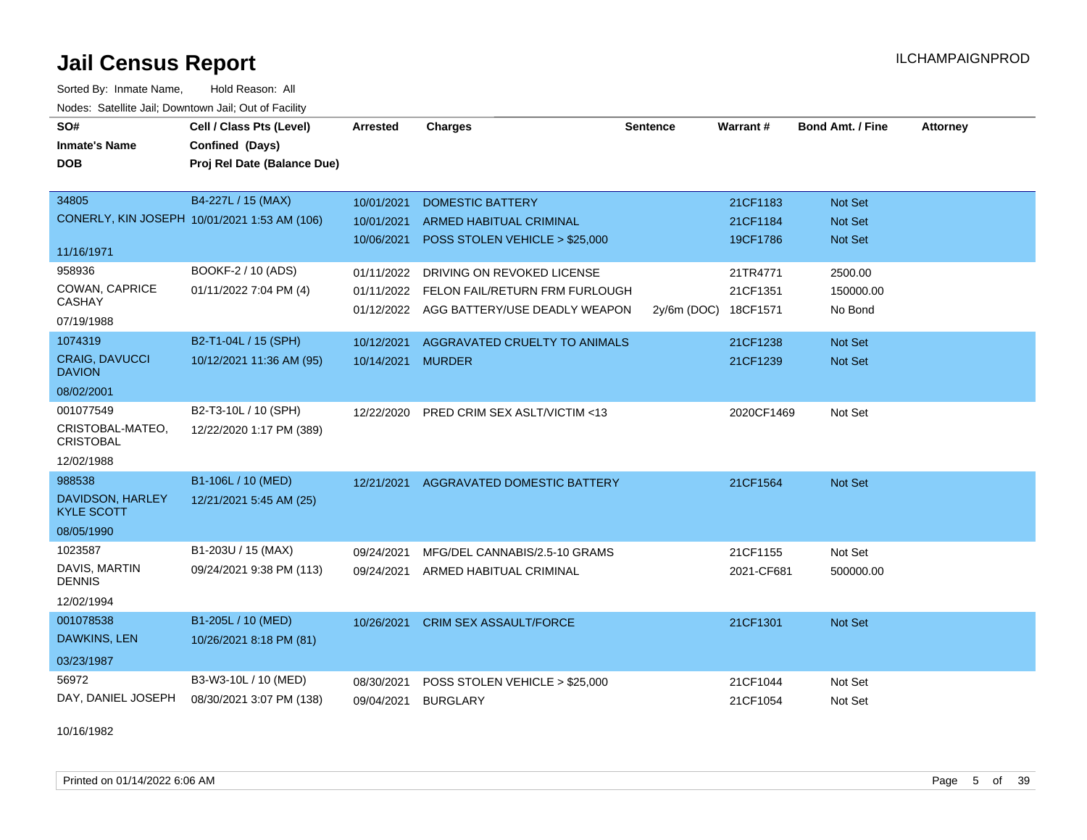Sorted By: Inmate Name, Hold Reason: All Nodes: Satellite Jail; Downtown Jail; Out of Facility

| SO#                                          | Cell / Class Pts (Level)                     | Arrested          | <b>Charges</b>                            | <b>Sentence</b> | <b>Warrant#</b> | <b>Bond Amt. / Fine</b> | <b>Attorney</b> |
|----------------------------------------------|----------------------------------------------|-------------------|-------------------------------------------|-----------------|-----------------|-------------------------|-----------------|
| <b>Inmate's Name</b>                         | Confined (Days)                              |                   |                                           |                 |                 |                         |                 |
| <b>DOB</b>                                   | Proj Rel Date (Balance Due)                  |                   |                                           |                 |                 |                         |                 |
| 34805                                        | B4-227L / 15 (MAX)                           | 10/01/2021        | <b>DOMESTIC BATTERY</b>                   |                 | 21CF1183        | <b>Not Set</b>          |                 |
|                                              | CONERLY, KIN JOSEPH 10/01/2021 1:53 AM (106) | 10/01/2021        | <b>ARMED HABITUAL CRIMINAL</b>            |                 | 21CF1184        | <b>Not Set</b>          |                 |
|                                              |                                              | 10/06/2021        | POSS STOLEN VEHICLE > \$25,000            |                 | 19CF1786        | <b>Not Set</b>          |                 |
| 11/16/1971                                   |                                              |                   |                                           |                 |                 |                         |                 |
| 958936                                       | BOOKF-2 / 10 (ADS)                           | 01/11/2022        | DRIVING ON REVOKED LICENSE                |                 | 21TR4771        | 2500.00                 |                 |
| COWAN, CAPRICE                               | 01/11/2022 7:04 PM (4)                       |                   | 01/11/2022 FELON FAIL/RETURN FRM FURLOUGH |                 | 21CF1351        | 150000.00               |                 |
| <b>CASHAY</b>                                |                                              |                   | 01/12/2022 AGG BATTERY/USE DEADLY WEAPON  | 2y/6m (DOC)     | 18CF1571        | No Bond                 |                 |
| 07/19/1988                                   |                                              |                   |                                           |                 |                 |                         |                 |
| 1074319                                      | B2-T1-04L / 15 (SPH)                         | 10/12/2021        | AGGRAVATED CRUELTY TO ANIMALS             |                 | 21CF1238        | Not Set                 |                 |
| <b>CRAIG, DAVUCCI</b><br><b>DAVION</b>       | 10/12/2021 11:36 AM (95)                     | 10/14/2021 MURDER |                                           |                 | 21CF1239        | <b>Not Set</b>          |                 |
| 08/02/2001                                   |                                              |                   |                                           |                 |                 |                         |                 |
| 001077549                                    | B2-T3-10L / 10 (SPH)                         | 12/22/2020        | PRED CRIM SEX ASLT/VICTIM <13             |                 | 2020CF1469      | Not Set                 |                 |
| CRISTOBAL-MATEO,<br><b>CRISTOBAL</b>         | 12/22/2020 1:17 PM (389)                     |                   |                                           |                 |                 |                         |                 |
| 12/02/1988                                   |                                              |                   |                                           |                 |                 |                         |                 |
| 988538                                       | B1-106L / 10 (MED)                           |                   | 12/21/2021 AGGRAVATED DOMESTIC BATTERY    |                 | 21CF1564        | Not Set                 |                 |
| <b>DAVIDSON, HARLEY</b><br><b>KYLE SCOTT</b> | 12/21/2021 5:45 AM (25)                      |                   |                                           |                 |                 |                         |                 |
| 08/05/1990                                   |                                              |                   |                                           |                 |                 |                         |                 |
| 1023587                                      | B1-203U / 15 (MAX)                           | 09/24/2021        | MFG/DEL CANNABIS/2.5-10 GRAMS             |                 | 21CF1155        | Not Set                 |                 |
| DAVIS, MARTIN<br><b>DENNIS</b>               | 09/24/2021 9:38 PM (113)                     | 09/24/2021        | ARMED HABITUAL CRIMINAL                   |                 | 2021-CF681      | 500000.00               |                 |
| 12/02/1994                                   |                                              |                   |                                           |                 |                 |                         |                 |
| 001078538                                    | B1-205L / 10 (MED)                           | 10/26/2021        | <b>CRIM SEX ASSAULT/FORCE</b>             |                 | 21CF1301        | Not Set                 |                 |
| DAWKINS, LEN                                 | 10/26/2021 8:18 PM (81)                      |                   |                                           |                 |                 |                         |                 |
| 03/23/1987                                   |                                              |                   |                                           |                 |                 |                         |                 |
| 56972                                        | B3-W3-10L / 10 (MED)                         | 08/30/2021        | POSS STOLEN VEHICLE > \$25,000            |                 | 21CF1044        | Not Set                 |                 |
| DAY, DANIEL JOSEPH                           | 08/30/2021 3:07 PM (138)                     | 09/04/2021        | <b>BURGLARY</b>                           |                 | 21CF1054        | Not Set                 |                 |

10/16/1982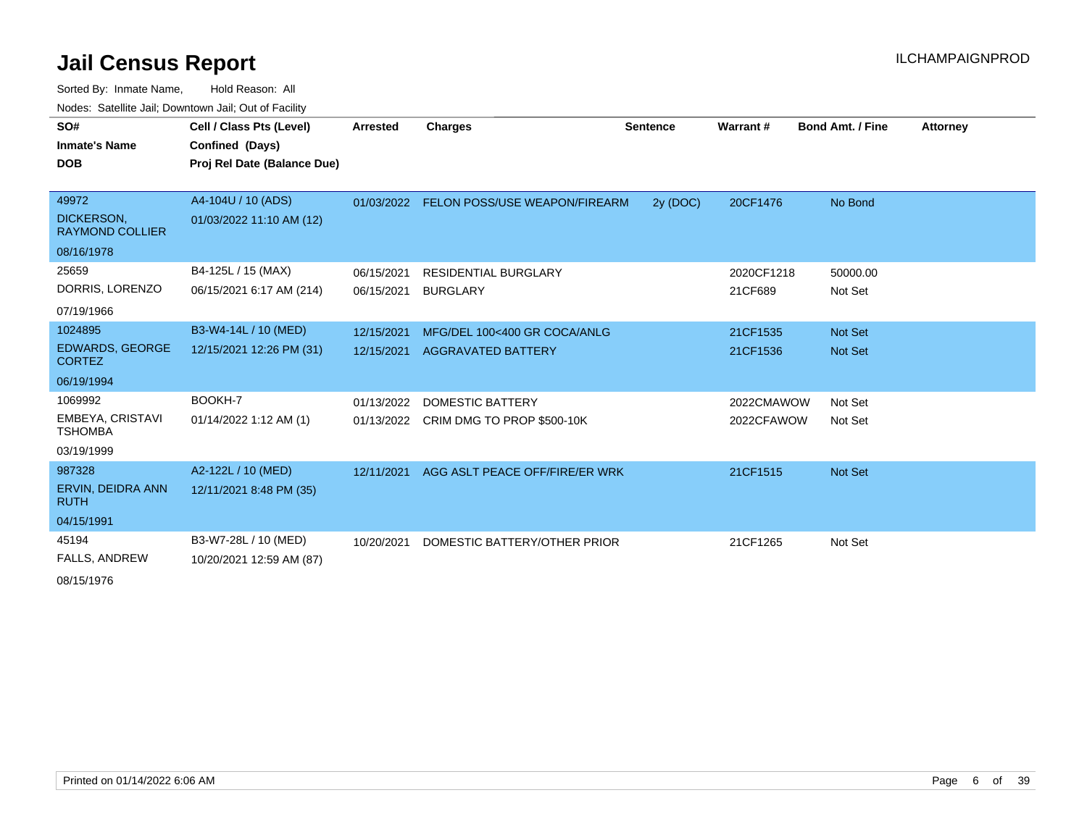Sorted By: Inmate Name, Hold Reason: All Nodes: Satellite Jail; Downtown Jail; Out of Facility

| SO#<br><b>Inmate's Name</b><br><b>DOB</b>                        | Cell / Class Pts (Level)<br>Confined (Days)<br>Proj Rel Date (Balance Due) | Arrested                 | Charges                                                   | <b>Sentence</b> | Warrant#                 | <b>Bond Amt. / Fine</b>          | <b>Attorney</b> |
|------------------------------------------------------------------|----------------------------------------------------------------------------|--------------------------|-----------------------------------------------------------|-----------------|--------------------------|----------------------------------|-----------------|
| 49972<br>DICKERSON,<br><b>RAYMOND COLLIER</b><br>08/16/1978      | A4-104U / 10 (ADS)<br>01/03/2022 11:10 AM (12)                             | 01/03/2022               | <b>FELON POSS/USE WEAPON/FIREARM</b>                      | 2y (DOC)        | 20CF1476                 | No Bond                          |                 |
| 25659<br>DORRIS, LORENZO<br>07/19/1966                           | B4-125L / 15 (MAX)<br>06/15/2021 6:17 AM (214)                             | 06/15/2021<br>06/15/2021 | <b>RESIDENTIAL BURGLARY</b><br><b>BURGLARY</b>            |                 | 2020CF1218<br>21CF689    | 50000.00<br>Not Set              |                 |
| 1024895<br><b>EDWARDS, GEORGE</b><br><b>CORTEZ</b><br>06/19/1994 | B3-W4-14L / 10 (MED)<br>12/15/2021 12:26 PM (31)                           | 12/15/2021<br>12/15/2021 | MFG/DEL 100<400 GR COCA/ANLG<br><b>AGGRAVATED BATTERY</b> |                 | 21CF1535<br>21CF1536     | <b>Not Set</b><br><b>Not Set</b> |                 |
| 1069992<br>EMBEYA, CRISTAVI<br><b>TSHOMBA</b><br>03/19/1999      | BOOKH-7<br>01/14/2022 1:12 AM (1)                                          | 01/13/2022<br>01/13/2022 | DOMESTIC BATTERY<br>CRIM DMG TO PROP \$500-10K            |                 | 2022CMAWOW<br>2022CFAWOW | Not Set<br>Not Set               |                 |
| 987328<br>ERVIN, DEIDRA ANN<br><b>RUTH</b><br>04/15/1991         | A2-122L / 10 (MED)<br>12/11/2021 8:48 PM (35)                              | 12/11/2021               | AGG ASLT PEACE OFF/FIRE/ER WRK                            |                 | 21CF1515                 | <b>Not Set</b>                   |                 |
| 45194<br><b>FALLS, ANDREW</b>                                    | B3-W7-28L / 10 (MED)<br>10/20/2021 12:59 AM (87)                           | 10/20/2021               | DOMESTIC BATTERY/OTHER PRIOR                              |                 | 21CF1265                 | Not Set                          |                 |

08/15/1976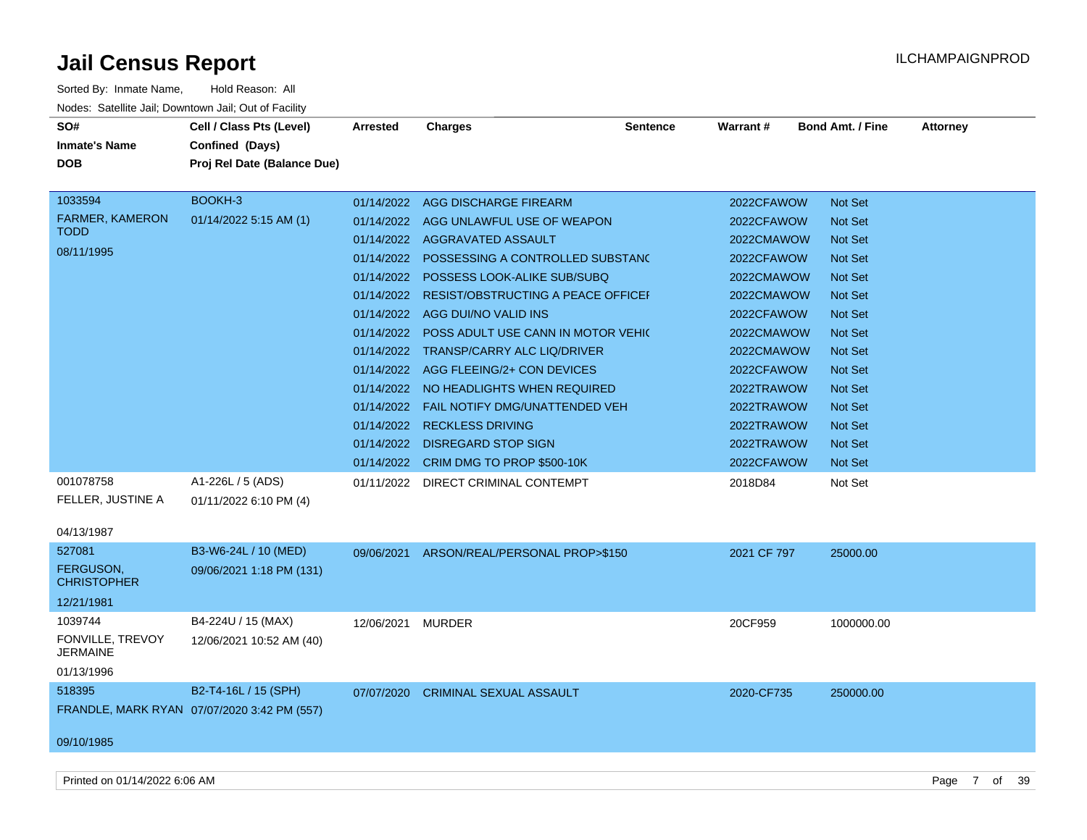| Sorted By: Inmate Name,                               | Hold Reason: All                            |                 |                                               |                 |             |                         |                 |
|-------------------------------------------------------|---------------------------------------------|-----------------|-----------------------------------------------|-----------------|-------------|-------------------------|-----------------|
| Nodes: Satellite Jail; Downtown Jail; Out of Facility |                                             |                 |                                               |                 |             |                         |                 |
| SO#                                                   | Cell / Class Pts (Level)                    | <b>Arrested</b> | <b>Charges</b>                                | <b>Sentence</b> | Warrant#    | <b>Bond Amt. / Fine</b> | <b>Attorney</b> |
| <b>Inmate's Name</b>                                  | Confined (Days)                             |                 |                                               |                 |             |                         |                 |
| DOB                                                   | Proj Rel Date (Balance Due)                 |                 |                                               |                 |             |                         |                 |
|                                                       |                                             |                 |                                               |                 |             |                         |                 |
| 1033594                                               | BOOKH-3                                     |                 | 01/14/2022 AGG DISCHARGE FIREARM              |                 | 2022CFAWOW  | Not Set                 |                 |
| <b>FARMER, KAMERON</b>                                | 01/14/2022 5:15 AM (1)                      |                 | 01/14/2022 AGG UNLAWFUL USE OF WEAPON         |                 | 2022CFAWOW  | <b>Not Set</b>          |                 |
| <b>TODD</b>                                           |                                             |                 | 01/14/2022 AGGRAVATED ASSAULT                 |                 | 2022CMAWOW  | Not Set                 |                 |
| 08/11/1995                                            |                                             |                 | 01/14/2022 POSSESSING A CONTROLLED SUBSTANC   |                 | 2022CFAWOW  | <b>Not Set</b>          |                 |
|                                                       |                                             | 01/14/2022      | POSSESS LOOK-ALIKE SUB/SUBQ                   |                 | 2022CMAWOW  | <b>Not Set</b>          |                 |
|                                                       |                                             | 01/14/2022      | <b>RESIST/OBSTRUCTING A PEACE OFFICEF</b>     |                 | 2022CMAWOW  | <b>Not Set</b>          |                 |
|                                                       |                                             |                 | 01/14/2022 AGG DUI/NO VALID INS               |                 | 2022CFAWOW  | <b>Not Set</b>          |                 |
|                                                       |                                             |                 | 01/14/2022 POSS ADULT USE CANN IN MOTOR VEHIC |                 | 2022CMAWOW  | <b>Not Set</b>          |                 |
|                                                       |                                             |                 | 01/14/2022 TRANSP/CARRY ALC LIQ/DRIVER        |                 | 2022CMAWOW  | <b>Not Set</b>          |                 |
|                                                       |                                             |                 | 01/14/2022 AGG FLEEING/2+ CON DEVICES         |                 | 2022CFAWOW  | <b>Not Set</b>          |                 |
|                                                       |                                             |                 | 01/14/2022 NO HEADLIGHTS WHEN REQUIRED        |                 | 2022TRAWOW  | <b>Not Set</b>          |                 |
|                                                       |                                             |                 | 01/14/2022  FAIL NOTIFY DMG/UNATTENDED VEH    |                 | 2022TRAWOW  | Not Set                 |                 |
|                                                       |                                             |                 | 01/14/2022 RECKLESS DRIVING                   |                 | 2022TRAWOW  | <b>Not Set</b>          |                 |
|                                                       |                                             |                 | 01/14/2022 DISREGARD STOP SIGN                |                 | 2022TRAWOW  | <b>Not Set</b>          |                 |
|                                                       |                                             |                 | 01/14/2022 CRIM DMG TO PROP \$500-10K         |                 | 2022CFAWOW  | <b>Not Set</b>          |                 |
| 001078758                                             | A1-226L / 5 (ADS)                           |                 | 01/11/2022 DIRECT CRIMINAL CONTEMPT           |                 | 2018D84     | Not Set                 |                 |
| FELLER, JUSTINE A                                     | 01/11/2022 6:10 PM (4)                      |                 |                                               |                 |             |                         |                 |
|                                                       |                                             |                 |                                               |                 |             |                         |                 |
| 04/13/1987                                            |                                             |                 |                                               |                 |             |                         |                 |
| 527081                                                | B3-W6-24L / 10 (MED)                        |                 | 09/06/2021 ARSON/REAL/PERSONAL PROP>\$150     |                 | 2021 CF 797 | 25000.00                |                 |
| <b>FERGUSON.</b><br><b>CHRISTOPHER</b>                | 09/06/2021 1:18 PM (131)                    |                 |                                               |                 |             |                         |                 |
| 12/21/1981                                            |                                             |                 |                                               |                 |             |                         |                 |
| 1039744                                               | B4-224U / 15 (MAX)                          | 12/06/2021      | MURDER                                        |                 | 20CF959     | 1000000.00              |                 |
| FONVILLE, TREVOY                                      | 12/06/2021 10:52 AM (40)                    |                 |                                               |                 |             |                         |                 |
| <b>JERMAINE</b>                                       |                                             |                 |                                               |                 |             |                         |                 |
| 01/13/1996                                            |                                             |                 |                                               |                 |             |                         |                 |
| 518395                                                | B2-T4-16L / 15 (SPH)                        |                 | 07/07/2020 CRIMINAL SEXUAL ASSAULT            |                 | 2020-CF735  | 250000.00               |                 |
|                                                       | FRANDLE, MARK RYAN 07/07/2020 3:42 PM (557) |                 |                                               |                 |             |                         |                 |
|                                                       |                                             |                 |                                               |                 |             |                         |                 |
| 09/10/1985                                            |                                             |                 |                                               |                 |             |                         |                 |
|                                                       |                                             |                 |                                               |                 |             |                         |                 |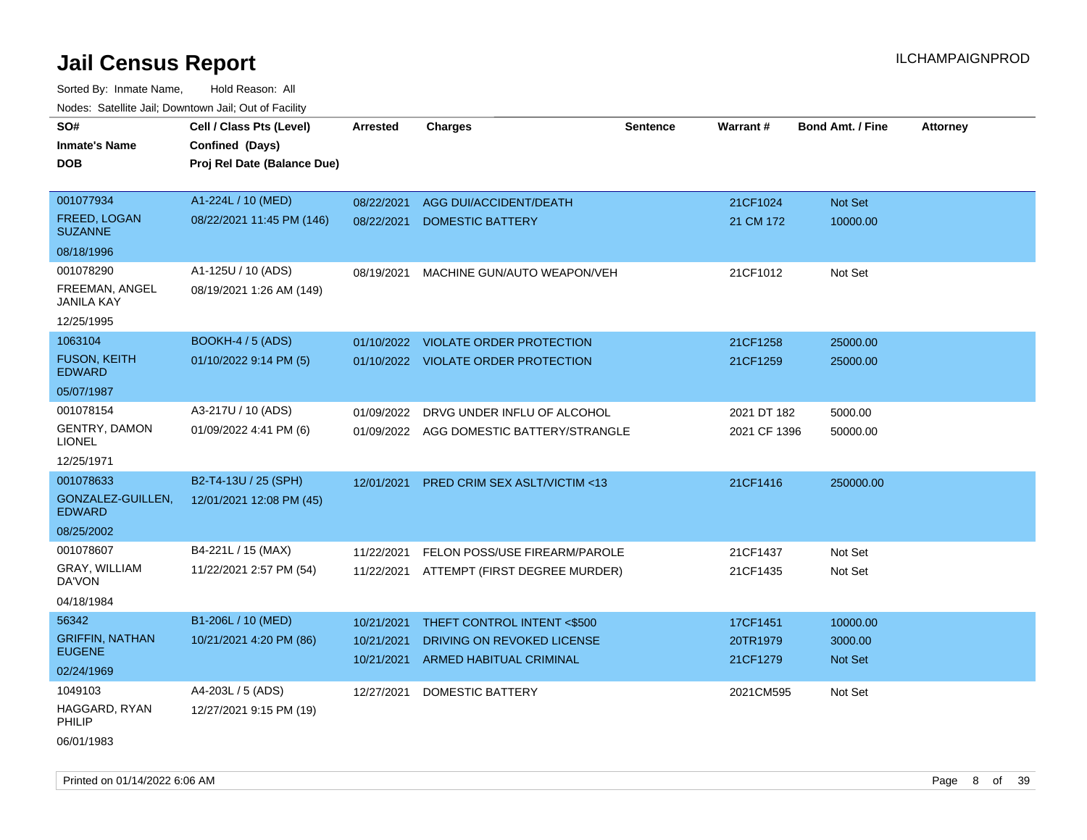| roaco. Catolino cali, Downtown cali, Out of Fability |                             |                          |                                                       |                 |                      |                         |                 |
|------------------------------------------------------|-----------------------------|--------------------------|-------------------------------------------------------|-----------------|----------------------|-------------------------|-----------------|
| SO#                                                  | Cell / Class Pts (Level)    | Arrested                 | <b>Charges</b>                                        | <b>Sentence</b> | Warrant#             | <b>Bond Amt. / Fine</b> | <b>Attorney</b> |
| <b>Inmate's Name</b>                                 | Confined (Days)             |                          |                                                       |                 |                      |                         |                 |
| <b>DOB</b>                                           | Proj Rel Date (Balance Due) |                          |                                                       |                 |                      |                         |                 |
|                                                      |                             |                          |                                                       |                 |                      |                         |                 |
| 001077934                                            | A1-224L / 10 (MED)          | 08/22/2021               | AGG DUI/ACCIDENT/DEATH                                |                 | 21CF1024             | Not Set                 |                 |
| FREED, LOGAN<br><b>SUZANNE</b>                       | 08/22/2021 11:45 PM (146)   | 08/22/2021               | <b>DOMESTIC BATTERY</b>                               |                 | 21 CM 172            | 10000.00                |                 |
| 08/18/1996                                           |                             |                          |                                                       |                 |                      |                         |                 |
| 001078290                                            | A1-125U / 10 (ADS)          | 08/19/2021               | MACHINE GUN/AUTO WEAPON/VEH                           |                 | 21CF1012             | Not Set                 |                 |
| FREEMAN, ANGEL<br><b>JANILA KAY</b>                  | 08/19/2021 1:26 AM (149)    |                          |                                                       |                 |                      |                         |                 |
| 12/25/1995                                           |                             |                          |                                                       |                 |                      |                         |                 |
| 1063104                                              | BOOKH-4 / 5 (ADS)           | 01/10/2022               | <b>VIOLATE ORDER PROTECTION</b>                       |                 | 21CF1258             | 25000.00                |                 |
| <b>FUSON, KEITH</b><br><b>EDWARD</b>                 | 01/10/2022 9:14 PM (5)      |                          | 01/10/2022 VIOLATE ORDER PROTECTION                   |                 | 21CF1259             | 25000.00                |                 |
| 05/07/1987                                           |                             |                          |                                                       |                 |                      |                         |                 |
| 001078154                                            | A3-217U / 10 (ADS)          | 01/09/2022               | DRVG UNDER INFLU OF ALCOHOL                           |                 | 2021 DT 182          | 5000.00                 |                 |
| <b>GENTRY, DAMON</b><br><b>LIONEL</b>                | 01/09/2022 4:41 PM (6)      |                          | 01/09/2022 AGG DOMESTIC BATTERY/STRANGLE              |                 | 2021 CF 1396         | 50000.00                |                 |
| 12/25/1971                                           |                             |                          |                                                       |                 |                      |                         |                 |
| 001078633                                            | B2-T4-13U / 25 (SPH)        | 12/01/2021               | <b>PRED CRIM SEX ASLT/VICTIM &lt;13</b>               |                 | 21CF1416             | 250000.00               |                 |
| GONZALEZ-GUILLEN,<br><b>EDWARD</b>                   | 12/01/2021 12:08 PM (45)    |                          |                                                       |                 |                      |                         |                 |
| 08/25/2002                                           |                             |                          |                                                       |                 |                      |                         |                 |
| 001078607                                            | B4-221L / 15 (MAX)          | 11/22/2021               | FELON POSS/USE FIREARM/PAROLE                         |                 | 21CF1437             | Not Set                 |                 |
| GRAY, WILLIAM<br>DA'VON                              | 11/22/2021 2:57 PM (54)     | 11/22/2021               | ATTEMPT (FIRST DEGREE MURDER)                         |                 | 21CF1435             | Not Set                 |                 |
| 04/18/1984                                           |                             |                          |                                                       |                 |                      |                         |                 |
| 56342                                                | B1-206L / 10 (MED)          | 10/21/2021               | THEFT CONTROL INTENT <\$500                           |                 | 17CF1451             | 10000.00                |                 |
| <b>GRIFFIN, NATHAN</b><br><b>EUGENE</b>              | 10/21/2021 4:20 PM (86)     | 10/21/2021<br>10/21/2021 | DRIVING ON REVOKED LICENSE<br>ARMED HABITUAL CRIMINAL |                 | 20TR1979<br>21CF1279 | 3000.00<br>Not Set      |                 |
| 02/24/1969                                           |                             |                          |                                                       |                 |                      |                         |                 |
| 1049103                                              | A4-203L / 5 (ADS)           | 12/27/2021               | <b>DOMESTIC BATTERY</b>                               |                 | 2021CM595            | Not Set                 |                 |
| HAGGARD, RYAN<br>PHILIP                              | 12/27/2021 9:15 PM (19)     |                          |                                                       |                 |                      |                         |                 |
| 06/01/1983                                           |                             |                          |                                                       |                 |                      |                         |                 |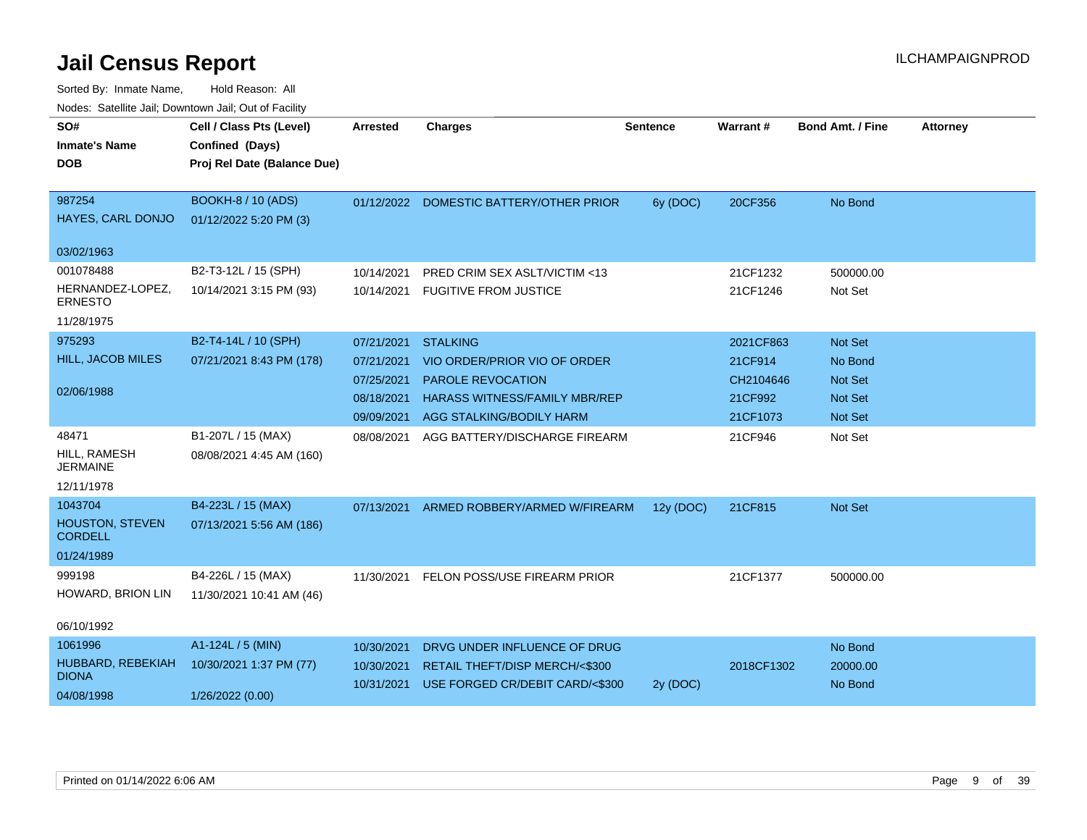| rioucs. Odichite Jah, Downtown Jah, Out of Facility |                             |                 |                                         |                 |            |                         |                 |
|-----------------------------------------------------|-----------------------------|-----------------|-----------------------------------------|-----------------|------------|-------------------------|-----------------|
| SO#                                                 | Cell / Class Pts (Level)    | <b>Arrested</b> | <b>Charges</b>                          | <b>Sentence</b> | Warrant#   | <b>Bond Amt. / Fine</b> | <b>Attorney</b> |
| <b>Inmate's Name</b>                                | Confined (Days)             |                 |                                         |                 |            |                         |                 |
| <b>DOB</b>                                          | Proj Rel Date (Balance Due) |                 |                                         |                 |            |                         |                 |
|                                                     |                             |                 |                                         |                 |            |                         |                 |
| 987254                                              | <b>BOOKH-8 / 10 (ADS)</b>   |                 | 01/12/2022 DOMESTIC BATTERY/OTHER PRIOR | 6y (DOC)        | 20CF356    | No Bond                 |                 |
| HAYES, CARL DONJO                                   | 01/12/2022 5:20 PM (3)      |                 |                                         |                 |            |                         |                 |
| 03/02/1963                                          |                             |                 |                                         |                 |            |                         |                 |
| 001078488                                           | B2-T3-12L / 15 (SPH)        | 10/14/2021      | PRED CRIM SEX ASLT/VICTIM <13           |                 | 21CF1232   | 500000.00               |                 |
| HERNANDEZ-LOPEZ,<br><b>ERNESTO</b>                  | 10/14/2021 3:15 PM (93)     | 10/14/2021      | <b>FUGITIVE FROM JUSTICE</b>            |                 | 21CF1246   | Not Set                 |                 |
| 11/28/1975                                          |                             |                 |                                         |                 |            |                         |                 |
| 975293                                              | B2-T4-14L / 10 (SPH)        | 07/21/2021      | <b>STALKING</b>                         |                 | 2021CF863  | Not Set                 |                 |
| HILL, JACOB MILES                                   | 07/21/2021 8:43 PM (178)    | 07/21/2021      | VIO ORDER/PRIOR VIO OF ORDER            |                 | 21CF914    | No Bond                 |                 |
|                                                     |                             | 07/25/2021      | <b>PAROLE REVOCATION</b>                |                 | CH2104646  | <b>Not Set</b>          |                 |
| 02/06/1988                                          |                             | 08/18/2021      | <b>HARASS WITNESS/FAMILY MBR/REP</b>    |                 | 21CF992    | Not Set                 |                 |
|                                                     |                             | 09/09/2021      | AGG STALKING/BODILY HARM                |                 | 21CF1073   | Not Set                 |                 |
| 48471                                               | B1-207L / 15 (MAX)          | 08/08/2021      | AGG BATTERY/DISCHARGE FIREARM           |                 | 21CF946    | Not Set                 |                 |
| HILL, RAMESH<br><b>JERMAINE</b>                     | 08/08/2021 4:45 AM (160)    |                 |                                         |                 |            |                         |                 |
| 12/11/1978                                          |                             |                 |                                         |                 |            |                         |                 |
| 1043704                                             | B4-223L / 15 (MAX)          | 07/13/2021      | ARMED ROBBERY/ARMED W/FIREARM           | 12y (DOC)       | 21CF815    | <b>Not Set</b>          |                 |
| <b>HOUSTON, STEVEN</b><br><b>CORDELL</b>            | 07/13/2021 5:56 AM (186)    |                 |                                         |                 |            |                         |                 |
| 01/24/1989                                          |                             |                 |                                         |                 |            |                         |                 |
| 999198                                              | B4-226L / 15 (MAX)          | 11/30/2021      | FELON POSS/USE FIREARM PRIOR            |                 | 21CF1377   | 500000.00               |                 |
| HOWARD, BRION LIN                                   | 11/30/2021 10:41 AM (46)    |                 |                                         |                 |            |                         |                 |
| 06/10/1992                                          |                             |                 |                                         |                 |            |                         |                 |
| 1061996                                             | A1-124L / 5 (MIN)           | 10/30/2021      | DRVG UNDER INFLUENCE OF DRUG            |                 |            | No Bond                 |                 |
| HUBBARD, REBEKIAH<br><b>DIONA</b>                   | 10/30/2021 1:37 PM (77)     | 10/30/2021      | RETAIL THEFT/DISP MERCH/<\$300          |                 | 2018CF1302 | 20000.00                |                 |
| 04/08/1998                                          | 1/26/2022 (0.00)            | 10/31/2021      | USE FORGED CR/DEBIT CARD/<\$300         | 2y (DOC)        |            | No Bond                 |                 |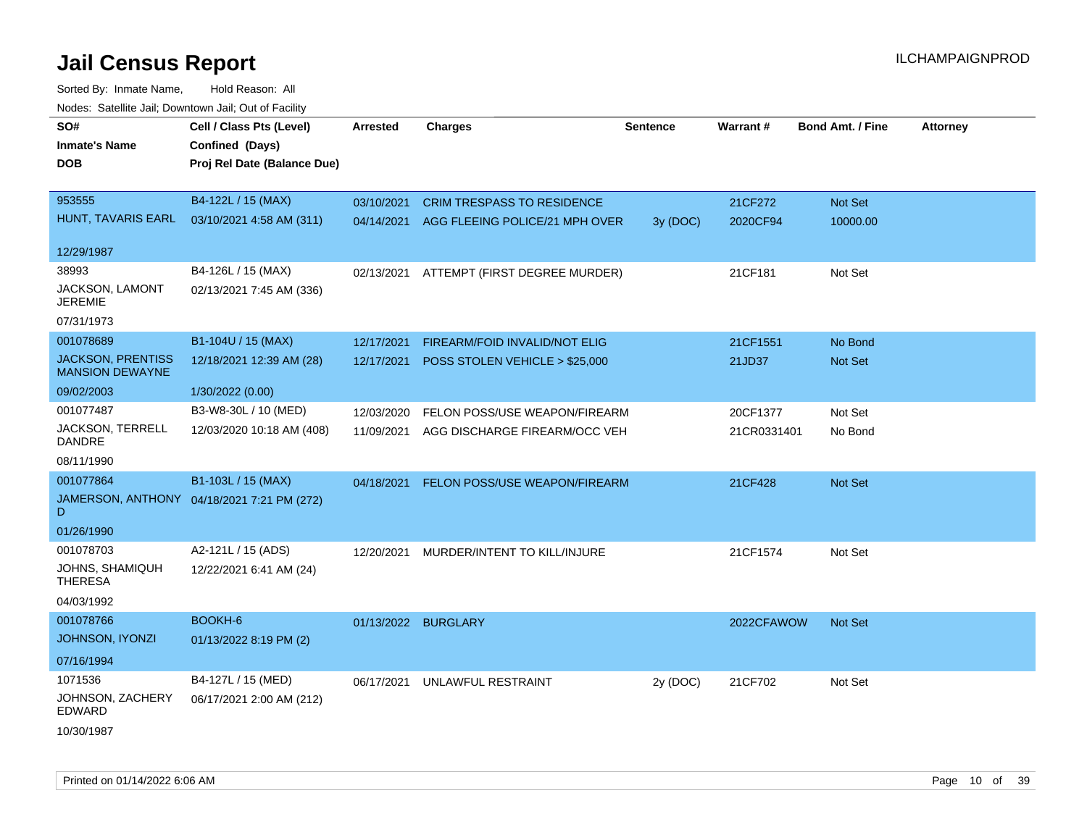| wacs. Calcinic Jan, Downtown Jan, Out of Facility  |                                            |                     |                                          |                 |             |                         |                 |
|----------------------------------------------------|--------------------------------------------|---------------------|------------------------------------------|-----------------|-------------|-------------------------|-----------------|
| SO#                                                | Cell / Class Pts (Level)                   | <b>Arrested</b>     | <b>Charges</b>                           | <b>Sentence</b> | Warrant#    | <b>Bond Amt. / Fine</b> | <b>Attorney</b> |
| <b>Inmate's Name</b>                               | Confined (Days)                            |                     |                                          |                 |             |                         |                 |
| <b>DOB</b>                                         | Proj Rel Date (Balance Due)                |                     |                                          |                 |             |                         |                 |
|                                                    |                                            |                     |                                          |                 |             |                         |                 |
| 953555                                             | B4-122L / 15 (MAX)                         | 03/10/2021          | <b>CRIM TRESPASS TO RESIDENCE</b>        |                 | 21CF272     | Not Set                 |                 |
| HUNT, TAVARIS EARL                                 | 03/10/2021 4:58 AM (311)                   | 04/14/2021          | AGG FLEEING POLICE/21 MPH OVER           | 3y (DOC)        | 2020CF94    | 10000.00                |                 |
| 12/29/1987                                         |                                            |                     |                                          |                 |             |                         |                 |
| 38993                                              | B4-126L / 15 (MAX)                         |                     | 02/13/2021 ATTEMPT (FIRST DEGREE MURDER) |                 | 21CF181     | Not Set                 |                 |
| JACKSON, LAMONT<br>JEREMIE                         | 02/13/2021 7:45 AM (336)                   |                     |                                          |                 |             |                         |                 |
| 07/31/1973                                         |                                            |                     |                                          |                 |             |                         |                 |
| 001078689                                          | B1-104U / 15 (MAX)                         | 12/17/2021          | FIREARM/FOID INVALID/NOT ELIG            |                 | 21CF1551    | No Bond                 |                 |
| <b>JACKSON, PRENTISS</b><br><b>MANSION DEWAYNE</b> | 12/18/2021 12:39 AM (28)                   | 12/17/2021          | POSS STOLEN VEHICLE > \$25,000           |                 | 21JD37      | Not Set                 |                 |
| 09/02/2003                                         | 1/30/2022 (0.00)                           |                     |                                          |                 |             |                         |                 |
| 001077487                                          | B3-W8-30L / 10 (MED)                       | 12/03/2020          | FELON POSS/USE WEAPON/FIREARM            |                 | 20CF1377    | Not Set                 |                 |
| JACKSON, TERRELL<br>DANDRE                         | 12/03/2020 10:18 AM (408)                  | 11/09/2021          | AGG DISCHARGE FIREARM/OCC VEH            |                 | 21CR0331401 | No Bond                 |                 |
| 08/11/1990                                         |                                            |                     |                                          |                 |             |                         |                 |
| 001077864                                          | B1-103L / 15 (MAX)                         | 04/18/2021          | <b>FELON POSS/USE WEAPON/FIREARM</b>     |                 | 21CF428     | <b>Not Set</b>          |                 |
| D                                                  | JAMERSON, ANTHONY 04/18/2021 7:21 PM (272) |                     |                                          |                 |             |                         |                 |
| 01/26/1990                                         |                                            |                     |                                          |                 |             |                         |                 |
| 001078703                                          | A2-121L / 15 (ADS)                         | 12/20/2021          | MURDER/INTENT TO KILL/INJURE             |                 | 21CF1574    | Not Set                 |                 |
| JOHNS, SHAMIQUH<br><b>THERESA</b>                  | 12/22/2021 6:41 AM (24)                    |                     |                                          |                 |             |                         |                 |
| 04/03/1992                                         |                                            |                     |                                          |                 |             |                         |                 |
| 001078766                                          | BOOKH-6                                    | 01/13/2022 BURGLARY |                                          |                 | 2022CFAWOW  | <b>Not Set</b>          |                 |
| <b>JOHNSON, IYONZI</b>                             | 01/13/2022 8:19 PM (2)                     |                     |                                          |                 |             |                         |                 |
| 07/16/1994                                         |                                            |                     |                                          |                 |             |                         |                 |
| 1071536                                            | B4-127L / 15 (MED)                         | 06/17/2021          | UNLAWFUL RESTRAINT                       | 2y (DOC)        | 21CF702     | Not Set                 |                 |
| JOHNSON, ZACHERY<br>EDWARD                         | 06/17/2021 2:00 AM (212)                   |                     |                                          |                 |             |                         |                 |
| 10/30/1987                                         |                                            |                     |                                          |                 |             |                         |                 |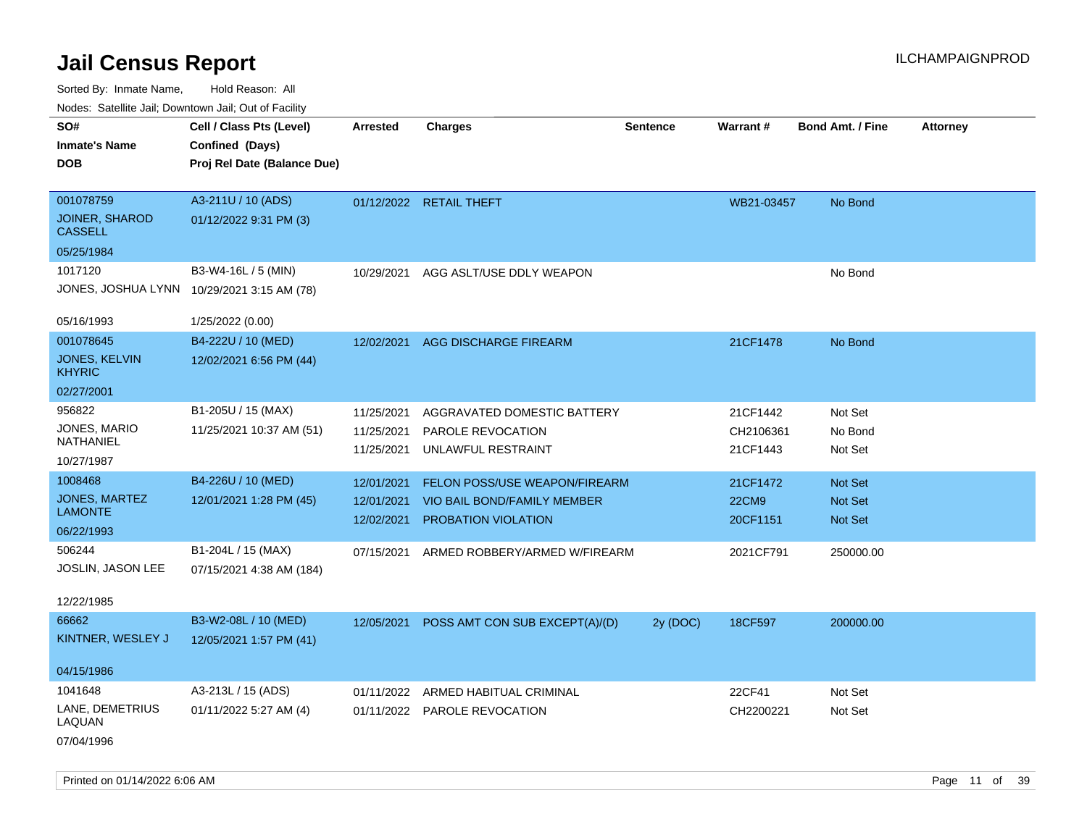| roaco. Odichile Jan, Downtown Jan, Out of Facility |                                            |                 |                                |                 |              |                         |                 |
|----------------------------------------------------|--------------------------------------------|-----------------|--------------------------------|-----------------|--------------|-------------------------|-----------------|
| SO#                                                | Cell / Class Pts (Level)                   | <b>Arrested</b> | <b>Charges</b>                 | <b>Sentence</b> | Warrant#     | <b>Bond Amt. / Fine</b> | <b>Attorney</b> |
| <b>Inmate's Name</b>                               | Confined (Days)                            |                 |                                |                 |              |                         |                 |
| <b>DOB</b>                                         | Proj Rel Date (Balance Due)                |                 |                                |                 |              |                         |                 |
|                                                    |                                            |                 |                                |                 |              |                         |                 |
| 001078759                                          | A3-211U / 10 (ADS)                         |                 | 01/12/2022 RETAIL THEFT        |                 | WB21-03457   | No Bond                 |                 |
| <b>JOINER, SHAROD</b><br><b>CASSELL</b>            | 01/12/2022 9:31 PM (3)                     |                 |                                |                 |              |                         |                 |
| 05/25/1984                                         |                                            |                 |                                |                 |              |                         |                 |
| 1017120                                            | B3-W4-16L / 5 (MIN)                        | 10/29/2021      | AGG ASLT/USE DDLY WEAPON       |                 |              | No Bond                 |                 |
|                                                    | JONES, JOSHUA LYNN 10/29/2021 3:15 AM (78) |                 |                                |                 |              |                         |                 |
| 05/16/1993                                         | 1/25/2022 (0.00)                           |                 |                                |                 |              |                         |                 |
| 001078645                                          | B4-222U / 10 (MED)                         | 12/02/2021      | AGG DISCHARGE FIREARM          |                 | 21CF1478     | No Bond                 |                 |
| JONES, KELVIN<br><b>KHYRIC</b>                     | 12/02/2021 6:56 PM (44)                    |                 |                                |                 |              |                         |                 |
| 02/27/2001                                         |                                            |                 |                                |                 |              |                         |                 |
| 956822                                             | B1-205U / 15 (MAX)                         | 11/25/2021      | AGGRAVATED DOMESTIC BATTERY    |                 | 21CF1442     | Not Set                 |                 |
| <b>JONES, MARIO</b>                                | 11/25/2021 10:37 AM (51)                   | 11/25/2021      | PAROLE REVOCATION              |                 | CH2106361    | No Bond                 |                 |
| NATHANIEL                                          |                                            | 11/25/2021      | UNLAWFUL RESTRAINT             |                 | 21CF1443     | Not Set                 |                 |
| 10/27/1987                                         |                                            |                 |                                |                 |              |                         |                 |
| 1008468                                            | B4-226U / 10 (MED)                         | 12/01/2021      | FELON POSS/USE WEAPON/FIREARM  |                 | 21CF1472     | <b>Not Set</b>          |                 |
| <b>JONES, MARTEZ</b>                               | 12/01/2021 1:28 PM (45)                    | 12/01/2021      | VIO BAIL BOND/FAMILY MEMBER    |                 | <b>22CM9</b> | <b>Not Set</b>          |                 |
| <b>LAMONTE</b>                                     |                                            | 12/02/2021      | <b>PROBATION VIOLATION</b>     |                 | 20CF1151     | <b>Not Set</b>          |                 |
| 06/22/1993                                         |                                            |                 |                                |                 |              |                         |                 |
| 506244                                             | B1-204L / 15 (MAX)                         | 07/15/2021      | ARMED ROBBERY/ARMED W/FIREARM  |                 | 2021CF791    | 250000.00               |                 |
| JOSLIN, JASON LEE                                  | 07/15/2021 4:38 AM (184)                   |                 |                                |                 |              |                         |                 |
| 12/22/1985                                         |                                            |                 |                                |                 |              |                         |                 |
| 66662                                              | B3-W2-08L / 10 (MED)                       | 12/05/2021      | POSS AMT CON SUB EXCEPT(A)/(D) | 2y (DOC)        | 18CF597      | 200000.00               |                 |
| KINTNER, WESLEY J                                  | 12/05/2021 1:57 PM (41)                    |                 |                                |                 |              |                         |                 |
| 04/15/1986                                         |                                            |                 |                                |                 |              |                         |                 |
| 1041648                                            | A3-213L / 15 (ADS)                         | 01/11/2022      | ARMED HABITUAL CRIMINAL        |                 | 22CF41       | Not Set                 |                 |
| LANE, DEMETRIUS<br>LAQUAN                          | 01/11/2022 5:27 AM (4)                     |                 | 01/11/2022 PAROLE REVOCATION   |                 | CH2200221    | Not Set                 |                 |
| 07/04/1996                                         |                                            |                 |                                |                 |              |                         |                 |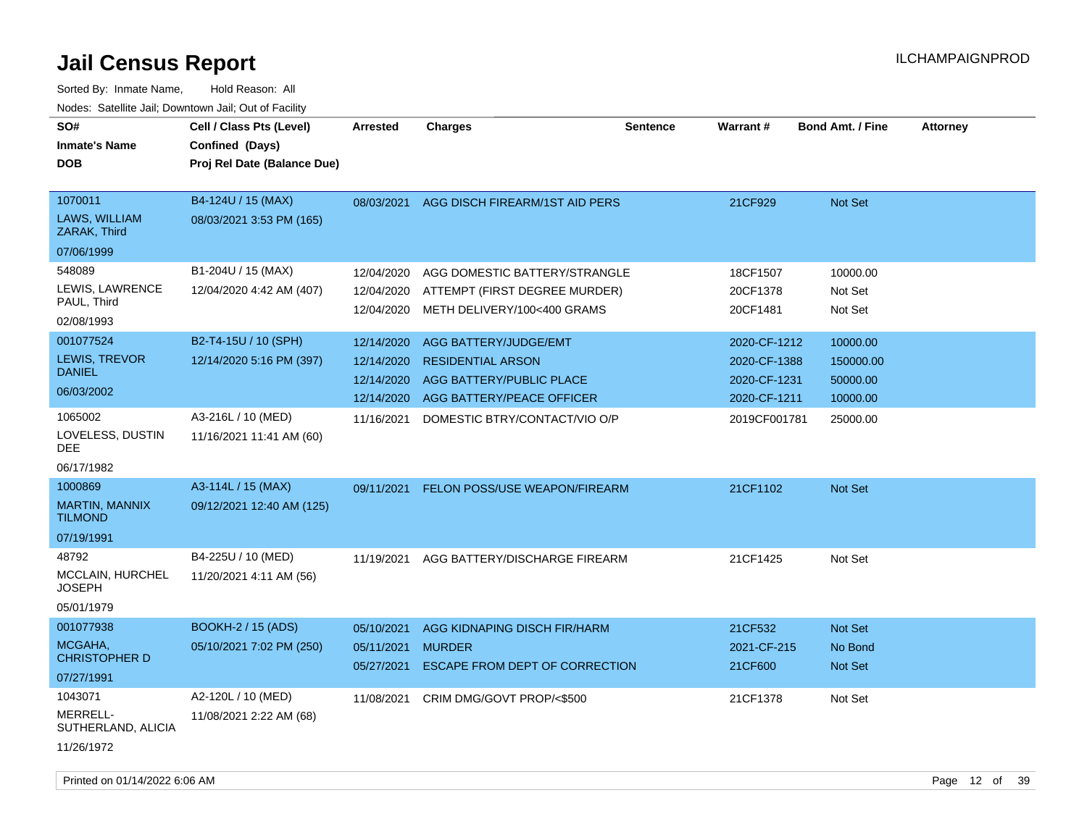| SO#<br><b>Inmate's Name</b><br><b>DOB</b>                        | Cell / Class Pts (Level)<br>Confined (Days)<br>Proj Rel Date (Balance Due) | <b>Arrested</b>                                      | <b>Charges</b>                                                                                             | <b>Sentence</b> | <b>Warrant#</b>                                              | <b>Bond Amt. / Fine</b>                       | <b>Attorney</b> |
|------------------------------------------------------------------|----------------------------------------------------------------------------|------------------------------------------------------|------------------------------------------------------------------------------------------------------------|-----------------|--------------------------------------------------------------|-----------------------------------------------|-----------------|
| 1070011<br>LAWS, WILLIAM<br>ZARAK, Third<br>07/06/1999           | B4-124U / 15 (MAX)<br>08/03/2021 3:53 PM (165)                             |                                                      | 08/03/2021 AGG DISCH FIREARM/1ST AID PERS                                                                  |                 | 21CF929                                                      | Not Set                                       |                 |
| 548089<br>LEWIS, LAWRENCE<br>PAUL, Third<br>02/08/1993           | B1-204U / 15 (MAX)<br>12/04/2020 4:42 AM (407)                             | 12/04/2020<br>12/04/2020<br>12/04/2020               | AGG DOMESTIC BATTERY/STRANGLE<br>ATTEMPT (FIRST DEGREE MURDER)<br>METH DELIVERY/100<400 GRAMS              |                 | 18CF1507<br>20CF1378<br>20CF1481                             | 10000.00<br>Not Set<br>Not Set                |                 |
| 001077524<br>LEWIS, TREVOR<br><b>DANIEL</b><br>06/03/2002        | B2-T4-15U / 10 (SPH)<br>12/14/2020 5:16 PM (397)                           | 12/14/2020<br>12/14/2020<br>12/14/2020<br>12/14/2020 | AGG BATTERY/JUDGE/EMT<br><b>RESIDENTIAL ARSON</b><br>AGG BATTERY/PUBLIC PLACE<br>AGG BATTERY/PEACE OFFICER |                 | 2020-CF-1212<br>2020-CF-1388<br>2020-CF-1231<br>2020-CF-1211 | 10000.00<br>150000.00<br>50000.00<br>10000.00 |                 |
| 1065002<br>LOVELESS, DUSTIN<br><b>DEE</b><br>06/17/1982          | A3-216L / 10 (MED)<br>11/16/2021 11:41 AM (60)                             | 11/16/2021                                           | DOMESTIC BTRY/CONTACT/VIO O/P                                                                              |                 | 2019CF001781                                                 | 25000.00                                      |                 |
| 1000869<br><b>MARTIN, MANNIX</b><br><b>TILMOND</b><br>07/19/1991 | A3-114L / 15 (MAX)<br>09/12/2021 12:40 AM (125)                            | 09/11/2021                                           | FELON POSS/USE WEAPON/FIREARM                                                                              |                 | 21CF1102                                                     | Not Set                                       |                 |
| 48792<br><b>MCCLAIN, HURCHEL</b><br><b>JOSEPH</b><br>05/01/1979  | B4-225U / 10 (MED)<br>11/20/2021 4:11 AM (56)                              | 11/19/2021                                           | AGG BATTERY/DISCHARGE FIREARM                                                                              |                 | 21CF1425                                                     | Not Set                                       |                 |
| 001077938<br>MCGAHA,<br><b>CHRISTOPHER D</b><br>07/27/1991       | <b>BOOKH-2 / 15 (ADS)</b><br>05/10/2021 7:02 PM (250)                      | 05/10/2021<br>05/11/2021                             | AGG KIDNAPING DISCH FIR/HARM<br><b>MURDER</b><br>05/27/2021 ESCAPE FROM DEPT OF CORRECTION                 |                 | 21CF532<br>2021-CF-215<br>21CF600                            | Not Set<br>No Bond<br>Not Set                 |                 |
| 1043071<br>MERRELL-<br>SUTHERLAND, ALICIA<br>11/26/1972          | A2-120L / 10 (MED)<br>11/08/2021 2:22 AM (68)                              | 11/08/2021                                           | CRIM DMG/GOVT PROP/<\$500                                                                                  |                 | 21CF1378                                                     | Not Set                                       |                 |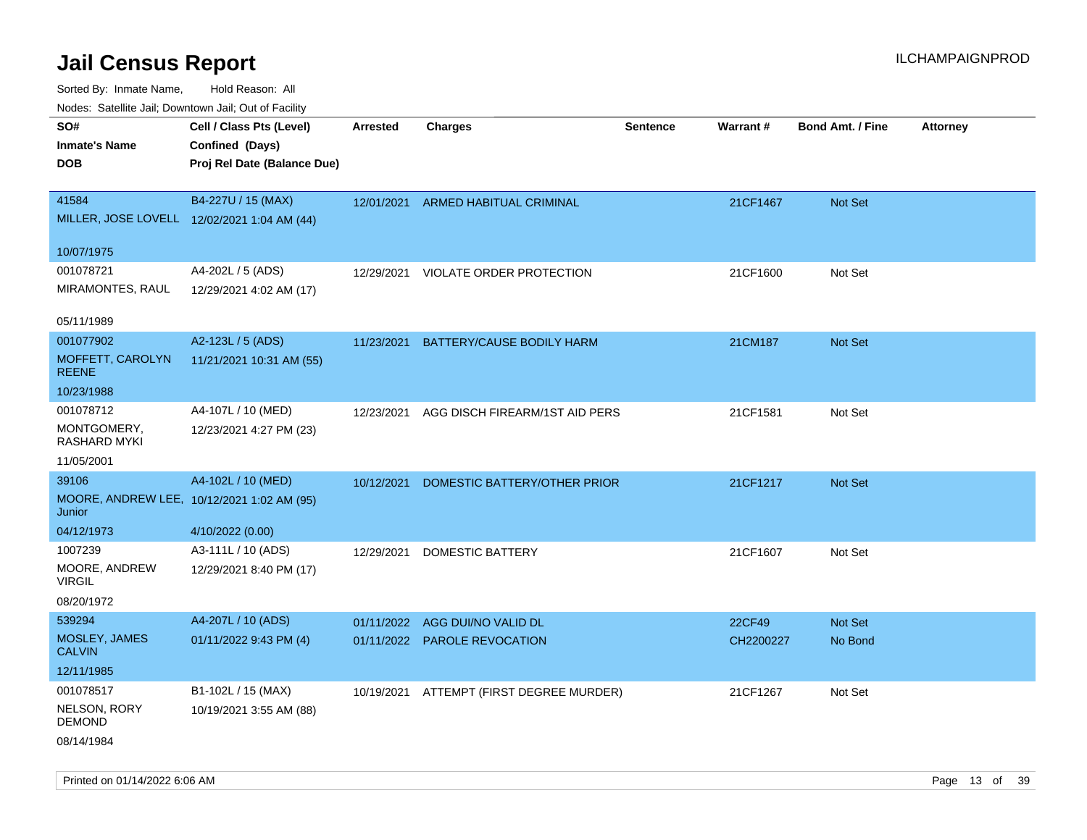Sorted By: Inmate Name, Hold Reason: All

| Nodes: Satellite Jail; Downtown Jail; Out of Facility |                                             |                 |                                |                 |           |                  |                 |
|-------------------------------------------------------|---------------------------------------------|-----------------|--------------------------------|-----------------|-----------|------------------|-----------------|
| SO#                                                   | Cell / Class Pts (Level)                    | <b>Arrested</b> | <b>Charges</b>                 | <b>Sentence</b> | Warrant#  | Bond Amt. / Fine | <b>Attorney</b> |
| <b>Inmate's Name</b>                                  | Confined (Days)                             |                 |                                |                 |           |                  |                 |
| <b>DOB</b>                                            | Proj Rel Date (Balance Due)                 |                 |                                |                 |           |                  |                 |
|                                                       |                                             |                 |                                |                 |           |                  |                 |
| 41584                                                 | B4-227U / 15 (MAX)                          | 12/01/2021      | ARMED HABITUAL CRIMINAL        |                 | 21CF1467  | Not Set          |                 |
|                                                       | MILLER, JOSE LOVELL 12/02/2021 1:04 AM (44) |                 |                                |                 |           |                  |                 |
| 10/07/1975                                            |                                             |                 |                                |                 |           |                  |                 |
| 001078721                                             | A4-202L / 5 (ADS)                           | 12/29/2021      | VIOLATE ORDER PROTECTION       |                 | 21CF1600  | Not Set          |                 |
| MIRAMONTES, RAUL                                      | 12/29/2021 4:02 AM (17)                     |                 |                                |                 |           |                  |                 |
|                                                       |                                             |                 |                                |                 |           |                  |                 |
| 05/11/1989                                            |                                             |                 |                                |                 |           |                  |                 |
| 001077902                                             | A2-123L / 5 (ADS)                           | 11/23/2021      | BATTERY/CAUSE BODILY HARM      |                 | 21CM187   | Not Set          |                 |
| MOFFETT, CAROLYN                                      | 11/21/2021 10:31 AM (55)                    |                 |                                |                 |           |                  |                 |
| <b>REENE</b>                                          |                                             |                 |                                |                 |           |                  |                 |
| 10/23/1988                                            |                                             |                 |                                |                 |           |                  |                 |
| 001078712                                             | A4-107L / 10 (MED)                          | 12/23/2021      | AGG DISCH FIREARM/1ST AID PERS |                 | 21CF1581  | Not Set          |                 |
| MONTGOMERY,<br>RASHARD MYKI                           | 12/23/2021 4:27 PM (23)                     |                 |                                |                 |           |                  |                 |
| 11/05/2001                                            |                                             |                 |                                |                 |           |                  |                 |
| 39106                                                 | A4-102L / 10 (MED)                          | 10/12/2021      | DOMESTIC BATTERY/OTHER PRIOR   |                 | 21CF1217  | Not Set          |                 |
|                                                       | MOORE, ANDREW LEE, 10/12/2021 1:02 AM (95)  |                 |                                |                 |           |                  |                 |
| Junior                                                |                                             |                 |                                |                 |           |                  |                 |
| 04/12/1973                                            | 4/10/2022 (0.00)                            |                 |                                |                 |           |                  |                 |
| 1007239                                               | A3-111L / 10 (ADS)                          | 12/29/2021      | DOMESTIC BATTERY               |                 | 21CF1607  | Not Set          |                 |
| MOORE, ANDREW                                         | 12/29/2021 8:40 PM (17)                     |                 |                                |                 |           |                  |                 |
| <b>VIRGIL</b>                                         |                                             |                 |                                |                 |           |                  |                 |
| 08/20/1972                                            |                                             |                 |                                |                 |           |                  |                 |
| 539294                                                | A4-207L / 10 (ADS)                          | 01/11/2022      | AGG DUI/NO VALID DL            |                 | 22CF49    | Not Set          |                 |
| MOSLEY, JAMES<br><b>CALVIN</b>                        | 01/11/2022 9:43 PM (4)                      |                 | 01/11/2022 PAROLE REVOCATION   |                 | CH2200227 | No Bond          |                 |
| 12/11/1985                                            |                                             |                 |                                |                 |           |                  |                 |
| 001078517                                             | B1-102L / 15 (MAX)                          | 10/19/2021      | ATTEMPT (FIRST DEGREE MURDER)  |                 | 21CF1267  | Not Set          |                 |
| NELSON, RORY                                          | 10/19/2021 3:55 AM (88)                     |                 |                                |                 |           |                  |                 |
| <b>DEMOND</b>                                         |                                             |                 |                                |                 |           |                  |                 |
| 08/14/1984                                            |                                             |                 |                                |                 |           |                  |                 |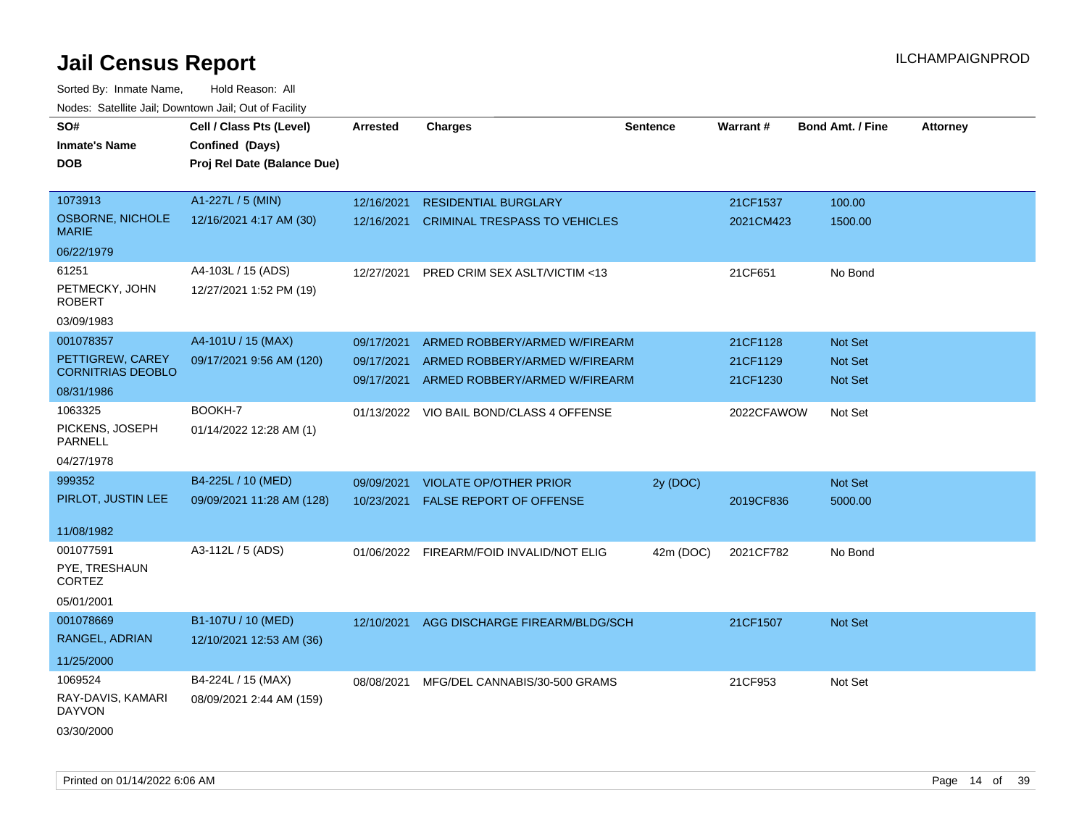| soupois catomic can, Dominomii can, Cat or I domt<br>SO#<br><b>Inmate's Name</b><br><b>DOB</b> | Cell / Class Pts (Level)<br>Confined (Days)<br>Proj Rel Date (Balance Due) | <b>Arrested</b>                        | <b>Charges</b>                                                                                  | <b>Sentence</b> | Warrant#                         | <b>Bond Amt. / Fine</b>                            | <b>Attorney</b> |
|------------------------------------------------------------------------------------------------|----------------------------------------------------------------------------|----------------------------------------|-------------------------------------------------------------------------------------------------|-----------------|----------------------------------|----------------------------------------------------|-----------------|
| 1073913<br><b>OSBORNE, NICHOLE</b><br><b>MARIE</b>                                             | A1-227L / 5 (MIN)<br>12/16/2021 4:17 AM (30)                               | 12/16/2021<br>12/16/2021               | <b>RESIDENTIAL BURGLARY</b><br><b>CRIMINAL TRESPASS TO VEHICLES</b>                             |                 | 21CF1537<br>2021CM423            | 100.00<br>1500.00                                  |                 |
| 06/22/1979<br>61251<br>PETMECKY, JOHN<br><b>ROBERT</b><br>03/09/1983                           | A4-103L / 15 (ADS)<br>12/27/2021 1:52 PM (19)                              | 12/27/2021                             | PRED CRIM SEX ASLT/VICTIM <13                                                                   |                 | 21CF651                          | No Bond                                            |                 |
| 001078357<br>PETTIGREW, CAREY<br><b>CORNITRIAS DEOBLO</b><br>08/31/1986                        | A4-101U / 15 (MAX)<br>09/17/2021 9:56 AM (120)                             | 09/17/2021<br>09/17/2021<br>09/17/2021 | ARMED ROBBERY/ARMED W/FIREARM<br>ARMED ROBBERY/ARMED W/FIREARM<br>ARMED ROBBERY/ARMED W/FIREARM |                 | 21CF1128<br>21CF1129<br>21CF1230 | <b>Not Set</b><br><b>Not Set</b><br><b>Not Set</b> |                 |
| 1063325<br>PICKENS, JOSEPH<br><b>PARNELL</b><br>04/27/1978                                     | BOOKH-7<br>01/14/2022 12:28 AM (1)                                         |                                        | 01/13/2022 VIO BAIL BOND/CLASS 4 OFFENSE                                                        |                 | 2022CFAWOW                       | Not Set                                            |                 |
| 999352<br>PIRLOT, JUSTIN LEE<br>11/08/1982                                                     | B4-225L / 10 (MED)<br>09/09/2021 11:28 AM (128)                            | 09/09/2021<br>10/23/2021               | <b>VIOLATE OP/OTHER PRIOR</b><br>FALSE REPORT OF OFFENSE                                        | 2y (DOC)        | 2019CF836                        | <b>Not Set</b><br>5000.00                          |                 |
| 001077591<br>PYE, TRESHAUN<br>CORTEZ<br>05/01/2001                                             | A3-112L / 5 (ADS)                                                          | 01/06/2022                             | FIREARM/FOID INVALID/NOT ELIG                                                                   | 42m (DOC)       | 2021CF782                        | No Bond                                            |                 |
| 001078669<br>RANGEL, ADRIAN<br>11/25/2000                                                      | B1-107U / 10 (MED)<br>12/10/2021 12:53 AM (36)                             | 12/10/2021                             | AGG DISCHARGE FIREARM/BLDG/SCH                                                                  |                 | 21CF1507                         | <b>Not Set</b>                                     |                 |
| 1069524<br>RAY-DAVIS, KAMARI<br><b>DAYVON</b><br>03/30/2000                                    | B4-224L / 15 (MAX)<br>08/09/2021 2:44 AM (159)                             | 08/08/2021                             | MFG/DEL CANNABIS/30-500 GRAMS                                                                   |                 | 21CF953                          | Not Set                                            |                 |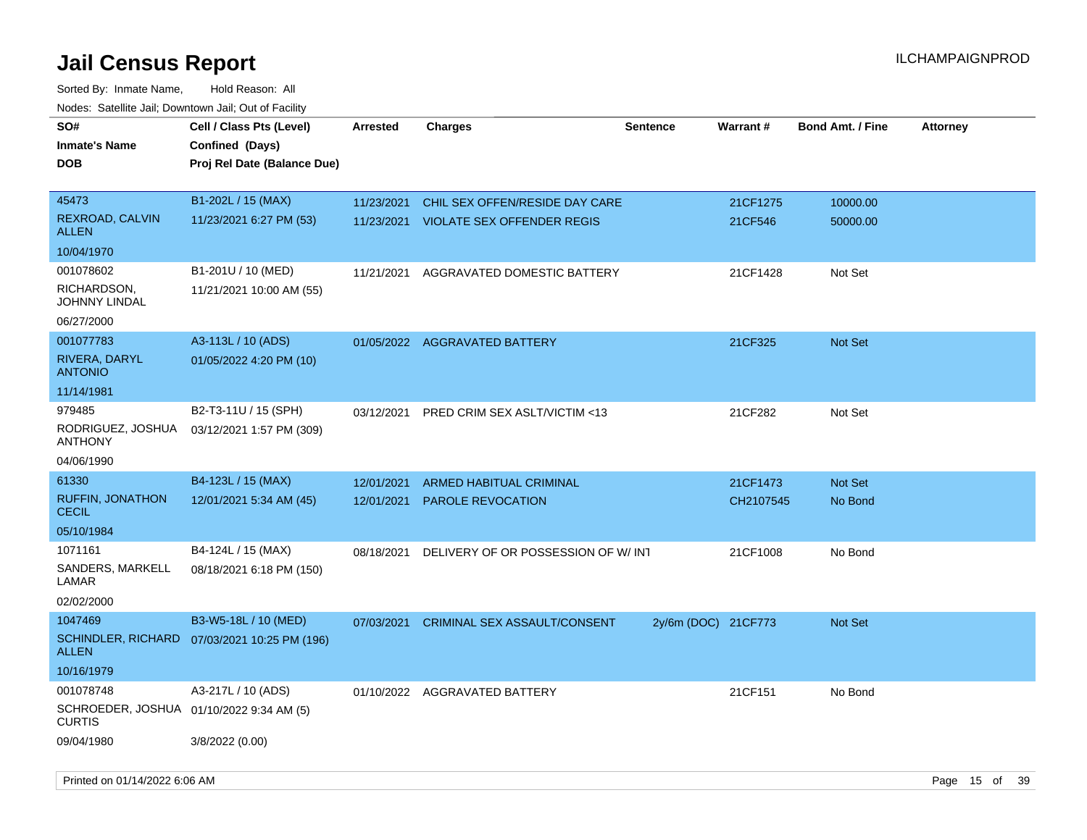| SO#                                                       | Cell / Class Pts (Level)                       | <b>Arrested</b> | <b>Charges</b>                     | <b>Sentence</b>     | Warrant#  | <b>Bond Amt. / Fine</b> | <b>Attorney</b> |
|-----------------------------------------------------------|------------------------------------------------|-----------------|------------------------------------|---------------------|-----------|-------------------------|-----------------|
| <b>Inmate's Name</b><br>DOB                               | Confined (Days)<br>Proj Rel Date (Balance Due) |                 |                                    |                     |           |                         |                 |
| 45473                                                     | B1-202L / 15 (MAX)                             | 11/23/2021      | CHIL SEX OFFEN/RESIDE DAY CARE     |                     | 21CF1275  | 10000.00                |                 |
| REXROAD, CALVIN<br><b>ALLEN</b>                           | 11/23/2021 6:27 PM (53)                        | 11/23/2021      | <b>VIOLATE SEX OFFENDER REGIS</b>  |                     | 21CF546   | 50000.00                |                 |
| 10/04/1970                                                |                                                |                 |                                    |                     |           |                         |                 |
| 001078602                                                 | B1-201U / 10 (MED)                             | 11/21/2021      | AGGRAVATED DOMESTIC BATTERY        |                     | 21CF1428  | Not Set                 |                 |
| RICHARDSON,<br>JOHNNY LINDAL                              | 11/21/2021 10:00 AM (55)                       |                 |                                    |                     |           |                         |                 |
| 06/27/2000                                                |                                                |                 |                                    |                     |           |                         |                 |
| 001077783                                                 | A3-113L / 10 (ADS)                             |                 | 01/05/2022 AGGRAVATED BATTERY      |                     | 21CF325   | <b>Not Set</b>          |                 |
| RIVERA, DARYL<br><b>ANTONIO</b>                           | 01/05/2022 4:20 PM (10)                        |                 |                                    |                     |           |                         |                 |
| 11/14/1981                                                |                                                |                 |                                    |                     |           |                         |                 |
| 979485                                                    | B2-T3-11U / 15 (SPH)                           | 03/12/2021      | PRED CRIM SEX ASLT/VICTIM <13      |                     | 21CF282   | Not Set                 |                 |
| RODRIGUEZ, JOSHUA<br>ANTHONY                              | 03/12/2021 1:57 PM (309)                       |                 |                                    |                     |           |                         |                 |
| 04/06/1990                                                |                                                |                 |                                    |                     |           |                         |                 |
| 61330                                                     | B4-123L / 15 (MAX)                             | 12/01/2021      | <b>ARMED HABITUAL CRIMINAL</b>     |                     | 21CF1473  | Not Set                 |                 |
| <b>RUFFIN, JONATHON</b><br><b>CECIL</b>                   | 12/01/2021 5:34 AM (45)                        | 12/01/2021      | PAROLE REVOCATION                  |                     | CH2107545 | No Bond                 |                 |
| 05/10/1984                                                |                                                |                 |                                    |                     |           |                         |                 |
| 1071161                                                   | B4-124L / 15 (MAX)                             | 08/18/2021      | DELIVERY OF OR POSSESSION OF W/INT |                     | 21CF1008  | No Bond                 |                 |
| SANDERS, MARKELL<br>LAMAR                                 | 08/18/2021 6:18 PM (150)                       |                 |                                    |                     |           |                         |                 |
| 02/02/2000                                                |                                                |                 |                                    |                     |           |                         |                 |
| 1047469                                                   | B3-W5-18L / 10 (MED)                           | 07/03/2021      | CRIMINAL SEX ASSAULT/CONSENT       | 2y/6m (DOC) 21CF773 |           | Not Set                 |                 |
| <b>ALLEN</b>                                              | SCHINDLER, RICHARD 07/03/2021 10:25 PM (196)   |                 |                                    |                     |           |                         |                 |
| 10/16/1979                                                |                                                |                 |                                    |                     |           |                         |                 |
| 001078748                                                 | A3-217L / 10 (ADS)                             |                 | 01/10/2022 AGGRAVATED BATTERY      |                     | 21CF151   | No Bond                 |                 |
| SCHROEDER, JOSHUA 01/10/2022 9:34 AM (5)<br><b>CURTIS</b> |                                                |                 |                                    |                     |           |                         |                 |
| 09/04/1980                                                | 3/8/2022 (0.00)                                |                 |                                    |                     |           |                         |                 |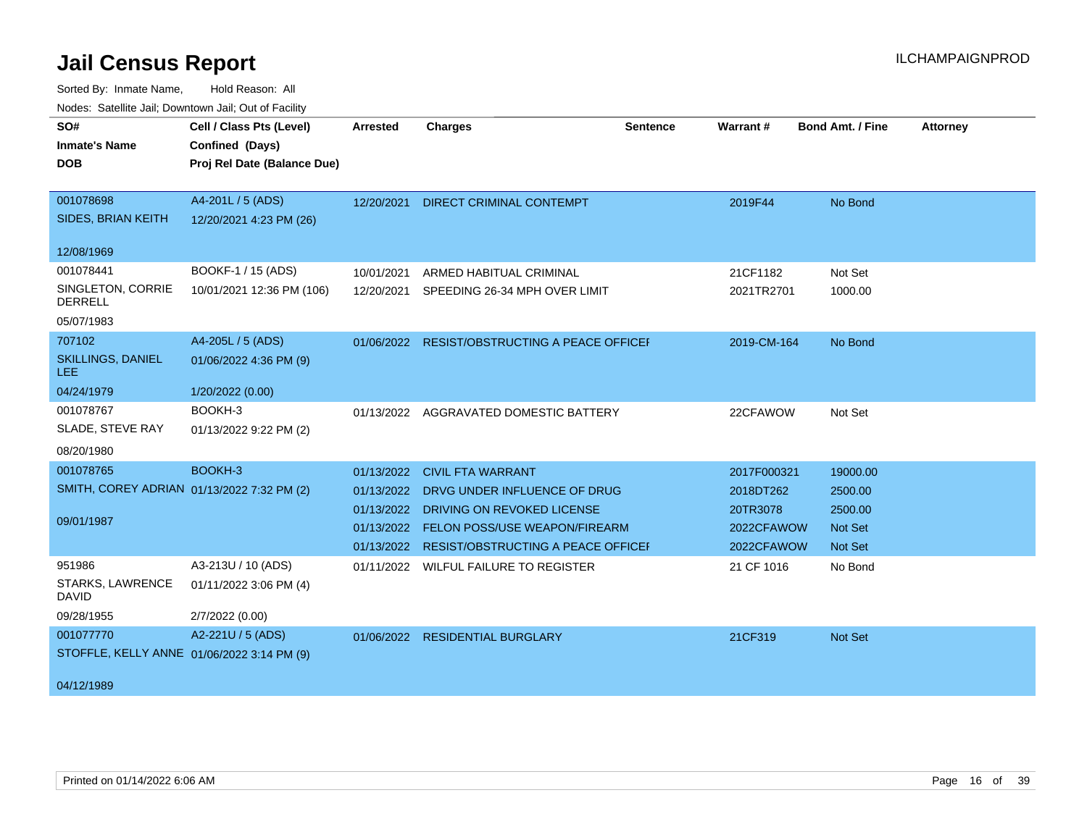| roaco. Calcinio can, Downlown can, Out or Facility |                             |                 |                                               |                 |             |                         |                 |
|----------------------------------------------------|-----------------------------|-----------------|-----------------------------------------------|-----------------|-------------|-------------------------|-----------------|
| SO#                                                | Cell / Class Pts (Level)    | <b>Arrested</b> | <b>Charges</b>                                | <b>Sentence</b> | Warrant#    | <b>Bond Amt. / Fine</b> | <b>Attorney</b> |
| <b>Inmate's Name</b>                               | Confined (Days)             |                 |                                               |                 |             |                         |                 |
| <b>DOB</b>                                         | Proj Rel Date (Balance Due) |                 |                                               |                 |             |                         |                 |
|                                                    |                             |                 |                                               |                 |             |                         |                 |
| 001078698                                          | A4-201L / 5 (ADS)           |                 | 12/20/2021 DIRECT CRIMINAL CONTEMPT           |                 | 2019F44     | No Bond                 |                 |
| SIDES, BRIAN KEITH                                 | 12/20/2021 4:23 PM (26)     |                 |                                               |                 |             |                         |                 |
|                                                    |                             |                 |                                               |                 |             |                         |                 |
| 12/08/1969                                         |                             |                 |                                               |                 |             |                         |                 |
| 001078441                                          | BOOKF-1 / 15 (ADS)          | 10/01/2021      | ARMED HABITUAL CRIMINAL                       |                 | 21CF1182    | Not Set                 |                 |
| SINGLETON, CORRIE<br><b>DERRELL</b>                | 10/01/2021 12:36 PM (106)   | 12/20/2021      | SPEEDING 26-34 MPH OVER LIMIT                 |                 | 2021TR2701  | 1000.00                 |                 |
| 05/07/1983                                         |                             |                 |                                               |                 |             |                         |                 |
| 707102                                             | A4-205L / 5 (ADS)           |                 | 01/06/2022 RESIST/OBSTRUCTING A PEACE OFFICEH |                 | 2019-CM-164 | No Bond                 |                 |
| <b>SKILLINGS, DANIEL</b><br>LEE.                   | 01/06/2022 4:36 PM (9)      |                 |                                               |                 |             |                         |                 |
| 04/24/1979                                         | 1/20/2022 (0.00)            |                 |                                               |                 |             |                         |                 |
| 001078767                                          | BOOKH-3                     |                 | 01/13/2022 AGGRAVATED DOMESTIC BATTERY        |                 | 22CFAWOW    | Not Set                 |                 |
| SLADE, STEVE RAY                                   | 01/13/2022 9:22 PM (2)      |                 |                                               |                 |             |                         |                 |
| 08/20/1980                                         |                             |                 |                                               |                 |             |                         |                 |
| 001078765                                          | BOOKH-3                     | 01/13/2022      | <b>CIVIL FTA WARRANT</b>                      |                 | 2017F000321 | 19000.00                |                 |
| SMITH, COREY ADRIAN 01/13/2022 7:32 PM (2)         |                             | 01/13/2022      | DRVG UNDER INFLUENCE OF DRUG                  |                 | 2018DT262   | 2500.00                 |                 |
|                                                    |                             |                 | 01/13/2022 DRIVING ON REVOKED LICENSE         |                 | 20TR3078    | 2500.00                 |                 |
| 09/01/1987                                         |                             |                 | 01/13/2022 FELON POSS/USE WEAPON/FIREARM      |                 | 2022CFAWOW  | <b>Not Set</b>          |                 |
|                                                    |                             |                 | 01/13/2022 RESIST/OBSTRUCTING A PEACE OFFICEH |                 | 2022CFAWOW  | Not Set                 |                 |
| 951986                                             | A3-213U / 10 (ADS)          |                 | 01/11/2022 WILFUL FAILURE TO REGISTER         |                 | 21 CF 1016  | No Bond                 |                 |
| STARKS, LAWRENCE<br><b>DAVID</b>                   | 01/11/2022 3:06 PM (4)      |                 |                                               |                 |             |                         |                 |
| 09/28/1955                                         | 2/7/2022 (0.00)             |                 |                                               |                 |             |                         |                 |
| 001077770                                          | A2-221U / 5 (ADS)           |                 | 01/06/2022 RESIDENTIAL BURGLARY               |                 | 21CF319     | Not Set                 |                 |
| STOFFLE, KELLY ANNE 01/06/2022 3:14 PM (9)         |                             |                 |                                               |                 |             |                         |                 |
|                                                    |                             |                 |                                               |                 |             |                         |                 |
| 04/12/1989                                         |                             |                 |                                               |                 |             |                         |                 |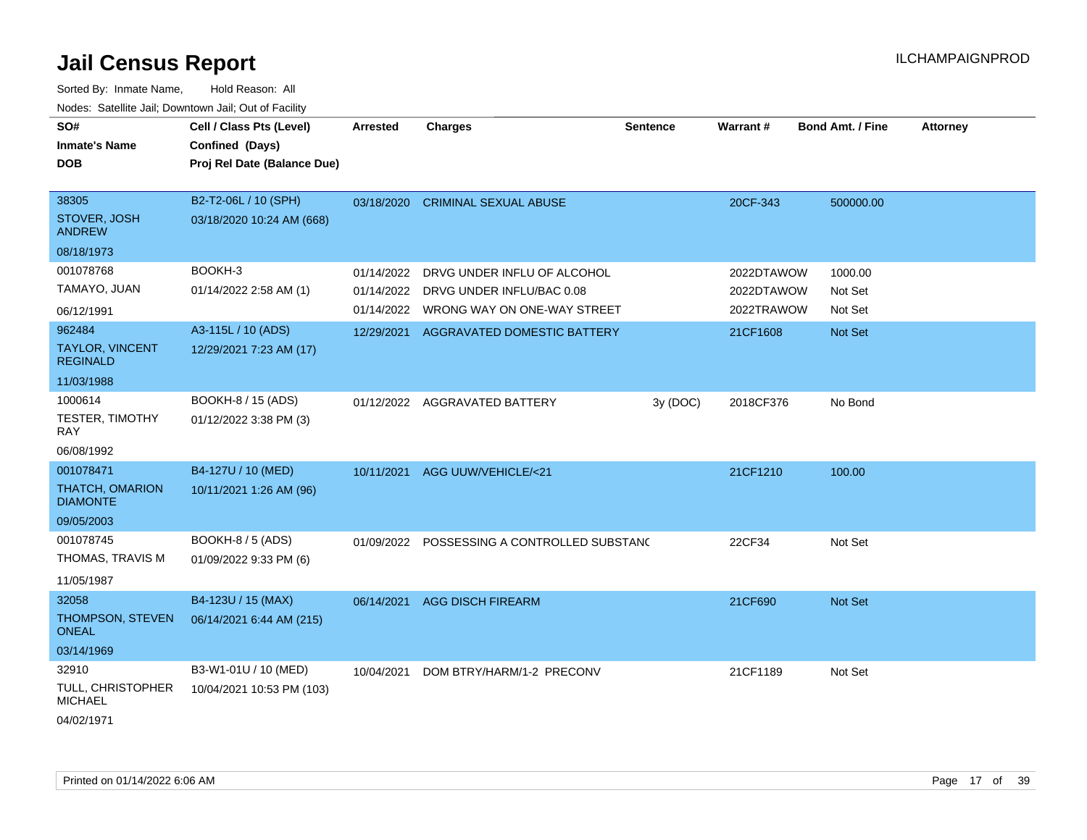| SO#<br>Inmate's Name<br>DOB                | Cell / Class Pts (Level)<br>Confined (Days)<br>Proj Rel Date (Balance Due) | <b>Arrested</b> | <b>Charges</b>                              | <b>Sentence</b> | <b>Warrant#</b> | <b>Bond Amt. / Fine</b> | <b>Attorney</b> |
|--------------------------------------------|----------------------------------------------------------------------------|-----------------|---------------------------------------------|-----------------|-----------------|-------------------------|-----------------|
|                                            |                                                                            |                 |                                             |                 |                 |                         |                 |
| 38305                                      | B2-T2-06L / 10 (SPH)                                                       | 03/18/2020      | <b>CRIMINAL SEXUAL ABUSE</b>                |                 | 20CF-343        | 500000.00               |                 |
| STOVER, JOSH<br><b>ANDREW</b>              | 03/18/2020 10:24 AM (668)                                                  |                 |                                             |                 |                 |                         |                 |
| 08/18/1973                                 |                                                                            |                 |                                             |                 |                 |                         |                 |
| 001078768                                  | BOOKH-3                                                                    | 01/14/2022      | DRVG UNDER INFLU OF ALCOHOL                 |                 | 2022DTAWOW      | 1000.00                 |                 |
| TAMAYO, JUAN                               | 01/14/2022 2:58 AM (1)                                                     | 01/14/2022      | DRVG UNDER INFLU/BAC 0.08                   |                 | 2022DTAWOW      | Not Set                 |                 |
| 06/12/1991                                 |                                                                            | 01/14/2022      | WRONG WAY ON ONE-WAY STREET                 |                 | 2022TRAWOW      | Not Set                 |                 |
| 962484                                     | A3-115L / 10 (ADS)                                                         | 12/29/2021      | AGGRAVATED DOMESTIC BATTERY                 |                 | 21CF1608        | Not Set                 |                 |
| <b>TAYLOR, VINCENT</b><br><b>REGINALD</b>  | 12/29/2021 7:23 AM (17)                                                    |                 |                                             |                 |                 |                         |                 |
| 11/03/1988                                 |                                                                            |                 |                                             |                 |                 |                         |                 |
| 1000614                                    | BOOKH-8 / 15 (ADS)                                                         |                 | 01/12/2022 AGGRAVATED BATTERY               | 3y (DOC)        | 2018CF376       | No Bond                 |                 |
| <b>TESTER, TIMOTHY</b><br>RAY              | 01/12/2022 3:38 PM (3)                                                     |                 |                                             |                 |                 |                         |                 |
| 06/08/1992                                 |                                                                            |                 |                                             |                 |                 |                         |                 |
| 001078471                                  | B4-127U / 10 (MED)                                                         | 10/11/2021      | AGG UUW/VEHICLE/<21                         |                 | 21CF1210        | 100.00                  |                 |
| <b>THATCH, OMARION</b><br><b>DIAMONTE</b>  | 10/11/2021 1:26 AM (96)                                                    |                 |                                             |                 |                 |                         |                 |
| 09/05/2003                                 |                                                                            |                 |                                             |                 |                 |                         |                 |
| 001078745                                  | BOOKH-8 / 5 (ADS)                                                          |                 | 01/09/2022 POSSESSING A CONTROLLED SUBSTANG |                 | 22CF34          | Not Set                 |                 |
| THOMAS, TRAVIS M                           | 01/09/2022 9:33 PM (6)                                                     |                 |                                             |                 |                 |                         |                 |
| 11/05/1987                                 |                                                                            |                 |                                             |                 |                 |                         |                 |
| 32058                                      | B4-123U / 15 (MAX)                                                         | 06/14/2021      | <b>AGG DISCH FIREARM</b>                    |                 | 21CF690         | Not Set                 |                 |
| THOMPSON, STEVEN<br><b>ONEAL</b>           | 06/14/2021 6:44 AM (215)                                                   |                 |                                             |                 |                 |                         |                 |
| 03/14/1969                                 |                                                                            |                 |                                             |                 |                 |                         |                 |
| 32910                                      | B3-W1-01U / 10 (MED)                                                       | 10/04/2021      | DOM BTRY/HARM/1-2 PRECONV                   |                 | 21CF1189        | Not Set                 |                 |
| <b>TULL, CHRISTOPHER</b><br><b>MICHAEL</b> | 10/04/2021 10:53 PM (103)                                                  |                 |                                             |                 |                 |                         |                 |
| 04/02/1971                                 |                                                                            |                 |                                             |                 |                 |                         |                 |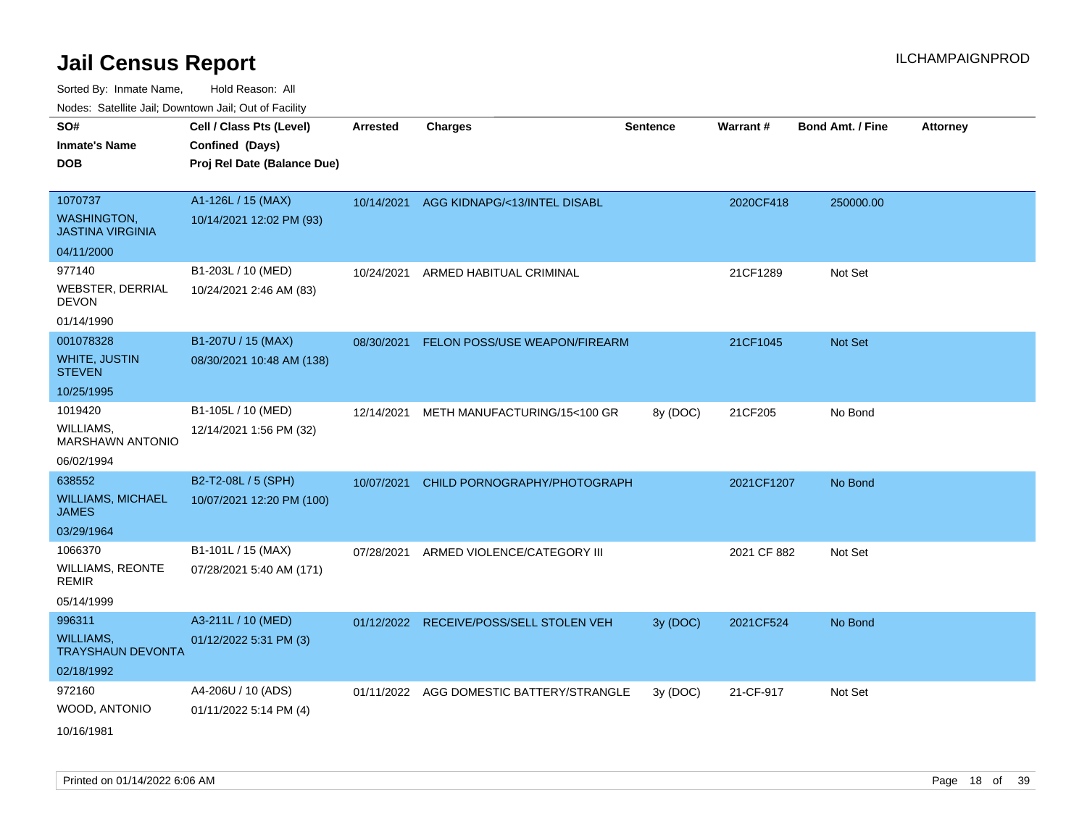Sorted By: Inmate Name, Hold Reason: All

Nodes: Satellite Jail; Downtown Jail; Out of Facility

| SO#<br><b>Inmate's Name</b><br><b>DOB</b> | Cell / Class Pts (Level)<br>Confined (Days)<br>Proj Rel Date (Balance Due) | Arrested   | <b>Charges</b>                           | <b>Sentence</b> | <b>Warrant#</b> | <b>Bond Amt. / Fine</b> | <b>Attorney</b> |
|-------------------------------------------|----------------------------------------------------------------------------|------------|------------------------------------------|-----------------|-----------------|-------------------------|-----------------|
| 1070737<br><b>WASHINGTON,</b>             | A1-126L / 15 (MAX)                                                         |            | 10/14/2021 AGG KIDNAPG/<13/INTEL DISABL  |                 | 2020CF418       | 250000.00               |                 |
| <b>JASTINA VIRGINIA</b>                   | 10/14/2021 12:02 PM (93)                                                   |            |                                          |                 |                 |                         |                 |
| 04/11/2000                                |                                                                            |            |                                          |                 |                 |                         |                 |
| 977140                                    | B1-203L / 10 (MED)                                                         | 10/24/2021 | ARMED HABITUAL CRIMINAL                  |                 | 21CF1289        | Not Set                 |                 |
| <b>WEBSTER, DERRIAL</b><br><b>DEVON</b>   | 10/24/2021 2:46 AM (83)                                                    |            |                                          |                 |                 |                         |                 |
| 01/14/1990                                |                                                                            |            |                                          |                 |                 |                         |                 |
| 001078328                                 | B1-207U / 15 (MAX)                                                         | 08/30/2021 | FELON POSS/USE WEAPON/FIREARM            |                 | 21CF1045        | Not Set                 |                 |
| <b>WHITE, JUSTIN</b><br><b>STEVEN</b>     | 08/30/2021 10:48 AM (138)                                                  |            |                                          |                 |                 |                         |                 |
| 10/25/1995                                |                                                                            |            |                                          |                 |                 |                         |                 |
| 1019420                                   | B1-105L / 10 (MED)                                                         | 12/14/2021 | METH MANUFACTURING/15<100 GR             | 8y (DOC)        | 21CF205         | No Bond                 |                 |
| WILLIAMS,<br><b>MARSHAWN ANTONIO</b>      | 12/14/2021 1:56 PM (32)                                                    |            |                                          |                 |                 |                         |                 |
| 06/02/1994                                |                                                                            |            |                                          |                 |                 |                         |                 |
| 638552                                    | B2-T2-08L / 5 (SPH)                                                        | 10/07/2021 | CHILD PORNOGRAPHY/PHOTOGRAPH             |                 | 2021CF1207      | No Bond                 |                 |
| <b>WILLIAMS, MICHAEL</b><br>JAMES         | 10/07/2021 12:20 PM (100)                                                  |            |                                          |                 |                 |                         |                 |
| 03/29/1964                                |                                                                            |            |                                          |                 |                 |                         |                 |
| 1066370                                   | B1-101L / 15 (MAX)                                                         | 07/28/2021 | ARMED VIOLENCE/CATEGORY III              |                 | 2021 CF 882     | Not Set                 |                 |
| <b>WILLIAMS, REONTE</b><br><b>REMIR</b>   | 07/28/2021 5:40 AM (171)                                                   |            |                                          |                 |                 |                         |                 |
| 05/14/1999                                |                                                                            |            |                                          |                 |                 |                         |                 |
| 996311                                    | A3-211L / 10 (MED)                                                         |            | 01/12/2022 RECEIVE/POSS/SELL STOLEN VEH  | 3y (DOC)        | 2021CF524       | No Bond                 |                 |
| WILLIAMS,<br><b>TRAYSHAUN DEVONTA</b>     | 01/12/2022 5:31 PM (3)                                                     |            |                                          |                 |                 |                         |                 |
| 02/18/1992                                |                                                                            |            |                                          |                 |                 |                         |                 |
| 972160                                    | A4-206U / 10 (ADS)                                                         |            | 01/11/2022 AGG DOMESTIC BATTERY/STRANGLE | 3y (DOC)        | 21-CF-917       | Not Set                 |                 |
| WOOD, ANTONIO                             | 01/11/2022 5:14 PM (4)                                                     |            |                                          |                 |                 |                         |                 |
| 10/16/1981                                |                                                                            |            |                                          |                 |                 |                         |                 |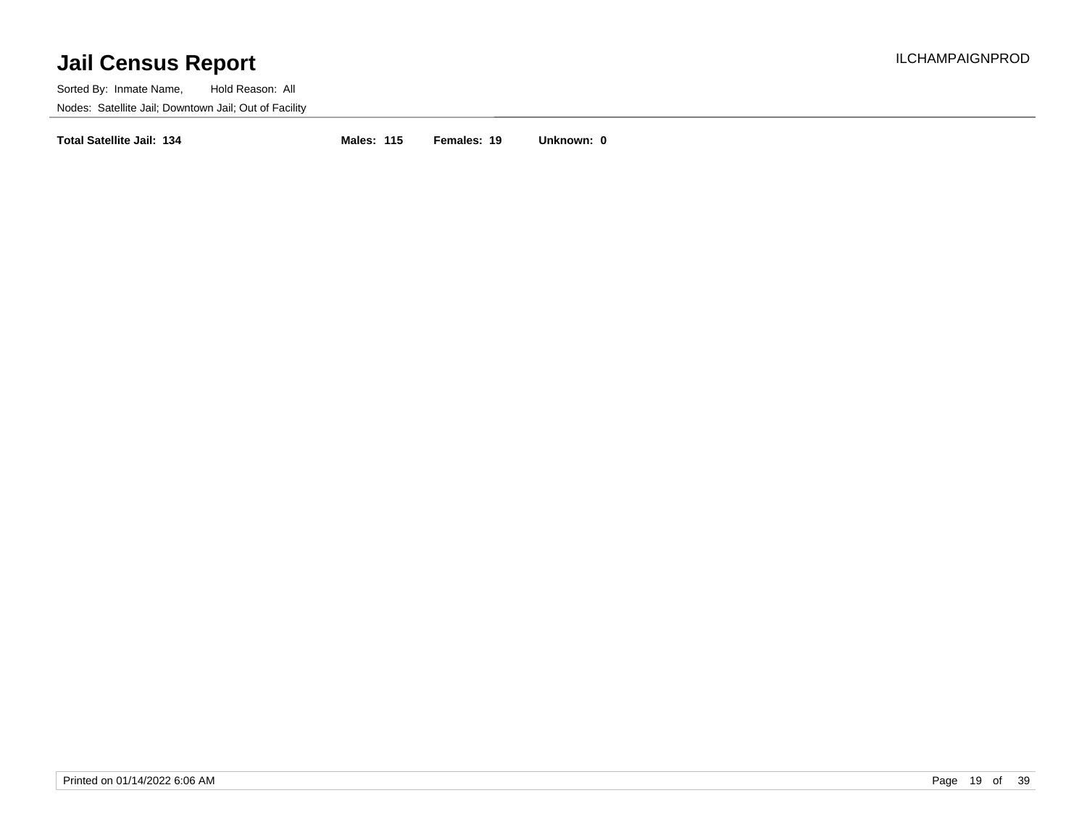Sorted By: Inmate Name, Hold Reason: All Nodes: Satellite Jail; Downtown Jail; Out of Facility

**Total Satellite Jail: 134 Males: 115 Females: 19 Unknown: 0**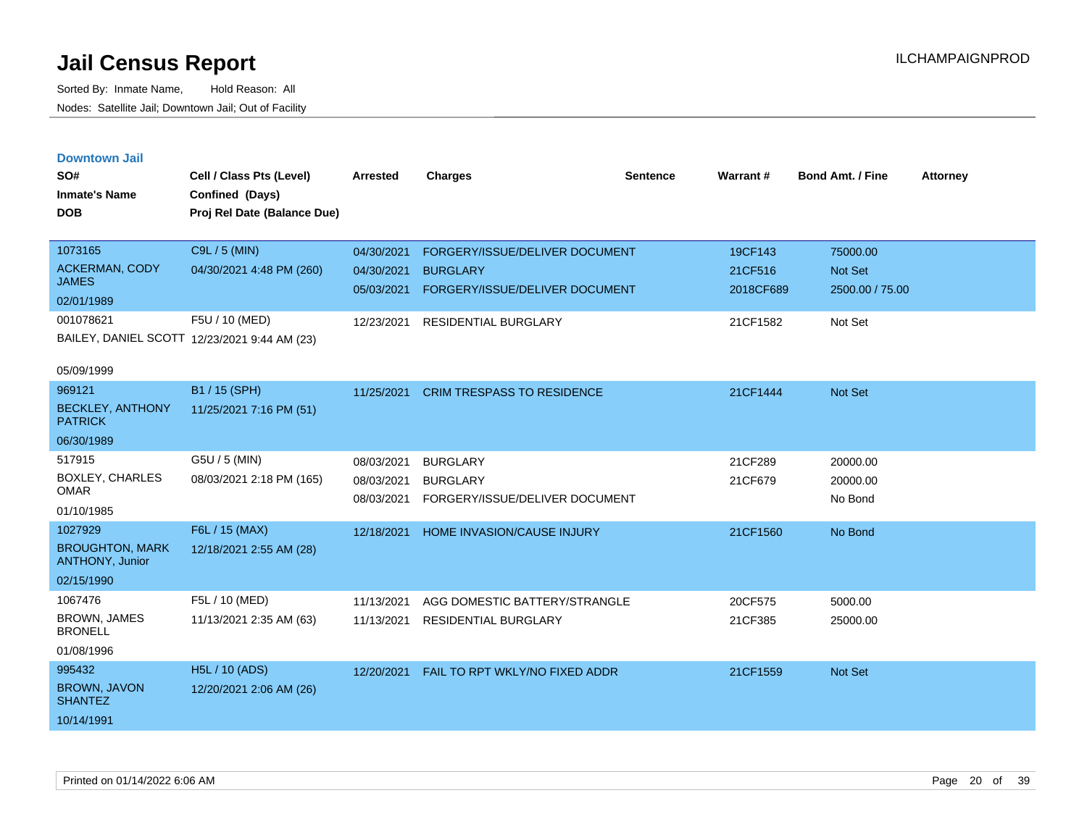|  | <b>Downtown Jail</b> |  |  |
|--|----------------------|--|--|
|  |                      |  |  |

| SO#<br><b>Inmate's Name</b>               | Cell / Class Pts (Level)<br>Confined (Days)                    | <b>Arrested</b> | <b>Charges</b>                    | <b>Sentence</b> | Warrant#  | <b>Bond Amt. / Fine</b> | <b>Attorney</b> |
|-------------------------------------------|----------------------------------------------------------------|-----------------|-----------------------------------|-----------------|-----------|-------------------------|-----------------|
| <b>DOB</b>                                | Proj Rel Date (Balance Due)                                    |                 |                                   |                 |           |                         |                 |
| 1073165                                   | C9L / 5 (MIN)                                                  | 04/30/2021      | FORGERY/ISSUE/DELIVER DOCUMENT    |                 | 19CF143   | 75000.00                |                 |
| <b>ACKERMAN, CODY</b>                     | 04/30/2021 4:48 PM (260)                                       | 04/30/2021      | <b>BURGLARY</b>                   |                 | 21CF516   | Not Set                 |                 |
| <b>JAMES</b>                              |                                                                | 05/03/2021      | FORGERY/ISSUE/DELIVER DOCUMENT    |                 | 2018CF689 | 2500.00 / 75.00         |                 |
| 02/01/1989<br>001078621                   |                                                                |                 |                                   |                 |           |                         |                 |
|                                           | F5U / 10 (MED)<br>BAILEY, DANIEL SCOTT 12/23/2021 9:44 AM (23) | 12/23/2021      | <b>RESIDENTIAL BURGLARY</b>       |                 | 21CF1582  | Not Set                 |                 |
|                                           |                                                                |                 |                                   |                 |           |                         |                 |
| 05/09/1999                                |                                                                |                 |                                   |                 |           |                         |                 |
| 969121                                    | B1 / 15 (SPH)                                                  | 11/25/2021      | <b>CRIM TRESPASS TO RESIDENCE</b> |                 | 21CF1444  | <b>Not Set</b>          |                 |
| <b>BECKLEY, ANTHONY</b><br><b>PATRICK</b> | 11/25/2021 7:16 PM (51)                                        |                 |                                   |                 |           |                         |                 |
| 06/30/1989                                |                                                                |                 |                                   |                 |           |                         |                 |
| 517915                                    | G5U / 5 (MIN)                                                  | 08/03/2021      | <b>BURGLARY</b>                   |                 | 21CF289   | 20000.00                |                 |
| <b>BOXLEY, CHARLES</b><br><b>OMAR</b>     | 08/03/2021 2:18 PM (165)                                       | 08/03/2021      | <b>BURGLARY</b>                   |                 | 21CF679   | 20000.00                |                 |
| 01/10/1985                                |                                                                | 08/03/2021      | FORGERY/ISSUE/DELIVER DOCUMENT    |                 |           | No Bond                 |                 |
| 1027929                                   | F6L / 15 (MAX)                                                 | 12/18/2021      | <b>HOME INVASION/CAUSE INJURY</b> |                 | 21CF1560  |                         |                 |
| <b>BROUGHTON, MARK</b>                    | 12/18/2021 2:55 AM (28)                                        |                 |                                   |                 |           | No Bond                 |                 |
| <b>ANTHONY, Junior</b>                    |                                                                |                 |                                   |                 |           |                         |                 |
| 02/15/1990                                |                                                                |                 |                                   |                 |           |                         |                 |
| 1067476                                   | F5L / 10 (MED)                                                 | 11/13/2021      | AGG DOMESTIC BATTERY/STRANGLE     |                 | 20CF575   | 5000.00                 |                 |
| <b>BROWN, JAMES</b><br><b>BRONELL</b>     | 11/13/2021 2:35 AM (63)                                        | 11/13/2021      | <b>RESIDENTIAL BURGLARY</b>       |                 | 21CF385   | 25000.00                |                 |
| 01/08/1996                                |                                                                |                 |                                   |                 |           |                         |                 |
| 995432                                    | H5L / 10 (ADS)                                                 | 12/20/2021      | FAIL TO RPT WKLY/NO FIXED ADDR    |                 | 21CF1559  | Not Set                 |                 |
| BROWN, JAVON<br><b>SHANTEZ</b>            | 12/20/2021 2:06 AM (26)                                        |                 |                                   |                 |           |                         |                 |
| 10/14/1991                                |                                                                |                 |                                   |                 |           |                         |                 |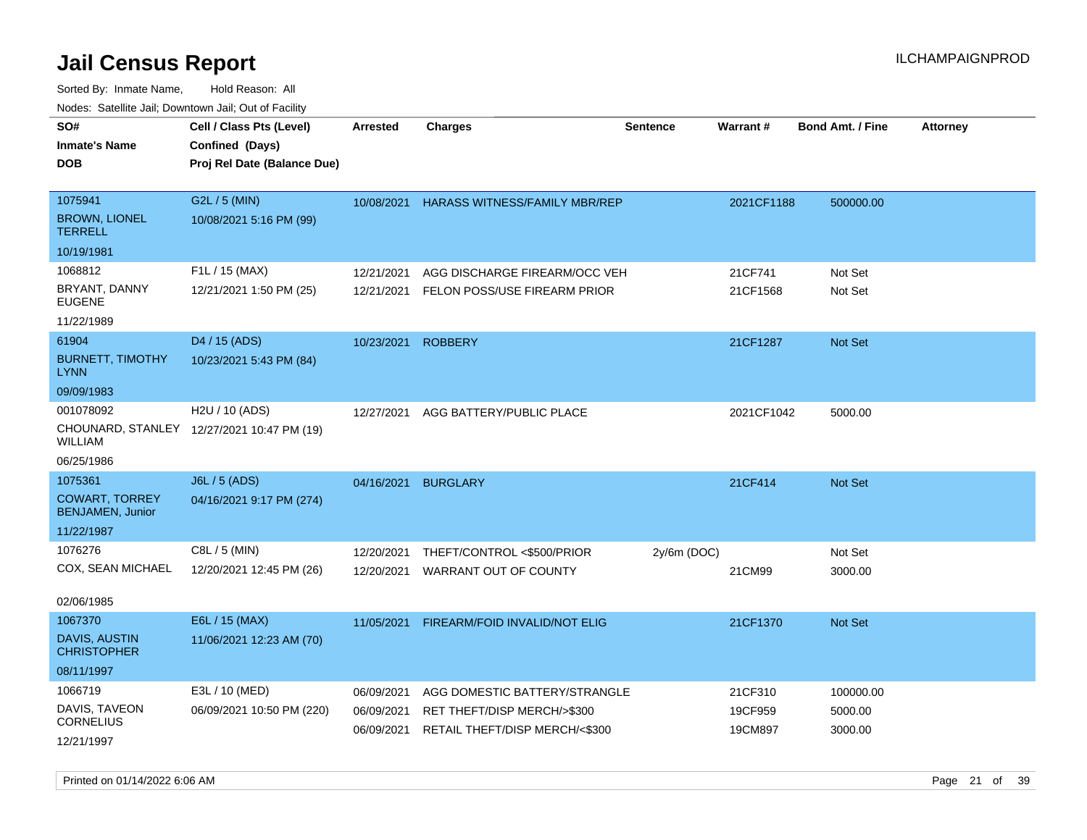| roaco. Catolino cali, Domntonn cali, Out of Facility |                                            |                 |                                      |                 |                 |                         |                 |
|------------------------------------------------------|--------------------------------------------|-----------------|--------------------------------------|-----------------|-----------------|-------------------------|-----------------|
| SO#                                                  | Cell / Class Pts (Level)                   | <b>Arrested</b> | Charges                              | <b>Sentence</b> | <b>Warrant#</b> | <b>Bond Amt. / Fine</b> | <b>Attorney</b> |
| <b>Inmate's Name</b>                                 | Confined (Days)                            |                 |                                      |                 |                 |                         |                 |
| <b>DOB</b>                                           | Proj Rel Date (Balance Due)                |                 |                                      |                 |                 |                         |                 |
|                                                      |                                            |                 |                                      |                 |                 |                         |                 |
| 1075941                                              | G2L / 5 (MIN)                              | 10/08/2021      | <b>HARASS WITNESS/FAMILY MBR/REP</b> |                 | 2021CF1188      | 500000.00               |                 |
| <b>BROWN, LIONEL</b><br><b>TERRELL</b>               | 10/08/2021 5:16 PM (99)                    |                 |                                      |                 |                 |                         |                 |
| 10/19/1981                                           |                                            |                 |                                      |                 |                 |                         |                 |
| 1068812                                              | F1L / 15 (MAX)                             | 12/21/2021      | AGG DISCHARGE FIREARM/OCC VEH        |                 | 21CF741         | Not Set                 |                 |
| BRYANT, DANNY<br><b>EUGENE</b>                       | 12/21/2021 1:50 PM (25)                    | 12/21/2021      | FELON POSS/USE FIREARM PRIOR         |                 | 21CF1568        | Not Set                 |                 |
| 11/22/1989                                           |                                            |                 |                                      |                 |                 |                         |                 |
| 61904                                                | D <sub>4</sub> / 15 (ADS)                  | 10/23/2021      | <b>ROBBERY</b>                       |                 | 21CF1287        | Not Set                 |                 |
| <b>BURNETT, TIMOTHY</b><br><b>LYNN</b>               | 10/23/2021 5:43 PM (84)                    |                 |                                      |                 |                 |                         |                 |
| 09/09/1983                                           |                                            |                 |                                      |                 |                 |                         |                 |
| 001078092                                            | H2U / 10 (ADS)                             | 12/27/2021      | AGG BATTERY/PUBLIC PLACE             |                 | 2021CF1042      | 5000.00                 |                 |
| WILLIAM                                              | CHOUNARD, STANLEY 12/27/2021 10:47 PM (19) |                 |                                      |                 |                 |                         |                 |
| 06/25/1986                                           |                                            |                 |                                      |                 |                 |                         |                 |
| 1075361                                              | J6L / 5 (ADS)                              | 04/16/2021      | <b>BURGLARY</b>                      |                 | 21CF414         | <b>Not Set</b>          |                 |
| <b>COWART, TORREY</b><br><b>BENJAMEN, Junior</b>     | 04/16/2021 9:17 PM (274)                   |                 |                                      |                 |                 |                         |                 |
| 11/22/1987                                           |                                            |                 |                                      |                 |                 |                         |                 |
| 1076276                                              | C8L / 5 (MIN)                              | 12/20/2021      | THEFT/CONTROL <\$500/PRIOR           | 2y/6m (DOC)     |                 | Not Set                 |                 |
| COX, SEAN MICHAEL                                    | 12/20/2021 12:45 PM (26)                   | 12/20/2021      | WARRANT OUT OF COUNTY                |                 | 21CM99          | 3000.00                 |                 |
|                                                      |                                            |                 |                                      |                 |                 |                         |                 |
| 02/06/1985                                           |                                            |                 |                                      |                 |                 |                         |                 |
| 1067370                                              | E6L / 15 (MAX)                             | 11/05/2021      | FIREARM/FOID INVALID/NOT ELIG        |                 | 21CF1370        | <b>Not Set</b>          |                 |
| <b>DAVIS, AUSTIN</b><br><b>CHRISTOPHER</b>           | 11/06/2021 12:23 AM (70)                   |                 |                                      |                 |                 |                         |                 |
| 08/11/1997                                           |                                            |                 |                                      |                 |                 |                         |                 |
| 1066719                                              | E3L / 10 (MED)                             | 06/09/2021      | AGG DOMESTIC BATTERY/STRANGLE        |                 | 21CF310         | 100000.00               |                 |
| DAVIS, TAVEON<br><b>CORNELIUS</b>                    | 06/09/2021 10:50 PM (220)                  | 06/09/2021      | RET THEFT/DISP MERCH/>\$300          |                 | 19CF959         | 5000.00                 |                 |
| 12/21/1997                                           |                                            | 06/09/2021      | RETAIL THEFT/DISP MERCH/<\$300       |                 | 19CM897         | 3000.00                 |                 |
|                                                      |                                            |                 |                                      |                 |                 |                         |                 |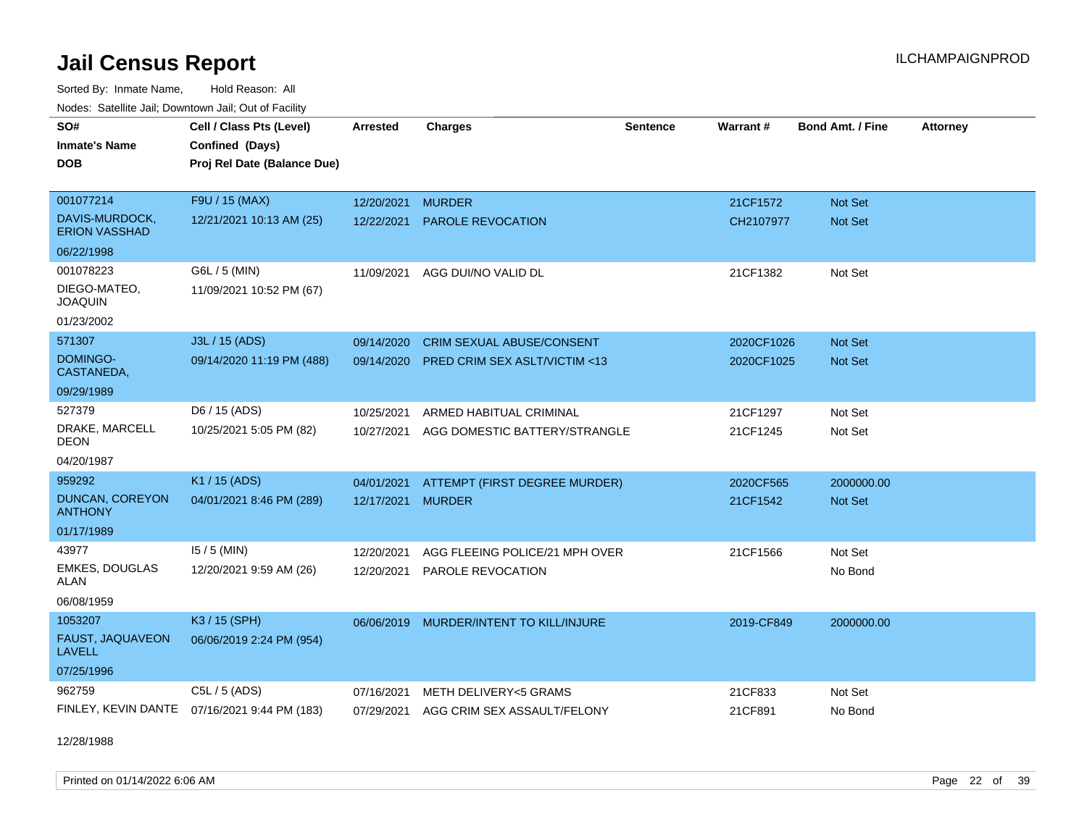Sorted By: Inmate Name, Hold Reason: All Nodes: Satellite Jail; Downtown Jail; Out of Facility

| <b>Houce.</b> Catellite ball, Downtown ball, Out of Fability<br>SO# | Cell / Class Pts (Level)                     | <b>Arrested</b> | <b>Charges</b>                          | <b>Sentence</b> | Warrant#   | <b>Bond Amt. / Fine</b> | <b>Attorney</b> |
|---------------------------------------------------------------------|----------------------------------------------|-----------------|-----------------------------------------|-----------------|------------|-------------------------|-----------------|
| <b>Inmate's Name</b>                                                | Confined (Days)                              |                 |                                         |                 |            |                         |                 |
| <b>DOB</b>                                                          | Proj Rel Date (Balance Due)                  |                 |                                         |                 |            |                         |                 |
|                                                                     |                                              |                 |                                         |                 |            |                         |                 |
| 001077214                                                           | F9U / 15 (MAX)                               | 12/20/2021      | <b>MURDER</b>                           |                 | 21CF1572   | <b>Not Set</b>          |                 |
| DAVIS-MURDOCK,<br><b>ERION VASSHAD</b>                              | 12/21/2021 10:13 AM (25)                     | 12/22/2021      | <b>PAROLE REVOCATION</b>                |                 | CH2107977  | <b>Not Set</b>          |                 |
| 06/22/1998                                                          |                                              |                 |                                         |                 |            |                         |                 |
| 001078223                                                           | G6L / 5 (MIN)                                |                 | 11/09/2021 AGG DUI/NO VALID DL          |                 | 21CF1382   | Not Set                 |                 |
| DIEGO-MATEO,<br><b>JOAQUIN</b>                                      | 11/09/2021 10:52 PM (67)                     |                 |                                         |                 |            |                         |                 |
| 01/23/2002                                                          |                                              |                 |                                         |                 |            |                         |                 |
| 571307                                                              | J3L / 15 (ADS)                               | 09/14/2020      | <b>CRIM SEXUAL ABUSE/CONSENT</b>        |                 | 2020CF1026 | Not Set                 |                 |
| DOMINGO-<br>CASTANEDA,                                              | 09/14/2020 11:19 PM (488)                    | 09/14/2020      | <b>PRED CRIM SEX ASLT/VICTIM &lt;13</b> |                 | 2020CF1025 | <b>Not Set</b>          |                 |
| 09/29/1989                                                          |                                              |                 |                                         |                 |            |                         |                 |
| 527379                                                              | D6 / 15 (ADS)                                | 10/25/2021      | ARMED HABITUAL CRIMINAL                 |                 | 21CF1297   | Not Set                 |                 |
| DRAKE, MARCELL<br><b>DEON</b>                                       | 10/25/2021 5:05 PM (82)                      | 10/27/2021      | AGG DOMESTIC BATTERY/STRANGLE           |                 | 21CF1245   | Not Set                 |                 |
| 04/20/1987                                                          |                                              |                 |                                         |                 |            |                         |                 |
| 959292                                                              | K1 / 15 (ADS)                                | 04/01/2021      | ATTEMPT (FIRST DEGREE MURDER)           |                 | 2020CF565  | 2000000.00              |                 |
| DUNCAN, COREYON<br><b>ANTHONY</b>                                   | 04/01/2021 8:46 PM (289)                     | 12/17/2021      | <b>MURDER</b>                           |                 | 21CF1542   | <b>Not Set</b>          |                 |
| 01/17/1989                                                          |                                              |                 |                                         |                 |            |                         |                 |
| 43977                                                               | $15/5$ (MIN)                                 | 12/20/2021      | AGG FLEEING POLICE/21 MPH OVER          |                 | 21CF1566   | Not Set                 |                 |
| <b>EMKES, DOUGLAS</b><br><b>ALAN</b>                                | 12/20/2021 9:59 AM (26)                      | 12/20/2021      | PAROLE REVOCATION                       |                 |            | No Bond                 |                 |
| 06/08/1959                                                          |                                              |                 |                                         |                 |            |                         |                 |
| 1053207                                                             | K3 / 15 (SPH)                                | 06/06/2019      | MURDER/INTENT TO KILL/INJURE            |                 | 2019-CF849 | 2000000.00              |                 |
| FAUST, JAQUAVEON<br><b>LAVELL</b>                                   | 06/06/2019 2:24 PM (954)                     |                 |                                         |                 |            |                         |                 |
| 07/25/1996                                                          |                                              |                 |                                         |                 |            |                         |                 |
| 962759                                                              | C5L / 5 (ADS)                                | 07/16/2021      | METH DELIVERY<5 GRAMS                   |                 | 21CF833    | Not Set                 |                 |
|                                                                     | FINLEY, KEVIN DANTE 07/16/2021 9:44 PM (183) |                 | 07/29/2021 AGG CRIM SEX ASSAULT/FELONY  |                 | 21CF891    | No Bond                 |                 |

12/28/1988

Printed on 01/14/2022 6:06 AM Page 22 of 39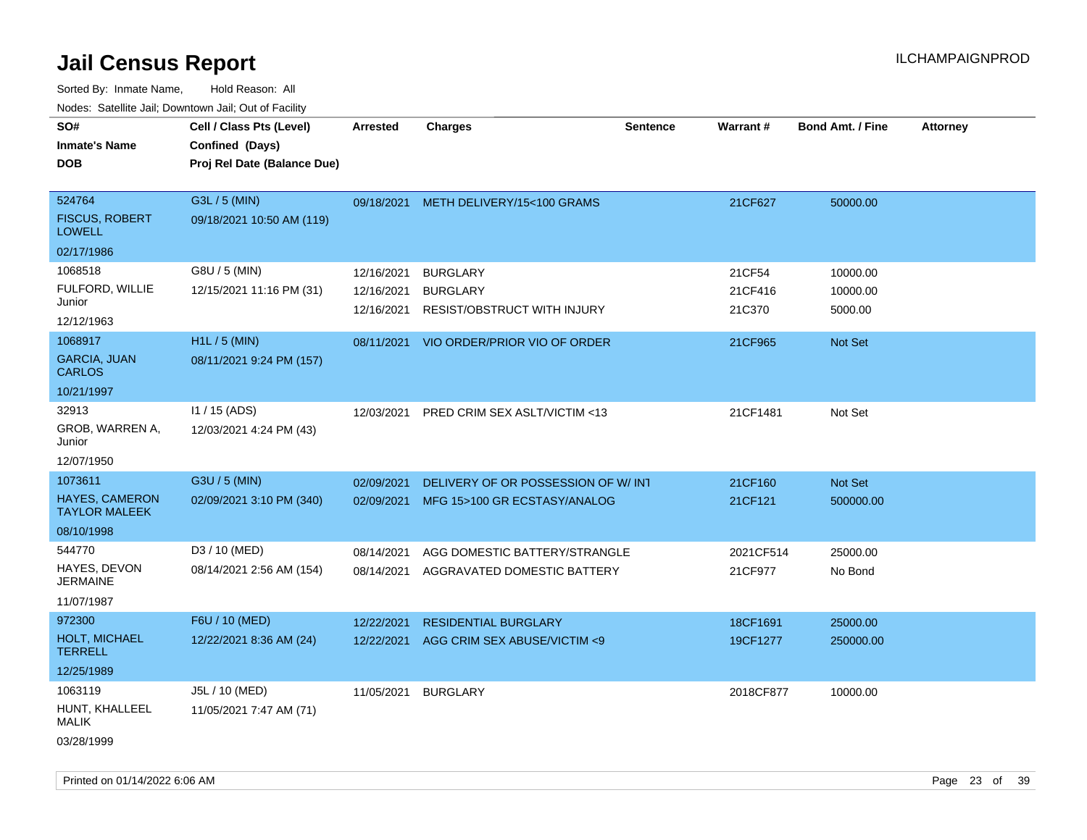Sorted By: Inmate Name, Hold Reason: All Nodes: Satellite Jail; Downtown Jail; Out of Facility

| SO#                                           | Cell / Class Pts (Level)    | <b>Arrested</b> | <b>Charges</b>                          | <b>Sentence</b> | Warrant#  | <b>Bond Amt. / Fine</b> | <b>Attorney</b> |
|-----------------------------------------------|-----------------------------|-----------------|-----------------------------------------|-----------------|-----------|-------------------------|-----------------|
| <b>Inmate's Name</b>                          | Confined (Days)             |                 |                                         |                 |           |                         |                 |
| <b>DOB</b>                                    | Proj Rel Date (Balance Due) |                 |                                         |                 |           |                         |                 |
|                                               |                             |                 |                                         |                 |           |                         |                 |
| 524764                                        | G3L / 5 (MIN)               |                 | 09/18/2021 METH DELIVERY/15<100 GRAMS   |                 | 21CF627   | 50000.00                |                 |
| <b>FISCUS, ROBERT</b><br><b>LOWELL</b>        | 09/18/2021 10:50 AM (119)   |                 |                                         |                 |           |                         |                 |
| 02/17/1986                                    |                             |                 |                                         |                 |           |                         |                 |
| 1068518                                       | G8U / 5 (MIN)               | 12/16/2021      | <b>BURGLARY</b>                         |                 | 21CF54    | 10000.00                |                 |
| FULFORD, WILLIE                               | 12/15/2021 11:16 PM (31)    | 12/16/2021      | <b>BURGLARY</b>                         |                 | 21CF416   | 10000.00                |                 |
| Junior                                        |                             | 12/16/2021      | <b>RESIST/OBSTRUCT WITH INJURY</b>      |                 | 21C370    | 5000.00                 |                 |
| 12/12/1963                                    |                             |                 |                                         |                 |           |                         |                 |
| 1068917                                       | $H1L / 5$ (MIN)             |                 | 08/11/2021 VIO ORDER/PRIOR VIO OF ORDER |                 | 21CF965   | Not Set                 |                 |
| <b>GARCIA, JUAN</b><br><b>CARLOS</b>          | 08/11/2021 9:24 PM (157)    |                 |                                         |                 |           |                         |                 |
| 10/21/1997                                    |                             |                 |                                         |                 |           |                         |                 |
| 32913                                         | $11 / 15$ (ADS)             | 12/03/2021      | PRED CRIM SEX ASLT/VICTIM <13           |                 | 21CF1481  | Not Set                 |                 |
| GROB, WARREN A,<br>Junior                     | 12/03/2021 4:24 PM (43)     |                 |                                         |                 |           |                         |                 |
| 12/07/1950                                    |                             |                 |                                         |                 |           |                         |                 |
| 1073611                                       | G3U / 5 (MIN)               | 02/09/2021      | DELIVERY OF OR POSSESSION OF W/INT      |                 | 21CF160   | Not Set                 |                 |
| <b>HAYES, CAMERON</b><br><b>TAYLOR MALEEK</b> | 02/09/2021 3:10 PM (340)    |                 | 02/09/2021 MFG 15>100 GR ECSTASY/ANALOG |                 | 21CF121   | 500000.00               |                 |
| 08/10/1998                                    |                             |                 |                                         |                 |           |                         |                 |
| 544770                                        | D3 / 10 (MED)               | 08/14/2021      | AGG DOMESTIC BATTERY/STRANGLE           |                 | 2021CF514 | 25000.00                |                 |
| HAYES, DEVON<br><b>JERMAINE</b>               | 08/14/2021 2:56 AM (154)    | 08/14/2021      | AGGRAVATED DOMESTIC BATTERY             |                 | 21CF977   | No Bond                 |                 |
| 11/07/1987                                    |                             |                 |                                         |                 |           |                         |                 |
| 972300                                        | F6U / 10 (MED)              | 12/22/2021      | <b>RESIDENTIAL BURGLARY</b>             |                 | 18CF1691  | 25000.00                |                 |
| HOLT, MICHAEL<br><b>TERRELL</b>               | 12/22/2021 8:36 AM (24)     | 12/22/2021      | AGG CRIM SEX ABUSE/VICTIM <9            |                 | 19CF1277  | 250000.00               |                 |
| 12/25/1989                                    |                             |                 |                                         |                 |           |                         |                 |
| 1063119                                       | J5L / 10 (MED)              | 11/05/2021      | <b>BURGLARY</b>                         |                 | 2018CF877 | 10000.00                |                 |
| HUNT, KHALLEEL<br>MALIK                       | 11/05/2021 7:47 AM (71)     |                 |                                         |                 |           |                         |                 |
| 03/28/1999                                    |                             |                 |                                         |                 |           |                         |                 |

Printed on 01/14/2022 6:06 AM Page 23 of 39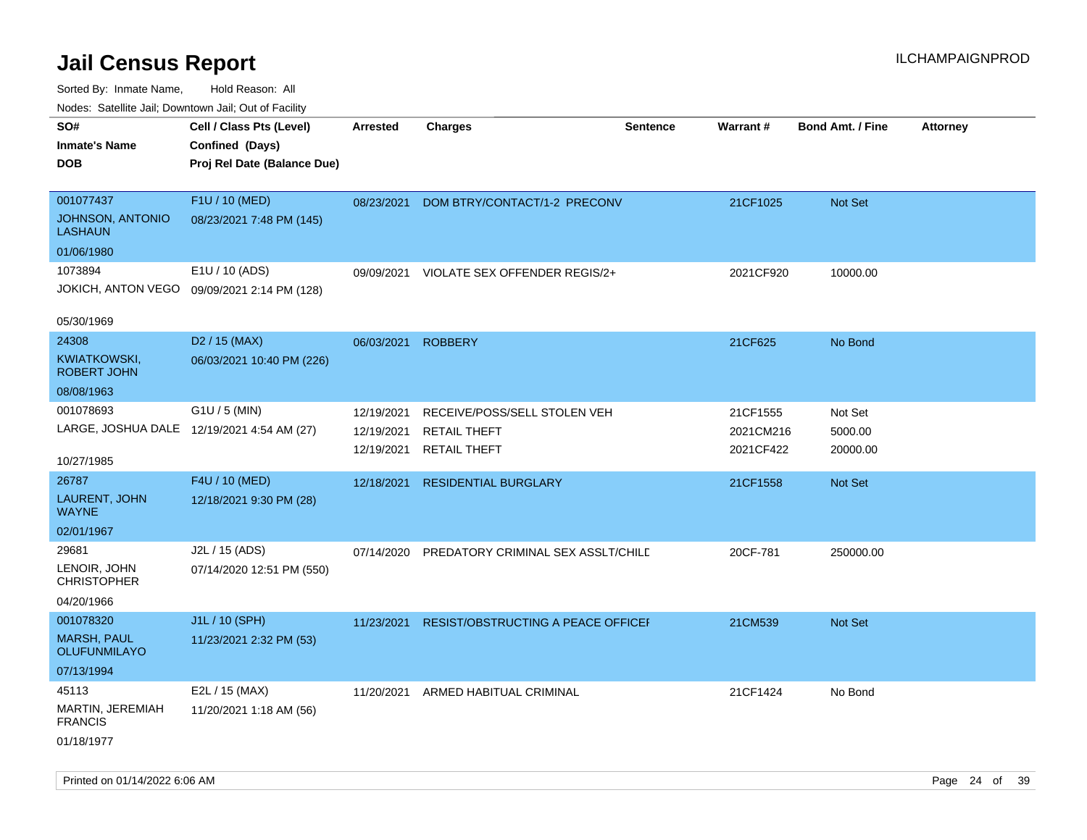| indues. Satellite Jali, Downtown Jali, Out of Facility |                                             |                 |                                    |                 |           |                         |                 |
|--------------------------------------------------------|---------------------------------------------|-----------------|------------------------------------|-----------------|-----------|-------------------------|-----------------|
| SO#                                                    | Cell / Class Pts (Level)                    | <b>Arrested</b> | <b>Charges</b>                     | <b>Sentence</b> | Warrant#  | <b>Bond Amt. / Fine</b> | <b>Attorney</b> |
| <b>Inmate's Name</b>                                   | Confined (Days)                             |                 |                                    |                 |           |                         |                 |
| <b>DOB</b>                                             | Proj Rel Date (Balance Due)                 |                 |                                    |                 |           |                         |                 |
|                                                        |                                             |                 |                                    |                 |           |                         |                 |
| 001077437                                              | F1U / 10 (MED)                              | 08/23/2021      | DOM BTRY/CONTACT/1-2 PRECONV       |                 | 21CF1025  | Not Set                 |                 |
| <b>JOHNSON, ANTONIO</b><br><b>LASHAUN</b>              | 08/23/2021 7:48 PM (145)                    |                 |                                    |                 |           |                         |                 |
| 01/06/1980                                             |                                             |                 |                                    |                 |           |                         |                 |
| 1073894                                                | E1U / 10 (ADS)                              | 09/09/2021      | VIOLATE SEX OFFENDER REGIS/2+      |                 | 2021CF920 | 10000.00                |                 |
|                                                        | JOKICH, ANTON VEGO 09/09/2021 2:14 PM (128) |                 |                                    |                 |           |                         |                 |
| 05/30/1969                                             |                                             |                 |                                    |                 |           |                         |                 |
| 24308                                                  | D <sub>2</sub> / 15 (MAX)                   | 06/03/2021      | <b>ROBBERY</b>                     |                 | 21CF625   | No Bond                 |                 |
| KWIATKOWSKI,<br><b>ROBERT JOHN</b>                     | 06/03/2021 10:40 PM (226)                   |                 |                                    |                 |           |                         |                 |
| 08/08/1963                                             |                                             |                 |                                    |                 |           |                         |                 |
| 001078693                                              | $G1U / 5$ (MIN)                             | 12/19/2021      | RECEIVE/POSS/SELL STOLEN VEH       |                 | 21CF1555  | Not Set                 |                 |
| LARGE, JOSHUA DALE 12/19/2021 4:54 AM (27)             |                                             | 12/19/2021      | <b>RETAIL THEFT</b>                |                 | 2021CM216 | 5000.00                 |                 |
|                                                        |                                             | 12/19/2021      | <b>RETAIL THEFT</b>                |                 | 2021CF422 | 20000.00                |                 |
| 10/27/1985                                             |                                             |                 |                                    |                 |           |                         |                 |
| 26787                                                  | F4U / 10 (MED)                              | 12/18/2021      | <b>RESIDENTIAL BURGLARY</b>        |                 | 21CF1558  | Not Set                 |                 |
| LAURENT, JOHN<br><b>WAYNE</b>                          | 12/18/2021 9:30 PM (28)                     |                 |                                    |                 |           |                         |                 |
| 02/01/1967                                             |                                             |                 |                                    |                 |           |                         |                 |
| 29681                                                  | J2L / 15 (ADS)                              | 07/14/2020      | PREDATORY CRIMINAL SEX ASSLT/CHILD |                 | 20CF-781  | 250000.00               |                 |
| LENOIR, JOHN<br><b>CHRISTOPHER</b>                     | 07/14/2020 12:51 PM (550)                   |                 |                                    |                 |           |                         |                 |
| 04/20/1966                                             |                                             |                 |                                    |                 |           |                         |                 |
| 001078320                                              | J1L / 10 (SPH)                              | 11/23/2021      | RESIST/OBSTRUCTING A PEACE OFFICEF |                 | 21CM539   | Not Set                 |                 |
| <b>MARSH, PAUL</b><br><b>OLUFUNMILAYO</b>              | 11/23/2021 2:32 PM (53)                     |                 |                                    |                 |           |                         |                 |
| 07/13/1994                                             |                                             |                 |                                    |                 |           |                         |                 |
| 45113                                                  | E2L / 15 (MAX)                              | 11/20/2021      | ARMED HABITUAL CRIMINAL            |                 | 21CF1424  | No Bond                 |                 |
| MARTIN, JEREMIAH<br><b>FRANCIS</b>                     | 11/20/2021 1:18 AM (56)                     |                 |                                    |                 |           |                         |                 |
| 01/18/1977                                             |                                             |                 |                                    |                 |           |                         |                 |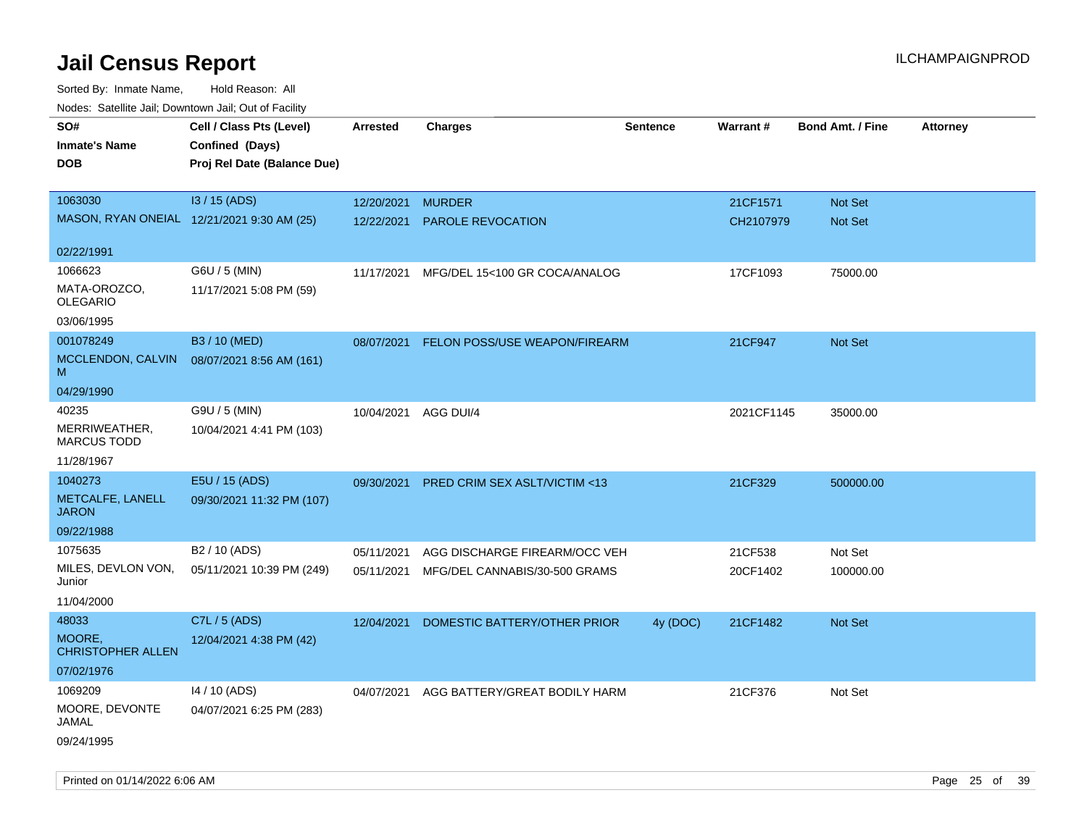Sorted By: Inmate Name, Hold Reason: All Nodes: Satellite Jail; Downtown Jail; Out of Facility

| ivouss. Satellite Jall, Downtown Jall, Out of Facility |                             |                      |                                          |                 |                 |                         |                 |
|--------------------------------------------------------|-----------------------------|----------------------|------------------------------------------|-----------------|-----------------|-------------------------|-----------------|
| SO#                                                    | Cell / Class Pts (Level)    | Arrested             | <b>Charges</b>                           | <b>Sentence</b> | <b>Warrant#</b> | <b>Bond Amt. / Fine</b> | <b>Attorney</b> |
| <b>Inmate's Name</b>                                   | Confined (Days)             |                      |                                          |                 |                 |                         |                 |
| <b>DOB</b>                                             | Proj Rel Date (Balance Due) |                      |                                          |                 |                 |                         |                 |
|                                                        |                             |                      |                                          |                 |                 |                         |                 |
| 1063030                                                | I3 / 15 (ADS)               | 12/20/2021           | <b>MURDER</b>                            |                 | 21CF1571        | Not Set                 |                 |
| MASON, RYAN ONEIAL 12/21/2021 9:30 AM (25)             |                             | 12/22/2021           | <b>PAROLE REVOCATION</b>                 |                 | CH2107979       | Not Set                 |                 |
|                                                        |                             |                      |                                          |                 |                 |                         |                 |
| 02/22/1991                                             |                             |                      |                                          |                 |                 |                         |                 |
| 1066623                                                | G6U / 5 (MIN)               | 11/17/2021           | MFG/DEL 15<100 GR COCA/ANALOG            |                 | 17CF1093        | 75000.00                |                 |
| MATA-OROZCO,                                           | 11/17/2021 5:08 PM (59)     |                      |                                          |                 |                 |                         |                 |
| <b>OLEGARIO</b>                                        |                             |                      |                                          |                 |                 |                         |                 |
| 03/06/1995                                             |                             |                      |                                          |                 |                 |                         |                 |
| 001078249                                              | B3 / 10 (MED)               | 08/07/2021           | FELON POSS/USE WEAPON/FIREARM            |                 | 21CF947         | Not Set                 |                 |
| MCCLENDON, CALVIN<br>м                                 | 08/07/2021 8:56 AM (161)    |                      |                                          |                 |                 |                         |                 |
| 04/29/1990                                             |                             |                      |                                          |                 |                 |                         |                 |
| 40235                                                  | G9U / 5 (MIN)               | 10/04/2021 AGG DUI/4 |                                          |                 | 2021CF1145      | 35000.00                |                 |
| MERRIWEATHER,<br><b>MARCUS TODD</b>                    | 10/04/2021 4:41 PM (103)    |                      |                                          |                 |                 |                         |                 |
| 11/28/1967                                             |                             |                      |                                          |                 |                 |                         |                 |
| 1040273                                                | E5U / 15 (ADS)              | 09/30/2021           | PRED CRIM SEX ASLT/VICTIM <13            |                 | 21CF329         | 500000.00               |                 |
| METCALFE, LANELL<br><b>JARON</b>                       | 09/30/2021 11:32 PM (107)   |                      |                                          |                 |                 |                         |                 |
| 09/22/1988                                             |                             |                      |                                          |                 |                 |                         |                 |
| 1075635                                                | B <sub>2</sub> / 10 (ADS)   | 05/11/2021           | AGG DISCHARGE FIREARM/OCC VEH            |                 | 21CF538         | Not Set                 |                 |
| MILES, DEVLON VON,<br>Junior                           | 05/11/2021 10:39 PM (249)   | 05/11/2021           | MFG/DEL CANNABIS/30-500 GRAMS            |                 | 20CF1402        | 100000.00               |                 |
| 11/04/2000                                             |                             |                      |                                          |                 |                 |                         |                 |
| 48033                                                  | C7L / 5 (ADS)               | 12/04/2021           | DOMESTIC BATTERY/OTHER PRIOR             | 4y (DOC)        | 21CF1482        | <b>Not Set</b>          |                 |
| MOORE,                                                 | 12/04/2021 4:38 PM (42)     |                      |                                          |                 |                 |                         |                 |
| <b>CHRISTOPHER ALLEN</b>                               |                             |                      |                                          |                 |                 |                         |                 |
| 07/02/1976                                             |                             |                      |                                          |                 |                 |                         |                 |
| 1069209                                                | 14 / 10 (ADS)               |                      | 04/07/2021 AGG BATTERY/GREAT BODILY HARM |                 | 21CF376         | Not Set                 |                 |
| MOORE, DEVONTE<br>JAMAL                                | 04/07/2021 6:25 PM (283)    |                      |                                          |                 |                 |                         |                 |
| 09/24/1995                                             |                             |                      |                                          |                 |                 |                         |                 |

Printed on 01/14/2022 6:06 AM Page 25 of 39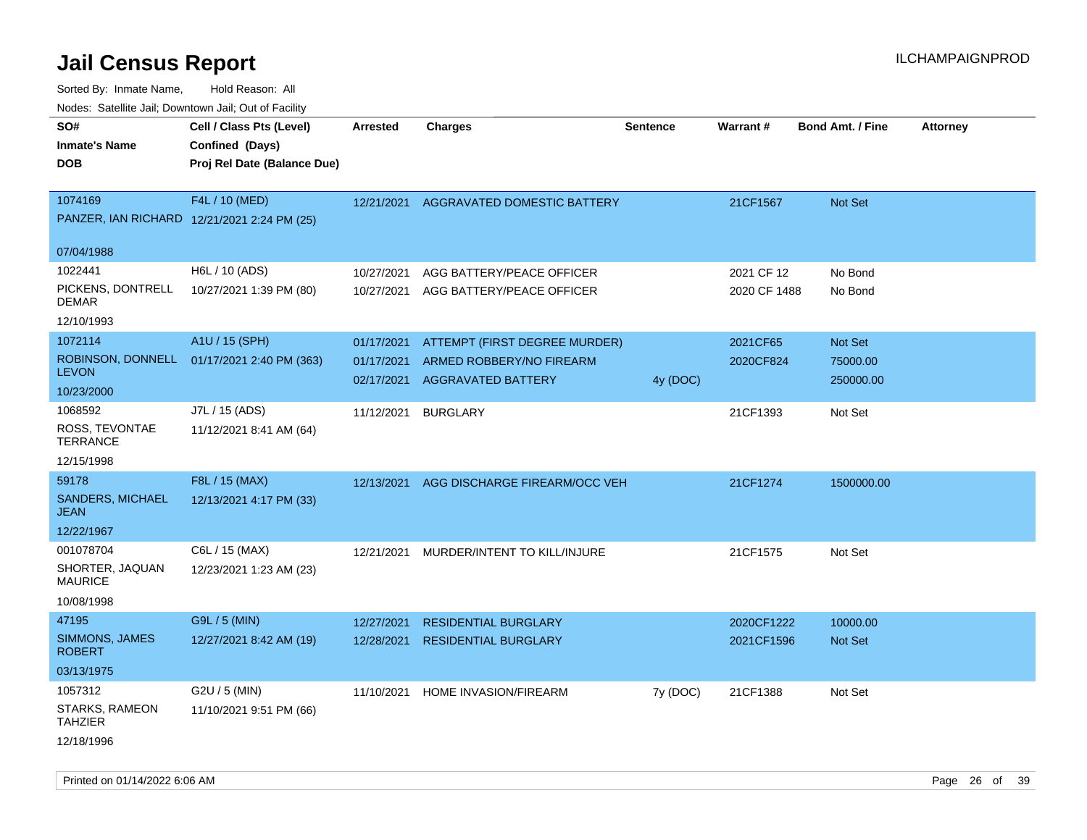| roaco. Catolino dall, Downtown dall, Out of Fability |                                             |            |                                        |                 |                 |                         |                 |
|------------------------------------------------------|---------------------------------------------|------------|----------------------------------------|-----------------|-----------------|-------------------------|-----------------|
| SO#                                                  | Cell / Class Pts (Level)                    | Arrested   | <b>Charges</b>                         | <b>Sentence</b> | <b>Warrant#</b> | <b>Bond Amt. / Fine</b> | <b>Attorney</b> |
| <b>Inmate's Name</b>                                 | Confined (Days)                             |            |                                        |                 |                 |                         |                 |
| <b>DOB</b>                                           | Proj Rel Date (Balance Due)                 |            |                                        |                 |                 |                         |                 |
|                                                      |                                             |            |                                        |                 |                 |                         |                 |
| 1074169                                              | F4L / 10 (MED)                              |            | 12/21/2021 AGGRAVATED DOMESTIC BATTERY |                 | 21CF1567        | <b>Not Set</b>          |                 |
|                                                      | PANZER, IAN RICHARD 12/21/2021 2:24 PM (25) |            |                                        |                 |                 |                         |                 |
|                                                      |                                             |            |                                        |                 |                 |                         |                 |
| 07/04/1988                                           |                                             |            |                                        |                 |                 |                         |                 |
| 1022441                                              | H6L / 10 (ADS)                              | 10/27/2021 | AGG BATTERY/PEACE OFFICER              |                 | 2021 CF 12      | No Bond                 |                 |
| PICKENS, DONTRELL                                    | 10/27/2021 1:39 PM (80)                     | 10/27/2021 | AGG BATTERY/PEACE OFFICER              |                 | 2020 CF 1488    | No Bond                 |                 |
| DEMAR                                                |                                             |            |                                        |                 |                 |                         |                 |
| 12/10/1993                                           |                                             |            |                                        |                 |                 |                         |                 |
| 1072114                                              | A1U / 15 (SPH)                              | 01/17/2021 | ATTEMPT (FIRST DEGREE MURDER)          |                 | 2021CF65        | Not Set                 |                 |
| <b>LEVON</b>                                         | ROBINSON, DONNELL 01/17/2021 2:40 PM (363)  | 01/17/2021 | ARMED ROBBERY/NO FIREARM               |                 | 2020CF824       | 75000.00                |                 |
| 10/23/2000                                           |                                             | 02/17/2021 | <b>AGGRAVATED BATTERY</b>              | 4y (DOC)        |                 | 250000.00               |                 |
|                                                      |                                             |            |                                        |                 |                 |                         |                 |
| 1068592                                              | J7L / 15 (ADS)                              | 11/12/2021 | <b>BURGLARY</b>                        |                 | 21CF1393        | Not Set                 |                 |
| ROSS, TEVONTAE<br><b>TERRANCE</b>                    | 11/12/2021 8:41 AM (64)                     |            |                                        |                 |                 |                         |                 |
| 12/15/1998                                           |                                             |            |                                        |                 |                 |                         |                 |
| 59178                                                | F8L / 15 (MAX)                              | 12/13/2021 | AGG DISCHARGE FIREARM/OCC VEH          |                 | 21CF1274        | 1500000.00              |                 |
| SANDERS, MICHAEL                                     | 12/13/2021 4:17 PM (33)                     |            |                                        |                 |                 |                         |                 |
| JEAN                                                 |                                             |            |                                        |                 |                 |                         |                 |
| 12/22/1967                                           |                                             |            |                                        |                 |                 |                         |                 |
| 001078704                                            | C6L / 15 (MAX)                              | 12/21/2021 | MURDER/INTENT TO KILL/INJURE           |                 | 21CF1575        | Not Set                 |                 |
| SHORTER, JAQUAN                                      | 12/23/2021 1:23 AM (23)                     |            |                                        |                 |                 |                         |                 |
| <b>MAURICE</b>                                       |                                             |            |                                        |                 |                 |                         |                 |
| 10/08/1998                                           |                                             |            |                                        |                 |                 |                         |                 |
| 47195                                                | G9L / 5 (MIN)                               | 12/27/2021 | <b>RESIDENTIAL BURGLARY</b>            |                 | 2020CF1222      | 10000.00                |                 |
| SIMMONS, JAMES                                       | 12/27/2021 8:42 AM (19)                     | 12/28/2021 | <b>RESIDENTIAL BURGLARY</b>            |                 | 2021CF1596      | <b>Not Set</b>          |                 |
| <b>ROBERT</b>                                        |                                             |            |                                        |                 |                 |                         |                 |
| 03/13/1975                                           |                                             |            |                                        |                 |                 |                         |                 |
| 1057312                                              | G2U / 5 (MIN)                               | 11/10/2021 | HOME INVASION/FIREARM                  | 7y (DOC)        | 21CF1388        | Not Set                 |                 |
| STARKS, RAMEON<br>TAHZIER                            | 11/10/2021 9:51 PM (66)                     |            |                                        |                 |                 |                         |                 |
| 12/18/1996                                           |                                             |            |                                        |                 |                 |                         |                 |
|                                                      |                                             |            |                                        |                 |                 |                         |                 |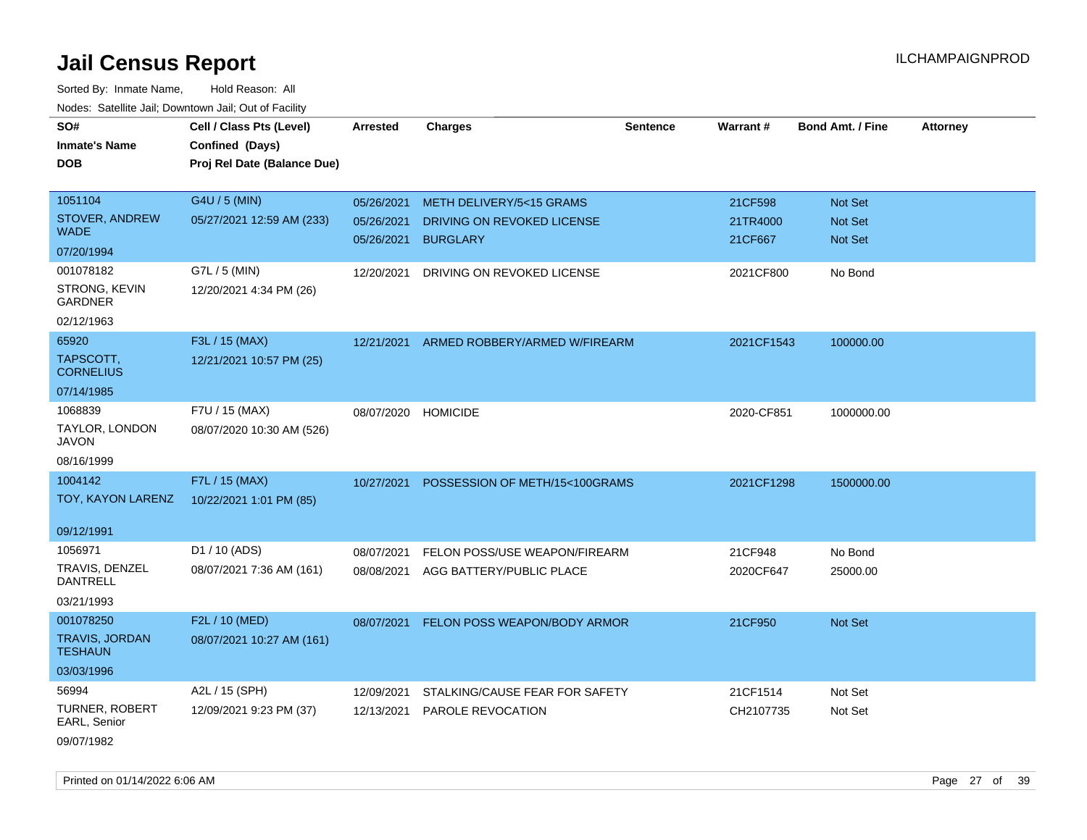Sorted By: Inmate Name, Hold Reason: All Nodes: Satellite Jail; Downtown Jail; Out of Facility

| SO#                                     | Cell / Class Pts (Level)    | Arrested   | <b>Charges</b>                 | <b>Sentence</b> | Warrant#   | <b>Bond Amt. / Fine</b> | <b>Attorney</b> |
|-----------------------------------------|-----------------------------|------------|--------------------------------|-----------------|------------|-------------------------|-----------------|
| <b>Inmate's Name</b>                    | Confined (Days)             |            |                                |                 |            |                         |                 |
| <b>DOB</b>                              | Proj Rel Date (Balance Due) |            |                                |                 |            |                         |                 |
|                                         |                             |            |                                |                 |            |                         |                 |
| 1051104                                 | G4U / 5 (MIN)               | 05/26/2021 | METH DELIVERY/5<15 GRAMS       |                 | 21CF598    | Not Set                 |                 |
| STOVER, ANDREW                          | 05/27/2021 12:59 AM (233)   | 05/26/2021 | DRIVING ON REVOKED LICENSE     |                 | 21TR4000   | Not Set                 |                 |
| <b>WADE</b>                             |                             | 05/26/2021 | <b>BURGLARY</b>                |                 | 21CF667    | Not Set                 |                 |
| 07/20/1994                              |                             |            |                                |                 |            |                         |                 |
| 001078182                               | G7L / 5 (MIN)               | 12/20/2021 | DRIVING ON REVOKED LICENSE     |                 | 2021CF800  | No Bond                 |                 |
| <b>STRONG, KEVIN</b><br><b>GARDNER</b>  | 12/20/2021 4:34 PM (26)     |            |                                |                 |            |                         |                 |
| 02/12/1963                              |                             |            |                                |                 |            |                         |                 |
| 65920                                   | F3L / 15 (MAX)              | 12/21/2021 | ARMED ROBBERY/ARMED W/FIREARM  |                 | 2021CF1543 | 100000.00               |                 |
| TAPSCOTT,<br><b>CORNELIUS</b>           | 12/21/2021 10:57 PM (25)    |            |                                |                 |            |                         |                 |
| 07/14/1985                              |                             |            |                                |                 |            |                         |                 |
| 1068839                                 | F7U / 15 (MAX)              | 08/07/2020 | <b>HOMICIDE</b>                |                 | 2020-CF851 | 1000000.00              |                 |
| TAYLOR, LONDON<br><b>JAVON</b>          | 08/07/2020 10:30 AM (526)   |            |                                |                 |            |                         |                 |
| 08/16/1999                              |                             |            |                                |                 |            |                         |                 |
| 1004142                                 | F7L / 15 (MAX)              | 10/27/2021 | POSSESSION OF METH/15<100GRAMS |                 | 2021CF1298 | 1500000.00              |                 |
| TOY, KAYON LARENZ                       | 10/22/2021 1:01 PM (85)     |            |                                |                 |            |                         |                 |
| 09/12/1991                              |                             |            |                                |                 |            |                         |                 |
| 1056971                                 | D1 / 10 (ADS)               | 08/07/2021 | FELON POSS/USE WEAPON/FIREARM  |                 | 21CF948    | No Bond                 |                 |
| TRAVIS, DENZEL<br><b>DANTRELL</b>       | 08/07/2021 7:36 AM (161)    | 08/08/2021 | AGG BATTERY/PUBLIC PLACE       |                 | 2020CF647  | 25000.00                |                 |
| 03/21/1993                              |                             |            |                                |                 |            |                         |                 |
| 001078250                               | F2L / 10 (MED)              | 08/07/2021 | FELON POSS WEAPON/BODY ARMOR   |                 | 21CF950    | Not Set                 |                 |
| <b>TRAVIS, JORDAN</b><br><b>TESHAUN</b> | 08/07/2021 10:27 AM (161)   |            |                                |                 |            |                         |                 |
| 03/03/1996                              |                             |            |                                |                 |            |                         |                 |
| 56994                                   | A2L / 15 (SPH)              | 12/09/2021 | STALKING/CAUSE FEAR FOR SAFETY |                 | 21CF1514   | Not Set                 |                 |
| <b>TURNER, ROBERT</b><br>EARL, Senior   | 12/09/2021 9:23 PM (37)     | 12/13/2021 | <b>PAROLE REVOCATION</b>       |                 | CH2107735  | Not Set                 |                 |
| 09/07/1982                              |                             |            |                                |                 |            |                         |                 |

Printed on 01/14/2022 6:06 AM Page 27 of 39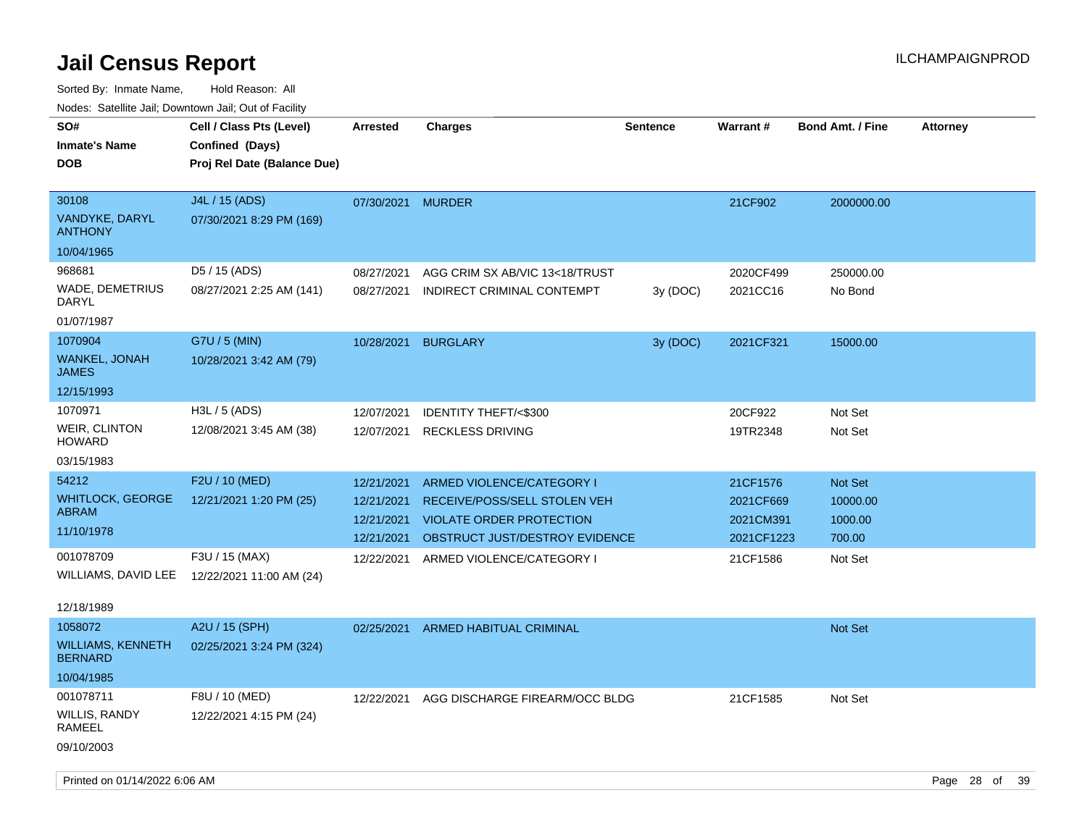Sorted By: Inmate Name, Hold Reason: All Nodes: Satellite Jail; Downtown Jail; Out of Facility

| inodes. Satellite Jali, Downtown Jali, Out of Facility |                             |                   |                                 |                 |            |                         |                 |
|--------------------------------------------------------|-----------------------------|-------------------|---------------------------------|-----------------|------------|-------------------------|-----------------|
| SO#                                                    | Cell / Class Pts (Level)    | <b>Arrested</b>   | <b>Charges</b>                  | <b>Sentence</b> | Warrant #  | <b>Bond Amt. / Fine</b> | <b>Attorney</b> |
| <b>Inmate's Name</b>                                   | Confined (Days)             |                   |                                 |                 |            |                         |                 |
| <b>DOB</b>                                             | Proj Rel Date (Balance Due) |                   |                                 |                 |            |                         |                 |
|                                                        |                             |                   |                                 |                 |            |                         |                 |
| 30108                                                  | J4L / 15 (ADS)              | 07/30/2021 MURDER |                                 |                 | 21CF902    | 2000000.00              |                 |
| VANDYKE, DARYL<br><b>ANTHONY</b>                       | 07/30/2021 8:29 PM (169)    |                   |                                 |                 |            |                         |                 |
| 10/04/1965                                             |                             |                   |                                 |                 |            |                         |                 |
| 968681                                                 | D5 / 15 (ADS)               | 08/27/2021        | AGG CRIM SX AB/VIC 13<18/TRUST  |                 | 2020CF499  | 250000.00               |                 |
| WADE, DEMETRIUS<br>DARYL                               | 08/27/2021 2:25 AM (141)    | 08/27/2021        | INDIRECT CRIMINAL CONTEMPT      | 3y(DOC)         | 2021CC16   | No Bond                 |                 |
| 01/07/1987                                             |                             |                   |                                 |                 |            |                         |                 |
| 1070904                                                | G7U / 5 (MIN)               | 10/28/2021        | <b>BURGLARY</b>                 | 3y (DOC)        | 2021CF321  | 15000.00                |                 |
| <b>WANKEL, JONAH</b><br><b>JAMES</b>                   | 10/28/2021 3:42 AM (79)     |                   |                                 |                 |            |                         |                 |
| 12/15/1993                                             |                             |                   |                                 |                 |            |                         |                 |
| 1070971                                                | H3L / 5 (ADS)               | 12/07/2021        | <b>IDENTITY THEFT/&lt;\$300</b> |                 | 20CF922    | Not Set                 |                 |
| <b>WEIR, CLINTON</b><br><b>HOWARD</b>                  | 12/08/2021 3:45 AM (38)     | 12/07/2021        | <b>RECKLESS DRIVING</b>         |                 | 19TR2348   | Not Set                 |                 |
| 03/15/1983                                             |                             |                   |                                 |                 |            |                         |                 |
| 54212                                                  | F2U / 10 (MED)              | 12/21/2021        | ARMED VIOLENCE/CATEGORY I       |                 | 21CF1576   | <b>Not Set</b>          |                 |
| <b>WHITLOCK, GEORGE</b>                                | 12/21/2021 1:20 PM (25)     | 12/21/2021        | RECEIVE/POSS/SELL STOLEN VEH    |                 | 2021CF669  | 10000.00                |                 |
| <b>ABRAM</b>                                           |                             | 12/21/2021        | <b>VIOLATE ORDER PROTECTION</b> |                 | 2021CM391  | 1000.00                 |                 |
| 11/10/1978                                             |                             | 12/21/2021        | OBSTRUCT JUST/DESTROY EVIDENCE  |                 | 2021CF1223 | 700.00                  |                 |
| 001078709                                              | F3U / 15 (MAX)              | 12/22/2021        | ARMED VIOLENCE/CATEGORY I       |                 | 21CF1586   | Not Set                 |                 |
| WILLIAMS, DAVID LEE                                    | 12/22/2021 11:00 AM (24)    |                   |                                 |                 |            |                         |                 |
|                                                        |                             |                   |                                 |                 |            |                         |                 |
| 12/18/1989                                             |                             |                   |                                 |                 |            |                         |                 |
| 1058072                                                | A2U / 15 (SPH)              | 02/25/2021        | ARMED HABITUAL CRIMINAL         |                 |            | Not Set                 |                 |
| <b>WILLIAMS, KENNETH</b><br><b>BERNARD</b>             | 02/25/2021 3:24 PM (324)    |                   |                                 |                 |            |                         |                 |
| 10/04/1985                                             |                             |                   |                                 |                 |            |                         |                 |
| 001078711                                              | F8U / 10 (MED)              | 12/22/2021        | AGG DISCHARGE FIREARM/OCC BLDG  |                 | 21CF1585   | Not Set                 |                 |
| WILLIS, RANDY<br><b>RAMEEL</b>                         | 12/22/2021 4:15 PM (24)     |                   |                                 |                 |            |                         |                 |

09/10/2003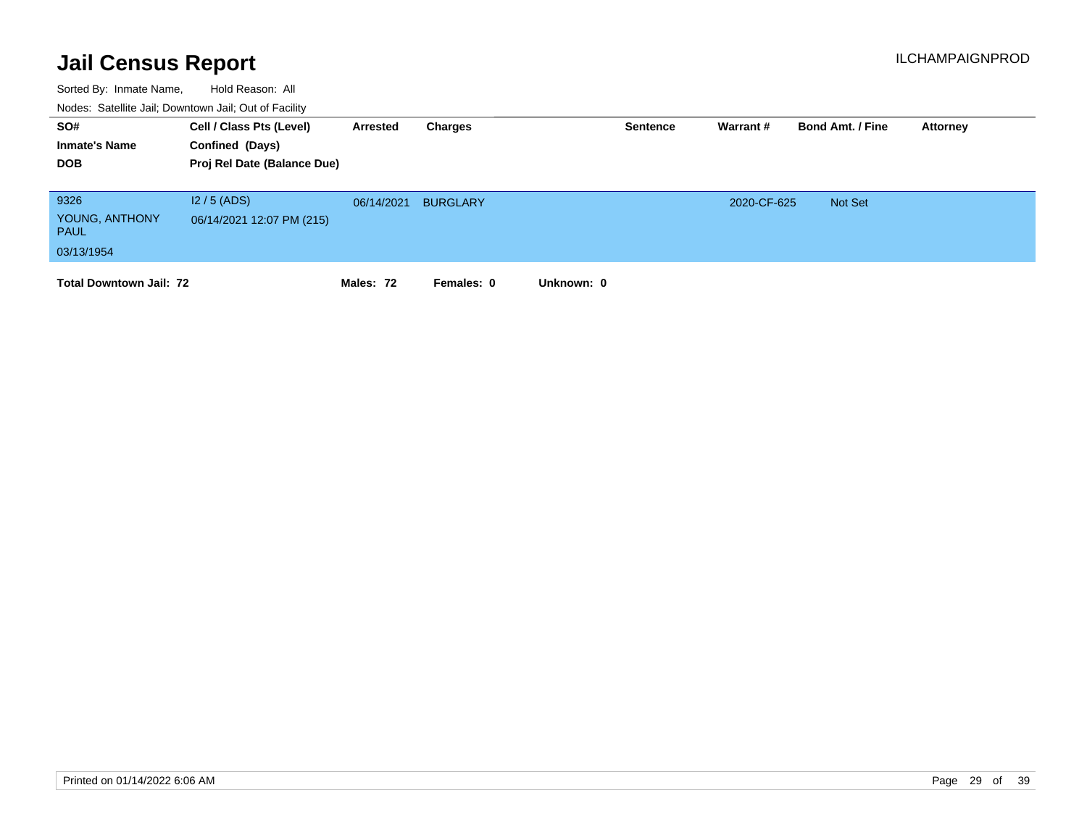| SO#<br><b>Inmate's Name</b><br><b>DOB</b>           | Cell / Class Pts (Level)<br>Confined (Days)<br>Proj Rel Date (Balance Due) | Arrested   | Charges         |            | <b>Sentence</b> | Warrant#    | <b>Bond Amt. / Fine</b> | Attorney |
|-----------------------------------------------------|----------------------------------------------------------------------------|------------|-----------------|------------|-----------------|-------------|-------------------------|----------|
| 9326<br>YOUNG, ANTHONY<br><b>PAUL</b><br>03/13/1954 | $12/5$ (ADS)<br>06/14/2021 12:07 PM (215)                                  | 06/14/2021 | <b>BURGLARY</b> |            |                 | 2020-CF-625 | Not Set                 |          |
| <b>Total Downtown Jail: 72</b>                      |                                                                            | Males: 72  | Females: 0      | Unknown: 0 |                 |             |                         |          |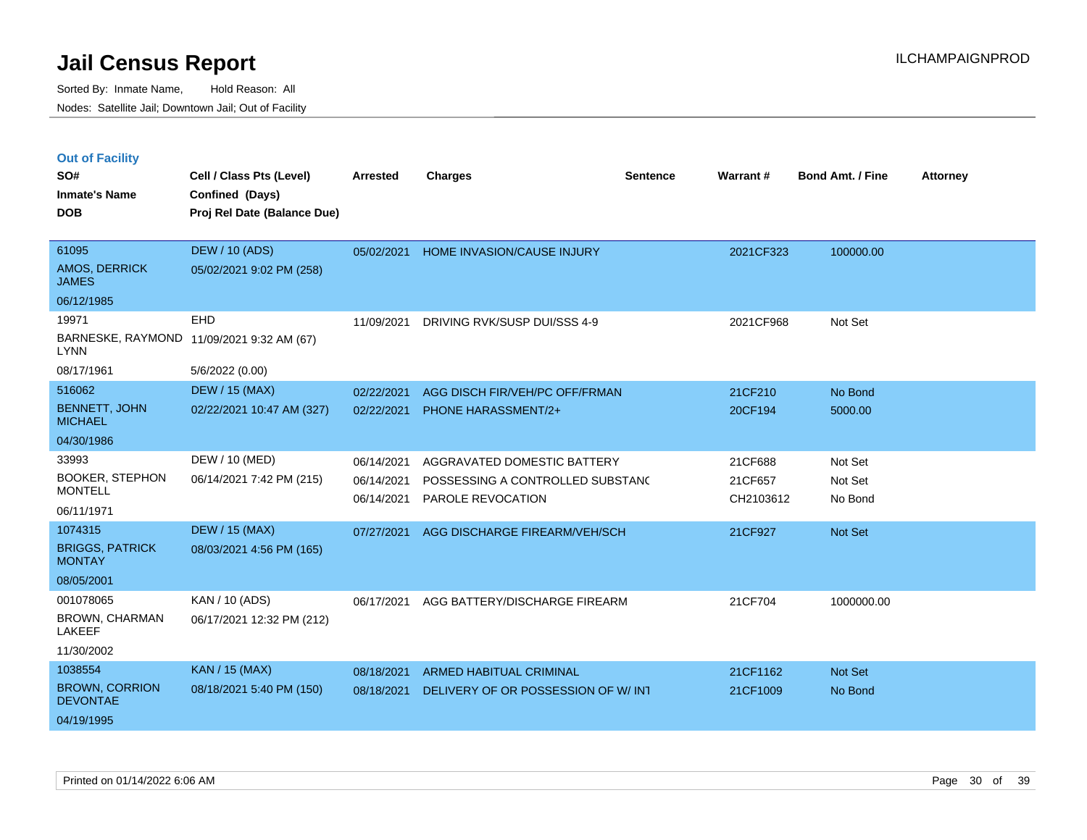|  | <b>Out of Facility</b> |  |
|--|------------------------|--|

| SO#<br><b>Inmate's Name</b><br><b>DOB</b>                         | Cell / Class Pts (Level)<br>Confined (Days)<br>Proj Rel Date (Balance Due) | <b>Arrested</b>                        | <b>Charges</b>                                                                       | <b>Sentence</b> | <b>Warrant#</b>                 | <b>Bond Amt. / Fine</b>       | <b>Attorney</b> |
|-------------------------------------------------------------------|----------------------------------------------------------------------------|----------------------------------------|--------------------------------------------------------------------------------------|-----------------|---------------------------------|-------------------------------|-----------------|
| 61095<br>AMOS, DERRICK<br><b>JAMES</b><br>06/12/1985              | <b>DEW / 10 (ADS)</b><br>05/02/2021 9:02 PM (258)                          | 05/02/2021                             | <b>HOME INVASION/CAUSE INJURY</b>                                                    |                 | 2021CF323                       | 100000.00                     |                 |
| 19971<br><b>LYNN</b><br>08/17/1961                                | EHD<br>BARNESKE, RAYMOND 11/09/2021 9:32 AM (67)<br>5/6/2022 (0.00)        | 11/09/2021                             | DRIVING RVK/SUSP DUI/SSS 4-9                                                         |                 | 2021CF968                       | Not Set                       |                 |
| 516062<br><b>BENNETT, JOHN</b><br><b>MICHAEL</b><br>04/30/1986    | <b>DEW / 15 (MAX)</b><br>02/22/2021 10:47 AM (327)                         | 02/22/2021<br>02/22/2021               | AGG DISCH FIR/VEH/PC OFF/FRMAN<br>PHONE HARASSMENT/2+                                |                 | 21CF210<br>20CF194              | No Bond<br>5000.00            |                 |
| 33993<br><b>BOOKER, STEPHON</b><br><b>MONTELL</b><br>06/11/1971   | DEW / 10 (MED)<br>06/14/2021 7:42 PM (215)                                 | 06/14/2021<br>06/14/2021<br>06/14/2021 | AGGRAVATED DOMESTIC BATTERY<br>POSSESSING A CONTROLLED SUBSTAND<br>PAROLE REVOCATION |                 | 21CF688<br>21CF657<br>CH2103612 | Not Set<br>Not Set<br>No Bond |                 |
| 1074315<br><b>BRIGGS, PATRICK</b><br><b>MONTAY</b><br>08/05/2001  | <b>DEW / 15 (MAX)</b><br>08/03/2021 4:56 PM (165)                          | 07/27/2021                             | AGG DISCHARGE FIREARM/VEH/SCH                                                        |                 | 21CF927                         | Not Set                       |                 |
| 001078065<br><b>BROWN, CHARMAN</b><br><b>LAKEEF</b><br>11/30/2002 | KAN / 10 (ADS)<br>06/17/2021 12:32 PM (212)                                | 06/17/2021                             | AGG BATTERY/DISCHARGE FIREARM                                                        |                 | 21CF704                         | 1000000.00                    |                 |
| 1038554<br><b>BROWN, CORRION</b><br><b>DEVONTAE</b><br>04/19/1995 | KAN / 15 (MAX)<br>08/18/2021 5:40 PM (150)                                 | 08/18/2021<br>08/18/2021               | <b>ARMED HABITUAL CRIMINAL</b><br>DELIVERY OF OR POSSESSION OF W/ INT                |                 | 21CF1162<br>21CF1009            | Not Set<br>No Bond            |                 |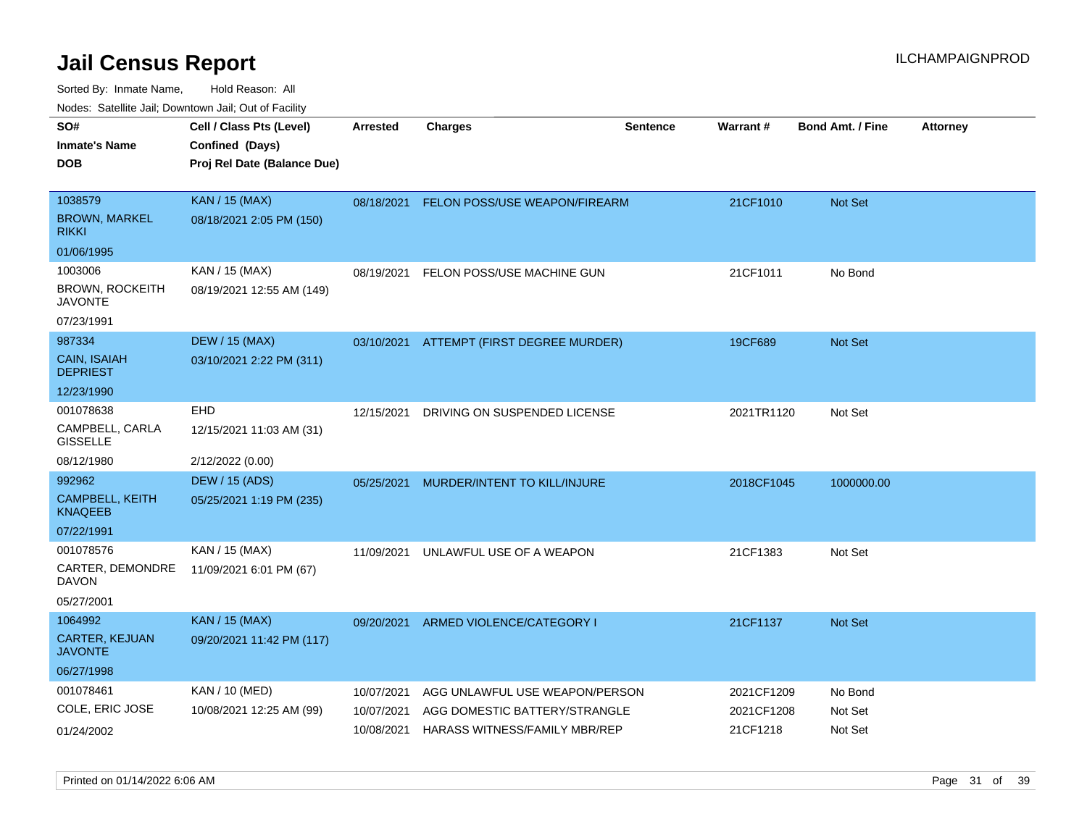| ivouss. Satellite Jali, Downtown Jali, Out of Facility |                             |                 |                                          |                 |            |                         |                 |
|--------------------------------------------------------|-----------------------------|-----------------|------------------------------------------|-----------------|------------|-------------------------|-----------------|
| SO#                                                    | Cell / Class Pts (Level)    | <b>Arrested</b> | <b>Charges</b>                           | <b>Sentence</b> | Warrant#   | <b>Bond Amt. / Fine</b> | <b>Attorney</b> |
| Inmate's Name                                          | Confined (Days)             |                 |                                          |                 |            |                         |                 |
| DOB                                                    | Proj Rel Date (Balance Due) |                 |                                          |                 |            |                         |                 |
|                                                        |                             |                 |                                          |                 |            |                         |                 |
| 1038579                                                | <b>KAN / 15 (MAX)</b>       | 08/18/2021      | FELON POSS/USE WEAPON/FIREARM            |                 | 21CF1010   | <b>Not Set</b>          |                 |
| BROWN, MARKEL<br>rikki                                 | 08/18/2021 2:05 PM (150)    |                 |                                          |                 |            |                         |                 |
| 01/06/1995                                             |                             |                 |                                          |                 |            |                         |                 |
| 1003006                                                | KAN / 15 (MAX)              | 08/19/2021      | FELON POSS/USE MACHINE GUN               |                 | 21CF1011   | No Bond                 |                 |
| BROWN, ROCKEITH<br><b>JAVONTE</b>                      | 08/19/2021 12:55 AM (149)   |                 |                                          |                 |            |                         |                 |
| 07/23/1991                                             |                             |                 |                                          |                 |            |                         |                 |
| 987334                                                 | <b>DEW / 15 (MAX)</b>       |                 | 03/10/2021 ATTEMPT (FIRST DEGREE MURDER) |                 | 19CF689    | <b>Not Set</b>          |                 |
| <b>CAIN, ISAIAH</b><br><b>DEPRIEST</b>                 | 03/10/2021 2:22 PM (311)    |                 |                                          |                 |            |                         |                 |
| 12/23/1990                                             |                             |                 |                                          |                 |            |                         |                 |
| 001078638                                              | <b>EHD</b>                  | 12/15/2021      | DRIVING ON SUSPENDED LICENSE             |                 | 2021TR1120 | Not Set                 |                 |
| CAMPBELL, CARLA<br>GISSELLE                            | 12/15/2021 11:03 AM (31)    |                 |                                          |                 |            |                         |                 |
| 08/12/1980                                             | 2/12/2022 (0.00)            |                 |                                          |                 |            |                         |                 |
| 992962                                                 | <b>DEW / 15 (ADS)</b>       | 05/25/2021      | MURDER/INTENT TO KILL/INJURE             |                 | 2018CF1045 | 1000000.00              |                 |
| CAMPBELL, KEITH<br>KNAQEEB                             | 05/25/2021 1:19 PM (235)    |                 |                                          |                 |            |                         |                 |
| 07/22/1991                                             |                             |                 |                                          |                 |            |                         |                 |
| 001078576                                              | KAN / 15 (MAX)              | 11/09/2021      | UNLAWFUL USE OF A WEAPON                 |                 | 21CF1383   | Not Set                 |                 |
| CARTER, DEMONDRE<br>DAVON                              | 11/09/2021 6:01 PM (67)     |                 |                                          |                 |            |                         |                 |
| 05/27/2001                                             |                             |                 |                                          |                 |            |                         |                 |
| 1064992                                                | <b>KAN / 15 (MAX)</b>       | 09/20/2021      | ARMED VIOLENCE/CATEGORY I                |                 | 21CF1137   | Not Set                 |                 |
| CARTER, KEJUAN<br>JAVONTE                              | 09/20/2021 11:42 PM (117)   |                 |                                          |                 |            |                         |                 |
| 06/27/1998                                             |                             |                 |                                          |                 |            |                         |                 |
| 001078461                                              | KAN / 10 (MED)              | 10/07/2021      | AGG UNLAWFUL USE WEAPON/PERSON           |                 | 2021CF1209 | No Bond                 |                 |
| COLE, ERIC JOSE                                        | 10/08/2021 12:25 AM (99)    | 10/07/2021      | AGG DOMESTIC BATTERY/STRANGLE            |                 | 2021CF1208 | Not Set                 |                 |
| 01/24/2002                                             |                             | 10/08/2021      | HARASS WITNESS/FAMILY MBR/REP            |                 | 21CF1218   | Not Set                 |                 |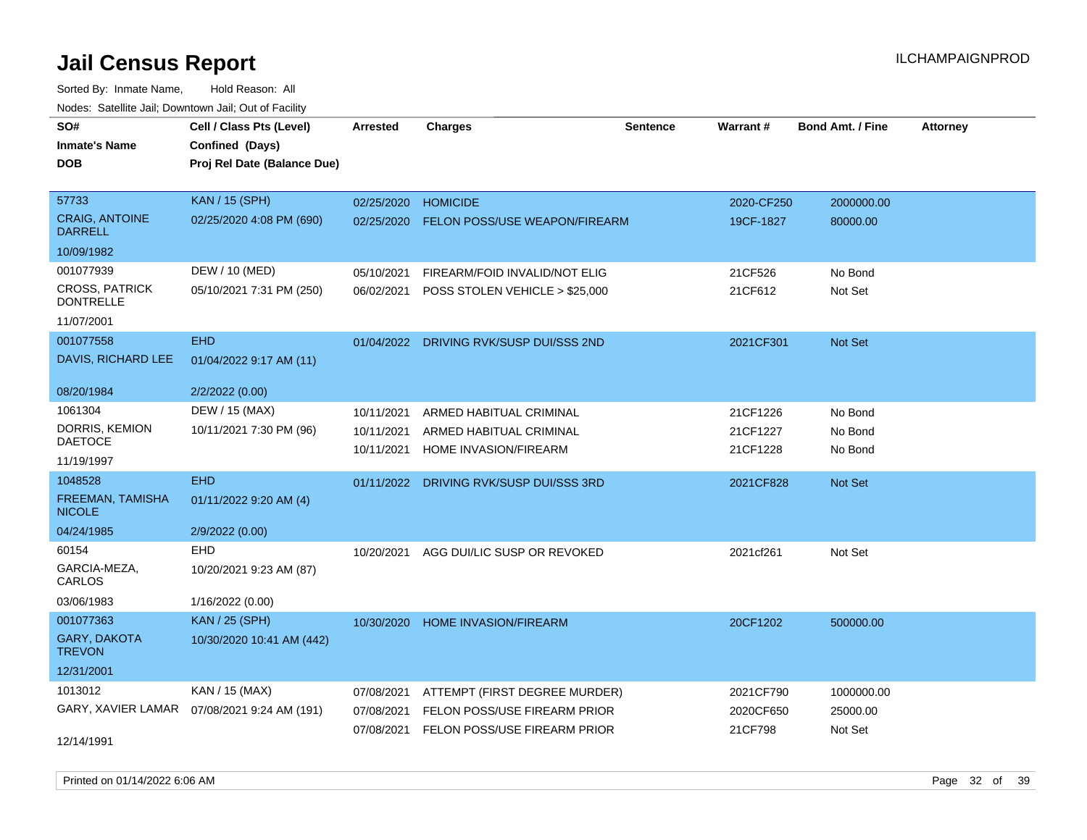| rouce. Calcillic Jali, Downtown Jali, Out of Facility |                                              |                 |                                         |                 |            |                         |                 |
|-------------------------------------------------------|----------------------------------------------|-----------------|-----------------------------------------|-----------------|------------|-------------------------|-----------------|
| SO#                                                   | Cell / Class Pts (Level)                     | <b>Arrested</b> | <b>Charges</b>                          | <b>Sentence</b> | Warrant#   | <b>Bond Amt. / Fine</b> | <b>Attorney</b> |
| <b>Inmate's Name</b>                                  | Confined (Days)                              |                 |                                         |                 |            |                         |                 |
| <b>DOB</b>                                            | Proj Rel Date (Balance Due)                  |                 |                                         |                 |            |                         |                 |
|                                                       |                                              |                 |                                         |                 |            |                         |                 |
| 57733                                                 | <b>KAN / 15 (SPH)</b>                        | 02/25/2020      | <b>HOMICIDE</b>                         |                 | 2020-CF250 | 2000000.00              |                 |
| <b>CRAIG, ANTOINE</b><br><b>DARRELL</b>               | 02/25/2020 4:08 PM (690)                     | 02/25/2020      | <b>FELON POSS/USE WEAPON/FIREARM</b>    |                 | 19CF-1827  | 80000.00                |                 |
| 10/09/1982                                            |                                              |                 |                                         |                 |            |                         |                 |
| 001077939                                             | DEW / 10 (MED)                               | 05/10/2021      | FIREARM/FOID INVALID/NOT ELIG           |                 | 21CF526    | No Bond                 |                 |
| <b>CROSS, PATRICK</b><br><b>DONTRELLE</b>             | 05/10/2021 7:31 PM (250)                     | 06/02/2021      | POSS STOLEN VEHICLE > \$25,000          |                 | 21CF612    | Not Set                 |                 |
| 11/07/2001                                            |                                              |                 |                                         |                 |            |                         |                 |
| 001077558                                             | <b>EHD</b>                                   |                 | 01/04/2022 DRIVING RVK/SUSP DUI/SSS 2ND |                 | 2021CF301  | Not Set                 |                 |
| DAVIS, RICHARD LEE                                    | 01/04/2022 9:17 AM (11)                      |                 |                                         |                 |            |                         |                 |
| 08/20/1984                                            | 2/2/2022 (0.00)                              |                 |                                         |                 |            |                         |                 |
| 1061304                                               | DEW / 15 (MAX)                               | 10/11/2021      | ARMED HABITUAL CRIMINAL                 |                 | 21CF1226   | No Bond                 |                 |
| DORRIS, KEMION                                        | 10/11/2021 7:30 PM (96)                      | 10/11/2021      | ARMED HABITUAL CRIMINAL                 |                 | 21CF1227   | No Bond                 |                 |
| <b>DAETOCE</b>                                        |                                              | 10/11/2021      | HOME INVASION/FIREARM                   |                 | 21CF1228   | No Bond                 |                 |
| 11/19/1997                                            |                                              |                 |                                         |                 |            |                         |                 |
| 1048528                                               | <b>EHD</b>                                   |                 | 01/11/2022 DRIVING RVK/SUSP DUI/SSS 3RD |                 | 2021CF828  | Not Set                 |                 |
| FREEMAN, TAMISHA<br><b>NICOLE</b>                     | 01/11/2022 9:20 AM (4)                       |                 |                                         |                 |            |                         |                 |
| 04/24/1985                                            | 2/9/2022 (0.00)                              |                 |                                         |                 |            |                         |                 |
| 60154                                                 | <b>EHD</b>                                   | 10/20/2021      | AGG DUI/LIC SUSP OR REVOKED             |                 | 2021cf261  | Not Set                 |                 |
| GARCIA-MEZA,<br>CARLOS                                | 10/20/2021 9:23 AM (87)                      |                 |                                         |                 |            |                         |                 |
| 03/06/1983                                            | 1/16/2022 (0.00)                             |                 |                                         |                 |            |                         |                 |
| 001077363                                             | <b>KAN / 25 (SPH)</b>                        | 10/30/2020      | <b>HOME INVASION/FIREARM</b>            |                 | 20CF1202   | 500000.00               |                 |
| <b>GARY, DAKOTA</b><br><b>TREVON</b>                  | 10/30/2020 10:41 AM (442)                    |                 |                                         |                 |            |                         |                 |
| 12/31/2001                                            |                                              |                 |                                         |                 |            |                         |                 |
| 1013012                                               | KAN / 15 (MAX)                               | 07/08/2021      | ATTEMPT (FIRST DEGREE MURDER)           |                 | 2021CF790  | 1000000.00              |                 |
|                                                       | GARY, XAVIER LAMAR  07/08/2021 9:24 AM (191) | 07/08/2021      | FELON POSS/USE FIREARM PRIOR            |                 | 2020CF650  | 25000.00                |                 |
|                                                       |                                              | 07/08/2021      | FELON POSS/USE FIREARM PRIOR            |                 | 21CF798    | Not Set                 |                 |
| 12/14/1991                                            |                                              |                 |                                         |                 |            |                         |                 |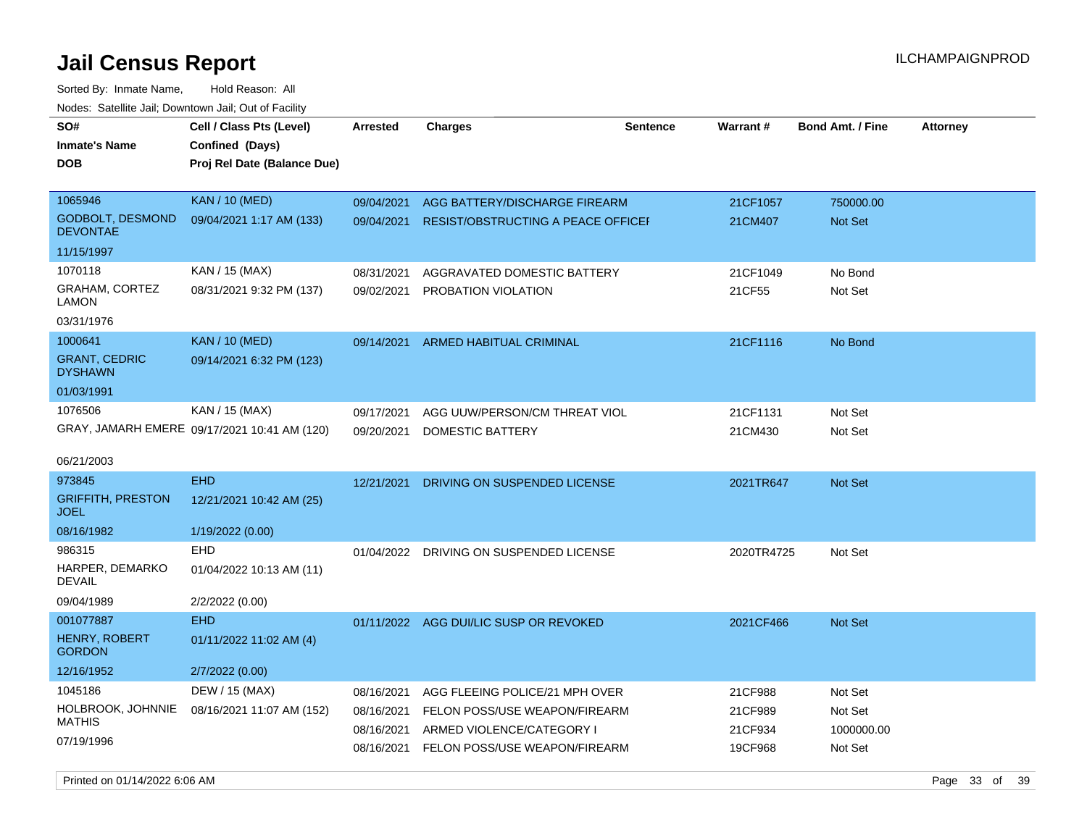Sorted By: Inmate Name, Hold Reason: All Nodes: Satellite Jail; Downtown Jail; Out of Facility

| SO#<br><b>Inmate's Name</b>                | Cell / Class Pts (Level)<br>Confined (Days)  | <b>Arrested</b> | <b>Charges</b>                            | <b>Sentence</b> | Warrant#   | <b>Bond Amt. / Fine</b> | <b>Attorney</b> |
|--------------------------------------------|----------------------------------------------|-----------------|-------------------------------------------|-----------------|------------|-------------------------|-----------------|
| DOB                                        | Proj Rel Date (Balance Due)                  |                 |                                           |                 |            |                         |                 |
| 1065946                                    | <b>KAN / 10 (MED)</b>                        | 09/04/2021      | AGG BATTERY/DISCHARGE FIREARM             |                 | 21CF1057   | 750000.00               |                 |
| <b>GODBOLT, DESMOND</b><br><b>DEVONTAE</b> | 09/04/2021 1:17 AM (133)                     | 09/04/2021      | <b>RESIST/OBSTRUCTING A PEACE OFFICEF</b> |                 | 21CM407    | <b>Not Set</b>          |                 |
| 11/15/1997                                 |                                              |                 |                                           |                 |            |                         |                 |
| 1070118                                    | KAN / 15 (MAX)                               | 08/31/2021      | AGGRAVATED DOMESTIC BATTERY               |                 | 21CF1049   | No Bond                 |                 |
| GRAHAM, CORTEZ<br>LAMON                    | 08/31/2021 9:32 PM (137)                     | 09/02/2021      | PROBATION VIOLATION                       |                 | 21CF55     | Not Set                 |                 |
| 03/31/1976                                 |                                              |                 |                                           |                 |            |                         |                 |
| 1000641                                    | <b>KAN / 10 (MED)</b>                        | 09/14/2021      | <b>ARMED HABITUAL CRIMINAL</b>            |                 | 21CF1116   | No Bond                 |                 |
| <b>GRANT, CEDRIC</b><br><b>DYSHAWN</b>     | 09/14/2021 6:32 PM (123)                     |                 |                                           |                 |            |                         |                 |
| 01/03/1991                                 |                                              |                 |                                           |                 |            |                         |                 |
| 1076506                                    | KAN / 15 (MAX)                               | 09/17/2021      | AGG UUW/PERSON/CM THREAT VIOL             |                 | 21CF1131   | Not Set                 |                 |
|                                            | GRAY, JAMARH EMERE 09/17/2021 10:41 AM (120) | 09/20/2021      | DOMESTIC BATTERY                          |                 | 21CM430    | Not Set                 |                 |
| 06/21/2003                                 |                                              |                 |                                           |                 |            |                         |                 |
| 973845                                     | <b>EHD</b>                                   | 12/21/2021      | DRIVING ON SUSPENDED LICENSE              |                 | 2021TR647  | Not Set                 |                 |
| <b>GRIFFITH, PRESTON</b><br><b>JOEL</b>    | 12/21/2021 10:42 AM (25)                     |                 |                                           |                 |            |                         |                 |
| 08/16/1982                                 | 1/19/2022 (0.00)                             |                 |                                           |                 |            |                         |                 |
| 986315                                     | <b>EHD</b>                                   | 01/04/2022      | DRIVING ON SUSPENDED LICENSE              |                 | 2020TR4725 | Not Set                 |                 |
| HARPER, DEMARKO<br>DEVAIL                  | 01/04/2022 10:13 AM (11)                     |                 |                                           |                 |            |                         |                 |
| 09/04/1989                                 | 2/2/2022 (0.00)                              |                 |                                           |                 |            |                         |                 |
| 001077887                                  | <b>EHD</b>                                   |                 | 01/11/2022 AGG DUI/LIC SUSP OR REVOKED    |                 | 2021CF466  | <b>Not Set</b>          |                 |
| <b>HENRY, ROBERT</b><br><b>GORDON</b>      | 01/11/2022 11:02 AM (4)                      |                 |                                           |                 |            |                         |                 |
| 12/16/1952                                 | 2/7/2022 (0.00)                              |                 |                                           |                 |            |                         |                 |
| 1045186                                    | DEW / 15 (MAX)                               | 08/16/2021      | AGG FLEEING POLICE/21 MPH OVER            |                 | 21CF988    | Not Set                 |                 |
| HOLBROOK, JOHNNIE                          | 08/16/2021 11:07 AM (152)                    | 08/16/2021      | FELON POSS/USE WEAPON/FIREARM             |                 | 21CF989    | Not Set                 |                 |
| <b>MATHIS</b>                              |                                              | 08/16/2021      | ARMED VIOLENCE/CATEGORY I                 |                 | 21CF934    | 1000000.00              |                 |
| 07/19/1996                                 |                                              | 08/16/2021      | FELON POSS/USE WEAPON/FIREARM             |                 | 19CF968    | Not Set                 |                 |

Printed on 01/14/2022 6:06 AM Page 33 of 39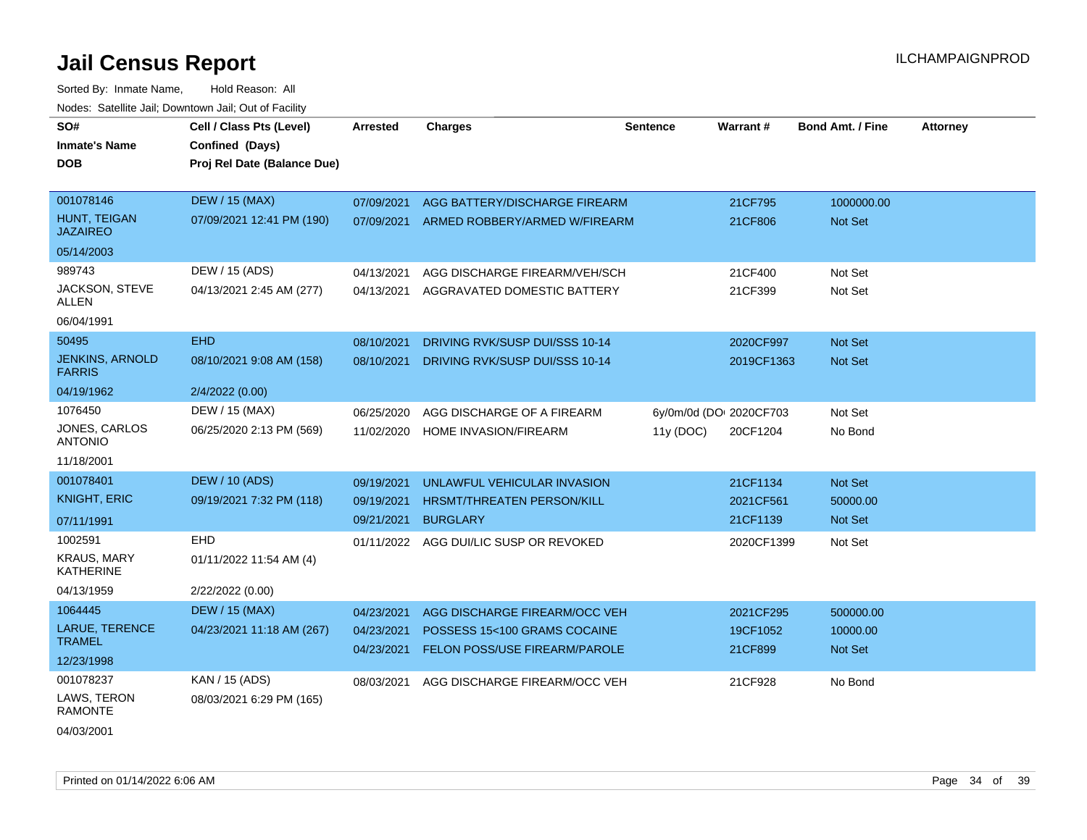| SO#<br><b>Inmate's Name</b><br><b>DOB</b> | Cell / Class Pts (Level)<br>Confined (Days)<br>Proj Rel Date (Balance Due) | Arrested                 | <b>Charges</b>                                                | <b>Sentence</b> | <b>Warrant#</b>         | <b>Bond Amt. / Fine</b>    | <b>Attorney</b> |
|-------------------------------------------|----------------------------------------------------------------------------|--------------------------|---------------------------------------------------------------|-----------------|-------------------------|----------------------------|-----------------|
| 001078146                                 | <b>DEW / 15 (MAX)</b>                                                      | 07/09/2021               | AGG BATTERY/DISCHARGE FIREARM                                 |                 | 21CF795                 | 1000000.00                 |                 |
| <b>HUNT. TEIGAN</b><br><b>JAZAIREO</b>    | 07/09/2021 12:41 PM (190)                                                  | 07/09/2021               | ARMED ROBBERY/ARMED W/FIREARM                                 |                 | 21CF806                 | <b>Not Set</b>             |                 |
| 05/14/2003                                |                                                                            |                          |                                                               |                 |                         |                            |                 |
| 989743                                    | DEW / 15 (ADS)                                                             | 04/13/2021               | AGG DISCHARGE FIREARM/VEH/SCH                                 |                 | 21CF400                 | Not Set                    |                 |
| JACKSON, STEVE<br>ALLEN                   | 04/13/2021 2:45 AM (277)                                                   | 04/13/2021               | AGGRAVATED DOMESTIC BATTERY                                   |                 | 21CF399                 | Not Set                    |                 |
| 06/04/1991                                |                                                                            |                          |                                                               |                 |                         |                            |                 |
| 50495                                     | <b>EHD</b>                                                                 | 08/10/2021               | DRIVING RVK/SUSP DUI/SSS 10-14                                |                 | 2020CF997               | Not Set                    |                 |
| <b>JENKINS, ARNOLD</b><br><b>FARRIS</b>   | 08/10/2021 9:08 AM (158)                                                   | 08/10/2021               | DRIVING RVK/SUSP DUI/SSS 10-14                                |                 | 2019CF1363              | <b>Not Set</b>             |                 |
| 04/19/1962                                | 2/4/2022 (0.00)                                                            |                          |                                                               |                 |                         |                            |                 |
| 1076450                                   | DEW / 15 (MAX)                                                             | 06/25/2020               | AGG DISCHARGE OF A FIREARM                                    |                 | 6y/0m/0d (DOI 2020CF703 | Not Set                    |                 |
| JONES, CARLOS<br><b>ANTONIO</b>           | 06/25/2020 2:13 PM (569)                                                   | 11/02/2020               | HOME INVASION/FIREARM                                         | 11y (DOC)       | 20CF1204                | No Bond                    |                 |
| 11/18/2001                                |                                                                            |                          |                                                               |                 |                         |                            |                 |
| 001078401                                 | <b>DEW / 10 (ADS)</b>                                                      | 09/19/2021               | UNLAWFUL VEHICULAR INVASION                                   |                 | 21CF1134                | Not Set                    |                 |
| <b>KNIGHT, ERIC</b>                       | 09/19/2021 7:32 PM (118)                                                   | 09/19/2021               | HRSMT/THREATEN PERSON/KILL                                    |                 | 2021CF561               | 50000.00                   |                 |
| 07/11/1991                                |                                                                            | 09/21/2021               | <b>BURGLARY</b>                                               |                 | 21CF1139                | <b>Not Set</b>             |                 |
| 1002591                                   | <b>EHD</b>                                                                 | 01/11/2022               | AGG DUI/LIC SUSP OR REVOKED                                   |                 | 2020CF1399              | Not Set                    |                 |
| <b>KRAUS, MARY</b><br><b>KATHERINE</b>    | 01/11/2022 11:54 AM (4)                                                    |                          |                                                               |                 |                         |                            |                 |
| 04/13/1959                                | 2/22/2022 (0.00)                                                           |                          |                                                               |                 |                         |                            |                 |
| 1064445                                   | <b>DEW / 15 (MAX)</b>                                                      | 04/23/2021               | AGG DISCHARGE FIREARM/OCC VEH                                 |                 | 2021CF295               | 500000.00                  |                 |
| LARUE, TERENCE<br><b>TRAMEL</b>           | 04/23/2021 11:18 AM (267)                                                  | 04/23/2021<br>04/23/2021 | POSSESS 15<100 GRAMS COCAINE<br>FELON POSS/USE FIREARM/PAROLE |                 | 19CF1052<br>21CF899     | 10000.00<br><b>Not Set</b> |                 |
| 12/23/1998                                |                                                                            |                          |                                                               |                 |                         |                            |                 |
| 001078237                                 | KAN / 15 (ADS)                                                             | 08/03/2021               | AGG DISCHARGE FIREARM/OCC VEH                                 |                 | 21CF928                 | No Bond                    |                 |
| LAWS, TERON<br><b>RAMONTE</b>             | 08/03/2021 6:29 PM (165)                                                   |                          |                                                               |                 |                         |                            |                 |
| 04/03/2001                                |                                                                            |                          |                                                               |                 |                         |                            |                 |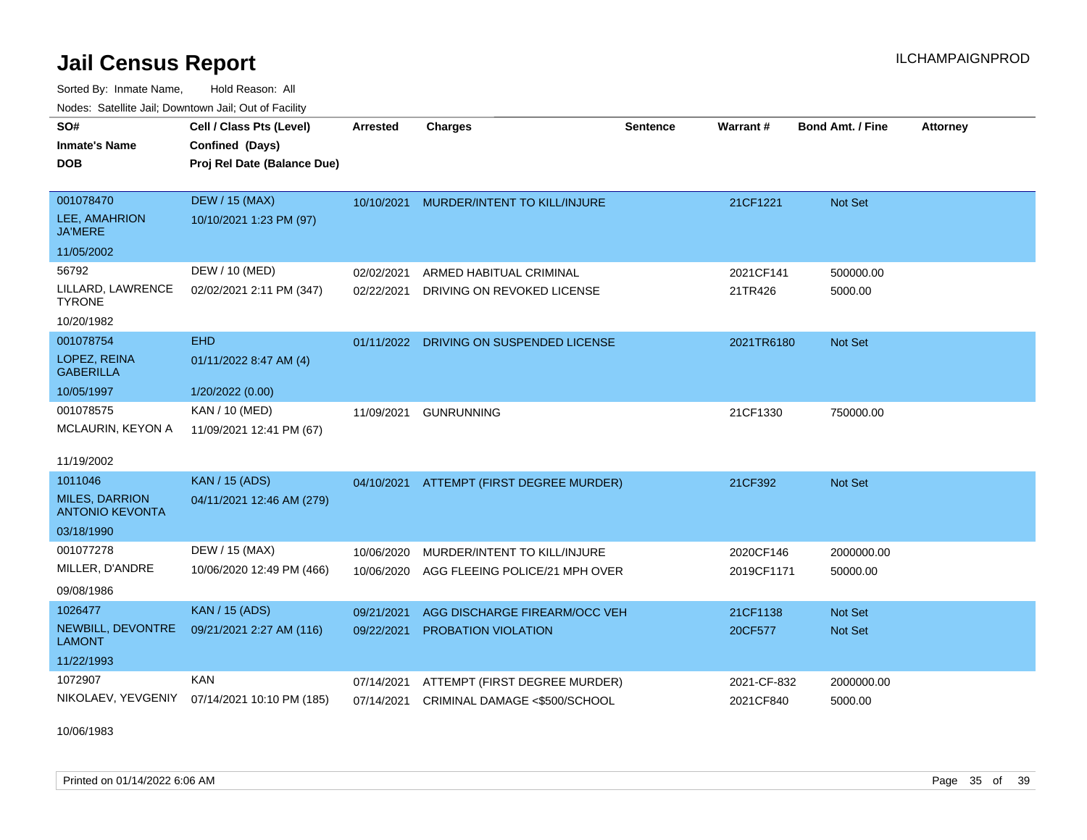Sorted By: Inmate Name, Hold Reason: All Nodes: Satellite Jail; Downtown Jail; Out of Facility

| SO#                                             | Cell / Class Pts (Level)    | <b>Arrested</b> | <b>Charges</b>                           | <b>Sentence</b> | <b>Warrant#</b> | <b>Bond Amt. / Fine</b> | <b>Attorney</b> |
|-------------------------------------------------|-----------------------------|-----------------|------------------------------------------|-----------------|-----------------|-------------------------|-----------------|
| <b>Inmate's Name</b>                            | Confined (Days)             |                 |                                          |                 |                 |                         |                 |
| <b>DOB</b>                                      | Proj Rel Date (Balance Due) |                 |                                          |                 |                 |                         |                 |
| 001078470                                       | <b>DEW / 15 (MAX)</b>       | 10/10/2021      | MURDER/INTENT TO KILL/INJURE             |                 | 21CF1221        | <b>Not Set</b>          |                 |
| LEE, AMAHRION<br><b>JA'MERE</b>                 | 10/10/2021 1:23 PM (97)     |                 |                                          |                 |                 |                         |                 |
| 11/05/2002                                      |                             |                 |                                          |                 |                 |                         |                 |
| 56792                                           | DEW / 10 (MED)              | 02/02/2021      | ARMED HABITUAL CRIMINAL                  |                 | 2021CF141       | 500000.00               |                 |
| LILLARD, LAWRENCE<br><b>TYRONE</b>              | 02/02/2021 2:11 PM (347)    | 02/22/2021      | DRIVING ON REVOKED LICENSE               |                 | 21TR426         | 5000.00                 |                 |
| 10/20/1982                                      |                             |                 |                                          |                 |                 |                         |                 |
| 001078754                                       | <b>EHD</b>                  | 01/11/2022      | DRIVING ON SUSPENDED LICENSE             |                 | 2021TR6180      | Not Set                 |                 |
| LOPEZ, REINA<br><b>GABERILLA</b>                | 01/11/2022 8:47 AM (4)      |                 |                                          |                 |                 |                         |                 |
| 10/05/1997                                      | 1/20/2022 (0.00)            |                 |                                          |                 |                 |                         |                 |
| 001078575                                       | KAN / 10 (MED)              | 11/09/2021      | <b>GUNRUNNING</b>                        |                 | 21CF1330        | 750000.00               |                 |
| MCLAURIN, KEYON A                               | 11/09/2021 12:41 PM (67)    |                 |                                          |                 |                 |                         |                 |
| 11/19/2002                                      |                             |                 |                                          |                 |                 |                         |                 |
| 1011046                                         | <b>KAN</b> / 15 (ADS)       |                 | 04/10/2021 ATTEMPT (FIRST DEGREE MURDER) |                 | 21CF392         | Not Set                 |                 |
| <b>MILES, DARRION</b><br><b>ANTONIO KEVONTA</b> | 04/11/2021 12:46 AM (279)   |                 |                                          |                 |                 |                         |                 |
| 03/18/1990                                      |                             |                 |                                          |                 |                 |                         |                 |
| 001077278                                       | DEW / 15 (MAX)              | 10/06/2020      | MURDER/INTENT TO KILL/INJURE             |                 | 2020CF146       | 2000000.00              |                 |
| MILLER, D'ANDRE                                 | 10/06/2020 12:49 PM (466)   | 10/06/2020      | AGG FLEEING POLICE/21 MPH OVER           |                 | 2019CF1171      | 50000.00                |                 |
| 09/08/1986                                      |                             |                 |                                          |                 |                 |                         |                 |
| 1026477                                         | <b>KAN / 15 (ADS)</b>       | 09/21/2021      | AGG DISCHARGE FIREARM/OCC VEH            |                 | 21CF1138        | <b>Not Set</b>          |                 |
| NEWBILL, DEVONTRE<br><b>LAMONT</b>              | 09/21/2021 2:27 AM (116)    | 09/22/2021      | PROBATION VIOLATION                      |                 | 20CF577         | Not Set                 |                 |
| 11/22/1993                                      |                             |                 |                                          |                 |                 |                         |                 |
| 1072907                                         | <b>KAN</b>                  | 07/14/2021      | ATTEMPT (FIRST DEGREE MURDER)            |                 | 2021-CF-832     | 2000000.00              |                 |
| NIKOLAEV, YEVGENIY                              | 07/14/2021 10:10 PM (185)   | 07/14/2021      | CRIMINAL DAMAGE <\$500/SCHOOL            |                 | 2021CF840       | 5000.00                 |                 |

10/06/1983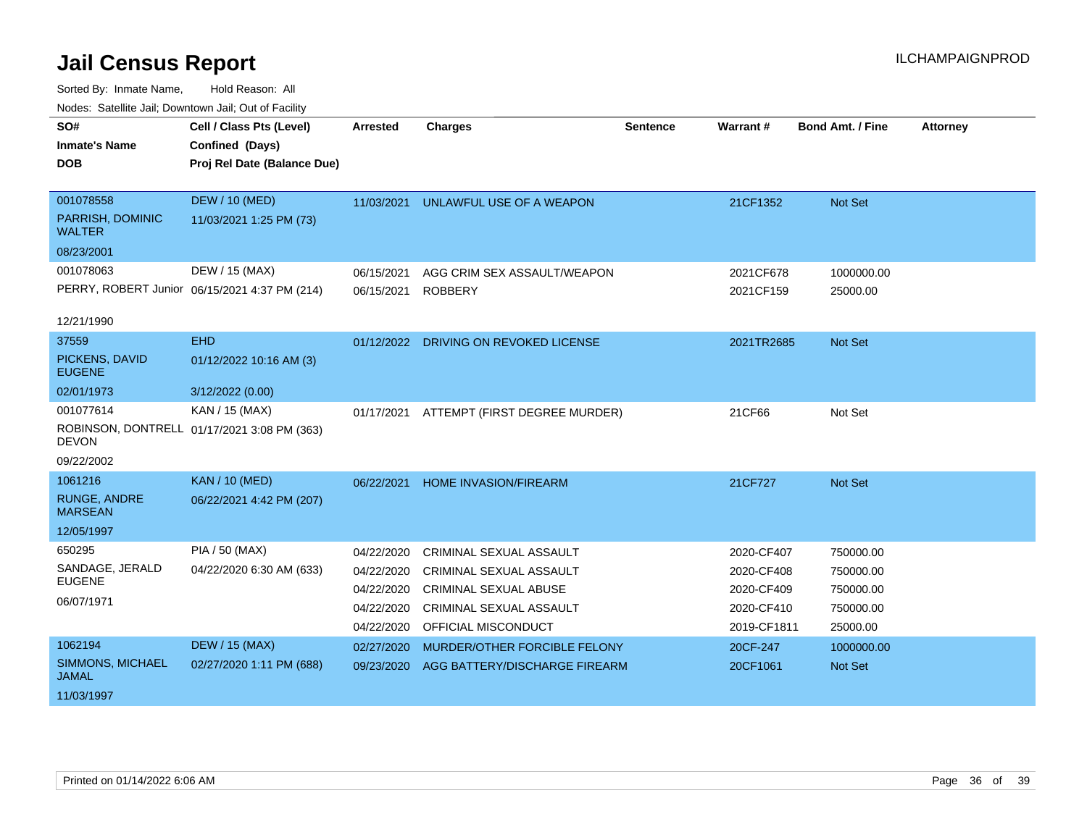| vodos. Catolino can, Downtown can, Out of Fability |                                               |                 |                                       |                 |             |                         |                 |
|----------------------------------------------------|-----------------------------------------------|-----------------|---------------------------------------|-----------------|-------------|-------------------------|-----------------|
| SO#                                                | Cell / Class Pts (Level)                      | <b>Arrested</b> | <b>Charges</b>                        | <b>Sentence</b> | Warrant#    | <b>Bond Amt. / Fine</b> | <b>Attorney</b> |
| <b>Inmate's Name</b>                               | Confined (Days)                               |                 |                                       |                 |             |                         |                 |
| <b>DOB</b>                                         | Proj Rel Date (Balance Due)                   |                 |                                       |                 |             |                         |                 |
|                                                    |                                               |                 |                                       |                 |             |                         |                 |
| 001078558                                          | <b>DEW / 10 (MED)</b>                         | 11/03/2021      | UNLAWFUL USE OF A WEAPON              |                 | 21CF1352    | Not Set                 |                 |
| PARRISH, DOMINIC<br><b>WALTER</b>                  | 11/03/2021 1:25 PM (73)                       |                 |                                       |                 |             |                         |                 |
| 08/23/2001                                         |                                               |                 |                                       |                 |             |                         |                 |
| 001078063                                          | DEW / 15 (MAX)                                | 06/15/2021      | AGG CRIM SEX ASSAULT/WEAPON           |                 | 2021CF678   | 1000000.00              |                 |
|                                                    | PERRY, ROBERT Junior 06/15/2021 4:37 PM (214) | 06/15/2021      | <b>ROBBERY</b>                        |                 | 2021CF159   | 25000.00                |                 |
|                                                    |                                               |                 |                                       |                 |             |                         |                 |
| 12/21/1990                                         |                                               |                 |                                       |                 |             |                         |                 |
| 37559                                              | <b>EHD</b>                                    |                 | 01/12/2022 DRIVING ON REVOKED LICENSE |                 | 2021TR2685  | Not Set                 |                 |
| PICKENS, DAVID<br><b>EUGENE</b>                    | 01/12/2022 10:16 AM (3)                       |                 |                                       |                 |             |                         |                 |
| 02/01/1973                                         | 3/12/2022 (0.00)                              |                 |                                       |                 |             |                         |                 |
| 001077614                                          | KAN / 15 (MAX)                                | 01/17/2021      | ATTEMPT (FIRST DEGREE MURDER)         |                 | 21CF66      | Not Set                 |                 |
| <b>DEVON</b>                                       | ROBINSON, DONTRELL 01/17/2021 3:08 PM (363)   |                 |                                       |                 |             |                         |                 |
| 09/22/2002                                         |                                               |                 |                                       |                 |             |                         |                 |
| 1061216                                            | <b>KAN / 10 (MED)</b>                         | 06/22/2021      | HOME INVASION/FIREARM                 |                 | 21CF727     | Not Set                 |                 |
| <b>RUNGE, ANDRE</b><br><b>MARSEAN</b>              | 06/22/2021 4:42 PM (207)                      |                 |                                       |                 |             |                         |                 |
| 12/05/1997                                         |                                               |                 |                                       |                 |             |                         |                 |
| 650295                                             | <b>PIA / 50 (MAX)</b>                         | 04/22/2020      | CRIMINAL SEXUAL ASSAULT               |                 | 2020-CF407  | 750000.00               |                 |
| SANDAGE, JERALD                                    | 04/22/2020 6:30 AM (633)                      | 04/22/2020      | <b>CRIMINAL SEXUAL ASSAULT</b>        |                 | 2020-CF408  | 750000.00               |                 |
| <b>EUGENE</b>                                      |                                               | 04/22/2020      | <b>CRIMINAL SEXUAL ABUSE</b>          |                 | 2020-CF409  | 750000.00               |                 |
| 06/07/1971                                         |                                               | 04/22/2020      | <b>CRIMINAL SEXUAL ASSAULT</b>        |                 | 2020-CF410  | 750000.00               |                 |
|                                                    |                                               | 04/22/2020      | OFFICIAL MISCONDUCT                   |                 | 2019-CF1811 | 25000.00                |                 |
| 1062194                                            | <b>DEW / 15 (MAX)</b>                         | 02/27/2020      | MURDER/OTHER FORCIBLE FELONY          |                 | 20CF-247    | 1000000.00              |                 |
| SIMMONS, MICHAEL<br><b>JAMAL</b>                   | 02/27/2020 1:11 PM (688)                      | 09/23/2020      | AGG BATTERY/DISCHARGE FIREARM         |                 | 20CF1061    | <b>Not Set</b>          |                 |
| 11/03/1997                                         |                                               |                 |                                       |                 |             |                         |                 |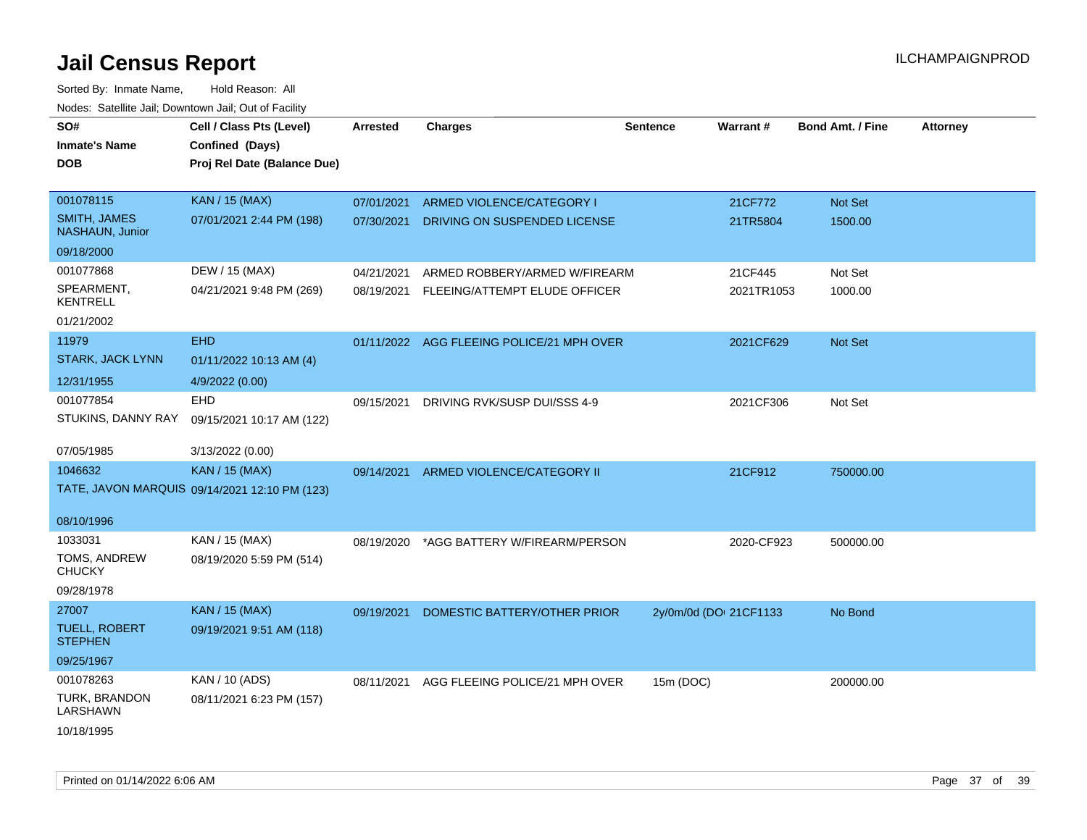| SO#<br><b>Inmate's Name</b><br>DOB     | Cell / Class Pts (Level)<br>Confined (Days)<br>Proj Rel Date (Balance Due) | <b>Arrested</b> | <b>Charges</b>                 | <b>Sentence</b>        | Warrant#   | <b>Bond Amt. / Fine</b> | <b>Attorney</b> |
|----------------------------------------|----------------------------------------------------------------------------|-----------------|--------------------------------|------------------------|------------|-------------------------|-----------------|
| 001078115                              | <b>KAN / 15 (MAX)</b>                                                      | 07/01/2021      | ARMED VIOLENCE/CATEGORY I      |                        | 21CF772    | Not Set                 |                 |
| <b>SMITH, JAMES</b><br>NASHAUN, Junior | 07/01/2021 2:44 PM (198)                                                   | 07/30/2021      | DRIVING ON SUSPENDED LICENSE   |                        | 21TR5804   | 1500.00                 |                 |
| 09/18/2000                             |                                                                            |                 |                                |                        |            |                         |                 |
| 001077868                              | DEW / 15 (MAX)                                                             | 04/21/2021      | ARMED ROBBERY/ARMED W/FIREARM  |                        | 21CF445    | Not Set                 |                 |
| SPEARMENT,<br><b>KENTRELL</b>          | 04/21/2021 9:48 PM (269)                                                   | 08/19/2021      | FLEEING/ATTEMPT ELUDE OFFICER  |                        | 2021TR1053 | 1000.00                 |                 |
| 01/21/2002                             |                                                                            |                 |                                |                        |            |                         |                 |
| 11979                                  | <b>EHD</b>                                                                 | 01/11/2022      | AGG FLEEING POLICE/21 MPH OVER |                        | 2021CF629  | Not Set                 |                 |
| STARK, JACK LYNN                       | 01/11/2022 10:13 AM (4)                                                    |                 |                                |                        |            |                         |                 |
| 12/31/1955                             | 4/9/2022 (0.00)                                                            |                 |                                |                        |            |                         |                 |
| 001077854                              | <b>EHD</b>                                                                 | 09/15/2021      | DRIVING RVK/SUSP DUI/SSS 4-9   |                        | 2021CF306  | Not Set                 |                 |
| STUKINS, DANNY RAY                     | 09/15/2021 10:17 AM (122)                                                  |                 |                                |                        |            |                         |                 |
| 07/05/1985                             | 3/13/2022 (0.00)                                                           |                 |                                |                        |            |                         |                 |
| 1046632                                | <b>KAN / 15 (MAX)</b>                                                      | 09/14/2021      | ARMED VIOLENCE/CATEGORY II     |                        | 21CF912    | 750000.00               |                 |
|                                        | TATE, JAVON MARQUIS 09/14/2021 12:10 PM (123)                              |                 |                                |                        |            |                         |                 |
| 08/10/1996                             |                                                                            |                 |                                |                        |            |                         |                 |
| 1033031                                | KAN / 15 (MAX)                                                             | 08/19/2020      | *AGG BATTERY W/FIREARM/PERSON  |                        | 2020-CF923 | 500000.00               |                 |
| TOMS, ANDREW<br><b>CHUCKY</b>          | 08/19/2020 5:59 PM (514)                                                   |                 |                                |                        |            |                         |                 |
| 09/28/1978                             |                                                                            |                 |                                |                        |            |                         |                 |
| 27007                                  | <b>KAN / 15 (MAX)</b>                                                      | 09/19/2021      | DOMESTIC BATTERY/OTHER PRIOR   | 2y/0m/0d (DOI 21CF1133 |            | No Bond                 |                 |
| <b>TUELL, ROBERT</b><br><b>STEPHEN</b> | 09/19/2021 9:51 AM (118)                                                   |                 |                                |                        |            |                         |                 |
| 09/25/1967                             |                                                                            |                 |                                |                        |            |                         |                 |
| 001078263                              | KAN / 10 (ADS)                                                             | 08/11/2021      | AGG FLEEING POLICE/21 MPH OVER | 15m (DOC)              |            | 200000.00               |                 |
| TURK, BRANDON<br>LARSHAWN              | 08/11/2021 6:23 PM (157)                                                   |                 |                                |                        |            |                         |                 |
| 10/18/1995                             |                                                                            |                 |                                |                        |            |                         |                 |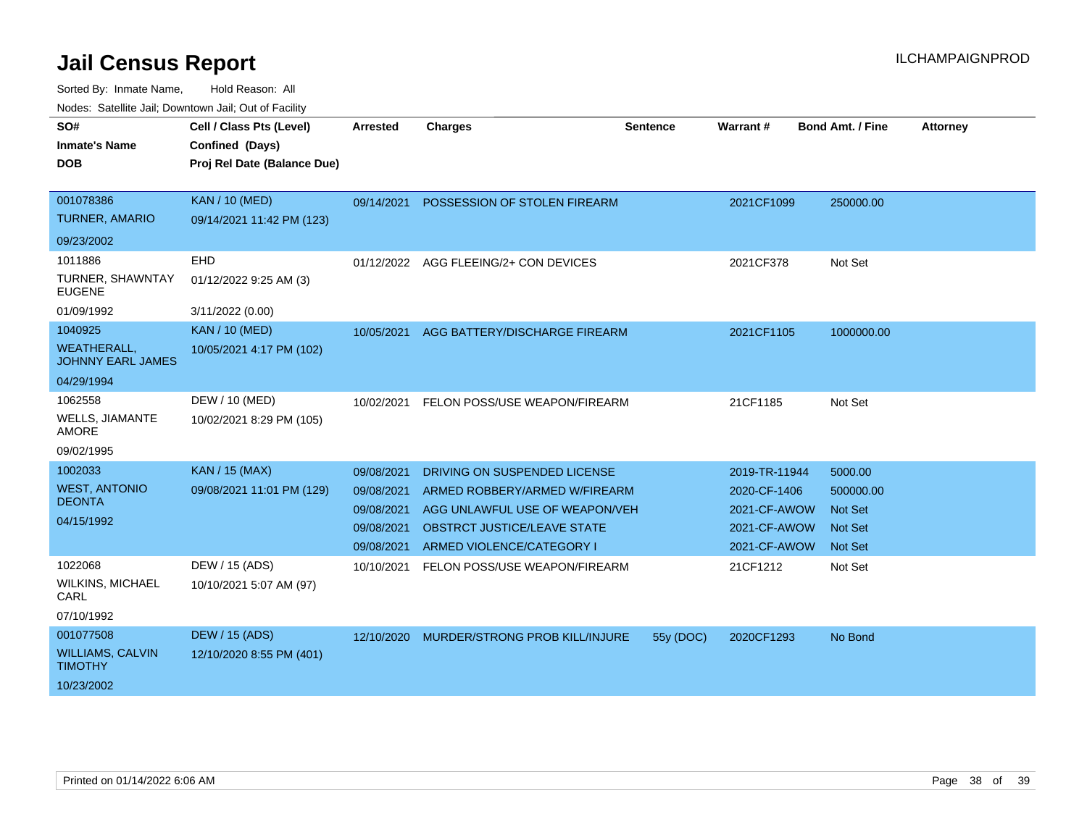| SO#<br><b>Inmate's Name</b><br><b>DOB</b>                                       | Cell / Class Pts (Level)<br>Confined (Days)<br>Proj Rel Date (Balance Due) | <b>Arrested</b>                                                    | <b>Charges</b>                                                                                                                                                     | <b>Sentence</b> | Warrant#                                                                      | <b>Bond Amt. / Fine</b>                                             | <b>Attorney</b> |
|---------------------------------------------------------------------------------|----------------------------------------------------------------------------|--------------------------------------------------------------------|--------------------------------------------------------------------------------------------------------------------------------------------------------------------|-----------------|-------------------------------------------------------------------------------|---------------------------------------------------------------------|-----------------|
| 001078386<br><b>TURNER, AMARIO</b>                                              | <b>KAN / 10 (MED)</b><br>09/14/2021 11:42 PM (123)                         | 09/14/2021                                                         | POSSESSION OF STOLEN FIREARM                                                                                                                                       |                 | 2021CF1099                                                                    | 250000.00                                                           |                 |
| 09/23/2002<br>1011886<br><b>TURNER, SHAWNTAY</b><br><b>EUGENE</b><br>01/09/1992 | EHD<br>01/12/2022 9:25 AM (3)<br>3/11/2022 (0.00)                          | 01/12/2022                                                         | AGG FLEEING/2+ CON DEVICES                                                                                                                                         |                 | 2021CF378                                                                     | Not Set                                                             |                 |
| 1040925<br><b>WEATHERALL,</b><br><b>JOHNNY EARL JAMES</b><br>04/29/1994         | <b>KAN / 10 (MED)</b><br>10/05/2021 4:17 PM (102)                          | 10/05/2021                                                         | AGG BATTERY/DISCHARGE FIREARM                                                                                                                                      |                 | 2021CF1105                                                                    | 1000000.00                                                          |                 |
| 1062558<br><b>WELLS, JIAMANTE</b><br><b>AMORE</b><br>09/02/1995                 | DEW / 10 (MED)<br>10/02/2021 8:29 PM (105)                                 | 10/02/2021                                                         | FELON POSS/USE WEAPON/FIREARM                                                                                                                                      |                 | 21CF1185                                                                      | Not Set                                                             |                 |
| 1002033<br><b>WEST, ANTONIO</b><br><b>DEONTA</b><br>04/15/1992                  | <b>KAN / 15 (MAX)</b><br>09/08/2021 11:01 PM (129)                         | 09/08/2021<br>09/08/2021<br>09/08/2021<br>09/08/2021<br>09/08/2021 | DRIVING ON SUSPENDED LICENSE<br>ARMED ROBBERY/ARMED W/FIREARM<br>AGG UNLAWFUL USE OF WEAPON/VEH<br><b>OBSTRCT JUSTICE/LEAVE STATE</b><br>ARMED VIOLENCE/CATEGORY I |                 | 2019-TR-11944<br>2020-CF-1406<br>2021-CF-AWOW<br>2021-CF-AWOW<br>2021-CF-AWOW | 5000.00<br>500000.00<br><b>Not Set</b><br><b>Not Set</b><br>Not Set |                 |
| 1022068<br><b>WILKINS, MICHAEL</b><br>CARL<br>07/10/1992                        | DEW / 15 (ADS)<br>10/10/2021 5:07 AM (97)                                  | 10/10/2021                                                         | FELON POSS/USE WEAPON/FIREARM                                                                                                                                      |                 | 21CF1212                                                                      | Not Set                                                             |                 |
| 001077508<br><b>WILLIAMS, CALVIN</b><br><b>TIMOTHY</b><br>10/23/2002            | <b>DEW / 15 (ADS)</b><br>12/10/2020 8:55 PM (401)                          | 12/10/2020                                                         | MURDER/STRONG PROB KILL/INJURE                                                                                                                                     | 55y (DOC)       | 2020CF1293                                                                    | No Bond                                                             |                 |